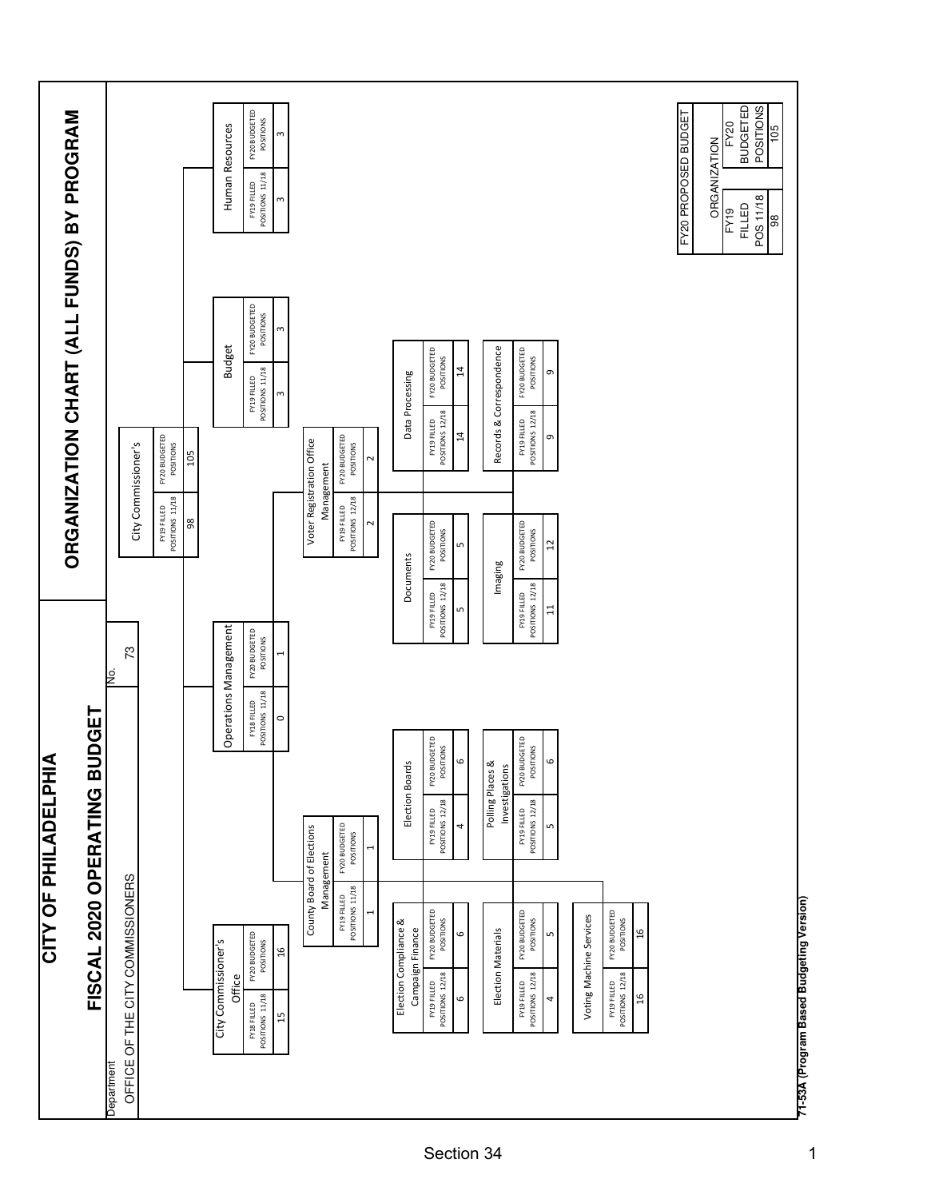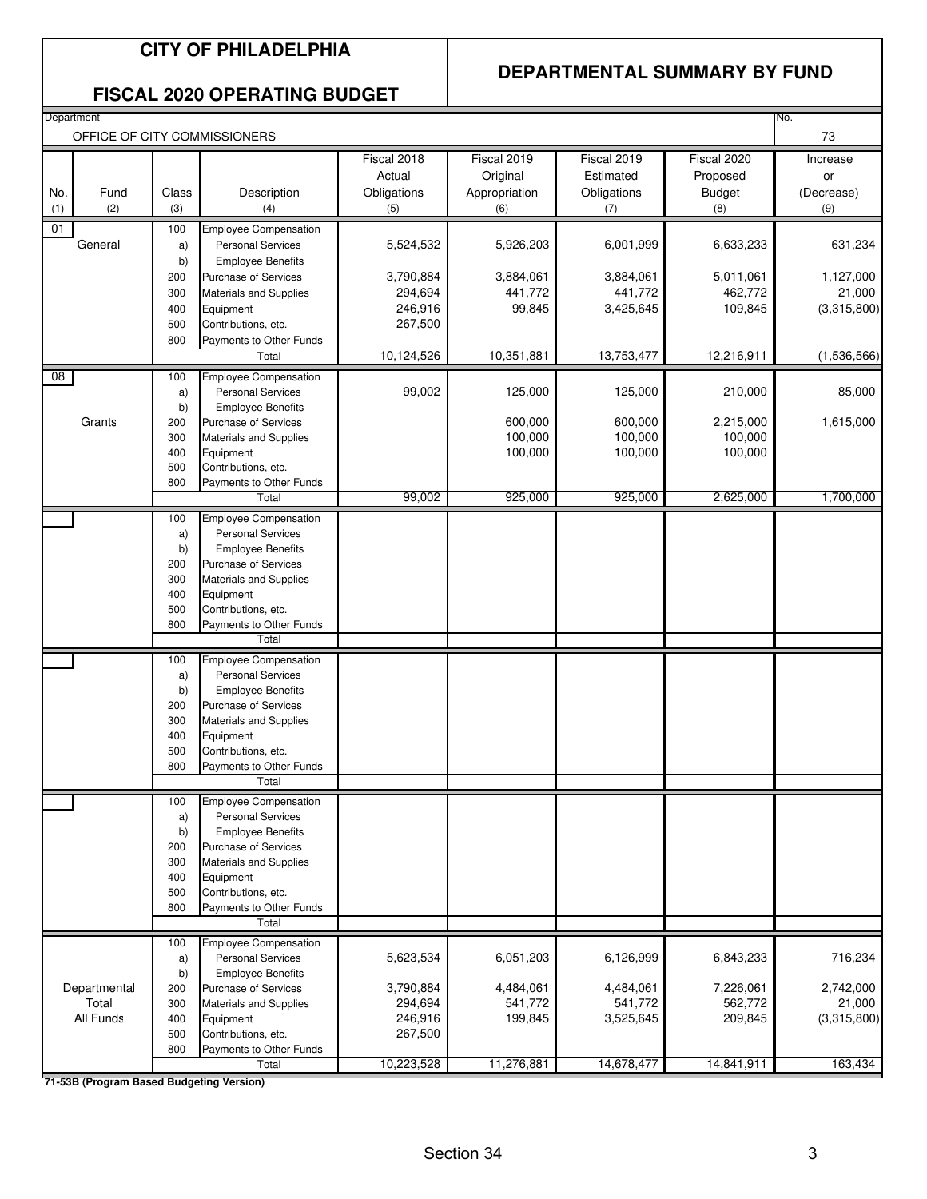### **CITY OF PHILADELPHIA**

### **DEPARTMENTAL SUMMARY BY FUND**

### **FISCAL 2020 OPERATING BUDGET**

| Department                               |            |                                                         |             |               |             |               | No.         |
|------------------------------------------|------------|---------------------------------------------------------|-------------|---------------|-------------|---------------|-------------|
|                                          |            | OFFICE OF CITY COMMISSIONERS                            |             |               |             |               | 73          |
|                                          |            |                                                         | Fiscal 2018 | Fiscal 2019   | Fiscal 2019 | Fiscal 2020   | Increase    |
|                                          |            |                                                         | Actual      | Original      | Estimated   | Proposed      | or          |
| No.<br>Fund                              | Class      | Description                                             | Obligations | Appropriation | Obligations | <b>Budget</b> | (Decrease)  |
| (1)<br>(2)                               | (3)        | (4)                                                     | (5)         | (6)           | (7)         | (8)           | (9)         |
| 01                                       | 100        | <b>Employee Compensation</b>                            |             |               |             |               |             |
| General                                  | a)<br>b)   | <b>Personal Services</b><br><b>Employee Benefits</b>    | 5,524,532   | 5,926,203     | 6,001,999   | 6,633,233     | 631,234     |
|                                          | 200        | <b>Purchase of Services</b>                             | 3,790,884   | 3,884,061     | 3,884,061   | 5,011,061     | 1,127,000   |
|                                          | 300        | <b>Materials and Supplies</b>                           | 294,694     | 441,772       | 441,772     | 462,772       | 21,000      |
|                                          | 400        | Equipment                                               | 246,916     | 99,845        | 3,425,645   | 109,845       | (3,315,800) |
|                                          | 500        | Contributions, etc.                                     | 267,500     |               |             |               |             |
|                                          | 800        | Payments to Other Funds                                 |             |               |             |               |             |
|                                          |            | Total                                                   | 10,124,526  | 10,351,881    | 13,753,477  | 12,216,911    | (1,536,566) |
| 08                                       | 100        | <b>Employee Compensation</b>                            |             |               |             |               |             |
|                                          | a)         | <b>Personal Services</b>                                | 99,002      | 125,000       | 125,000     | 210,000       | 85,000      |
| Grants                                   | b)         | <b>Employee Benefits</b><br><b>Purchase of Services</b> |             | 600,000       | 600,000     | 2,215,000     | 1,615,000   |
|                                          | 200<br>300 | <b>Materials and Supplies</b>                           |             | 100,000       | 100,000     | 100,000       |             |
|                                          | 400        | Equipment                                               |             | 100,000       | 100,000     | 100,000       |             |
|                                          | 500        | Contributions, etc.                                     |             |               |             |               |             |
|                                          | 800        | Payments to Other Funds                                 |             |               |             |               |             |
|                                          |            | Total                                                   | 99,002      | 925,000       | 925,000     | 2,625,000     | 1,700,000   |
|                                          | 100        | <b>Employee Compensation</b>                            |             |               |             |               |             |
|                                          | a)         | <b>Personal Services</b>                                |             |               |             |               |             |
|                                          | b)<br>200  | <b>Employee Benefits</b><br><b>Purchase of Services</b> |             |               |             |               |             |
|                                          | 300        | <b>Materials and Supplies</b>                           |             |               |             |               |             |
|                                          | 400        | Equipment                                               |             |               |             |               |             |
|                                          | 500        | Contributions, etc.                                     |             |               |             |               |             |
|                                          | 800        | Payments to Other Funds                                 |             |               |             |               |             |
|                                          |            | Total                                                   |             |               |             |               |             |
|                                          | 100        | Employee Compensation                                   |             |               |             |               |             |
|                                          | a)         | <b>Personal Services</b>                                |             |               |             |               |             |
|                                          | b)<br>200  | <b>Employee Benefits</b><br><b>Purchase of Services</b> |             |               |             |               |             |
|                                          | 300        | <b>Materials and Supplies</b>                           |             |               |             |               |             |
|                                          | 400        | Equipment                                               |             |               |             |               |             |
|                                          | 500        | Contributions, etc.                                     |             |               |             |               |             |
|                                          | 800        | Payments to Other Funds                                 |             |               |             |               |             |
|                                          |            | Total                                                   |             |               |             |               |             |
|                                          | 100        | <b>Employee Compensation</b>                            |             |               |             |               |             |
|                                          | a)         | <b>Personal Services</b>                                |             |               |             |               |             |
|                                          | b)<br>200  | <b>Employee Benefits</b><br>Purchase of Services        |             |               |             |               |             |
|                                          | 300        | <b>Materials and Supplies</b>                           |             |               |             |               |             |
|                                          | 400        | Equipment                                               |             |               |             |               |             |
|                                          | 500        | Contributions, etc.                                     |             |               |             |               |             |
|                                          | 800        | Payments to Other Funds                                 |             |               |             |               |             |
|                                          |            | Total                                                   |             |               |             |               |             |
|                                          | 100        | <b>Employee Compensation</b>                            |             |               |             |               |             |
|                                          | a)         | <b>Personal Services</b>                                | 5,623,534   | 6,051,203     | 6,126,999   | 6,843,233     | 716,234     |
| Departmental                             | b)<br>200  | <b>Employee Benefits</b><br>Purchase of Services        | 3,790,884   | 4,484,061     | 4,484,061   | 7,226,061     | 2,742,000   |
| Total                                    | 300        | <b>Materials and Supplies</b>                           | 294,694     | 541,772       | 541,772     | 562,772       | 21,000      |
| All Funds                                | 400        | Equipment                                               | 246,916     | 199,845       | 3,525,645   | 209,845       | (3,315,800) |
|                                          | 500        | Contributions, etc.                                     | 267,500     |               |             |               |             |
|                                          | 800        | Payments to Other Funds                                 |             |               |             |               |             |
| 71-53R (Program Rased Rudgeting Version) |            | Total                                                   | 10,223,528  | 11,276,881    | 14,678,477  | 14,841,911    | 163,434     |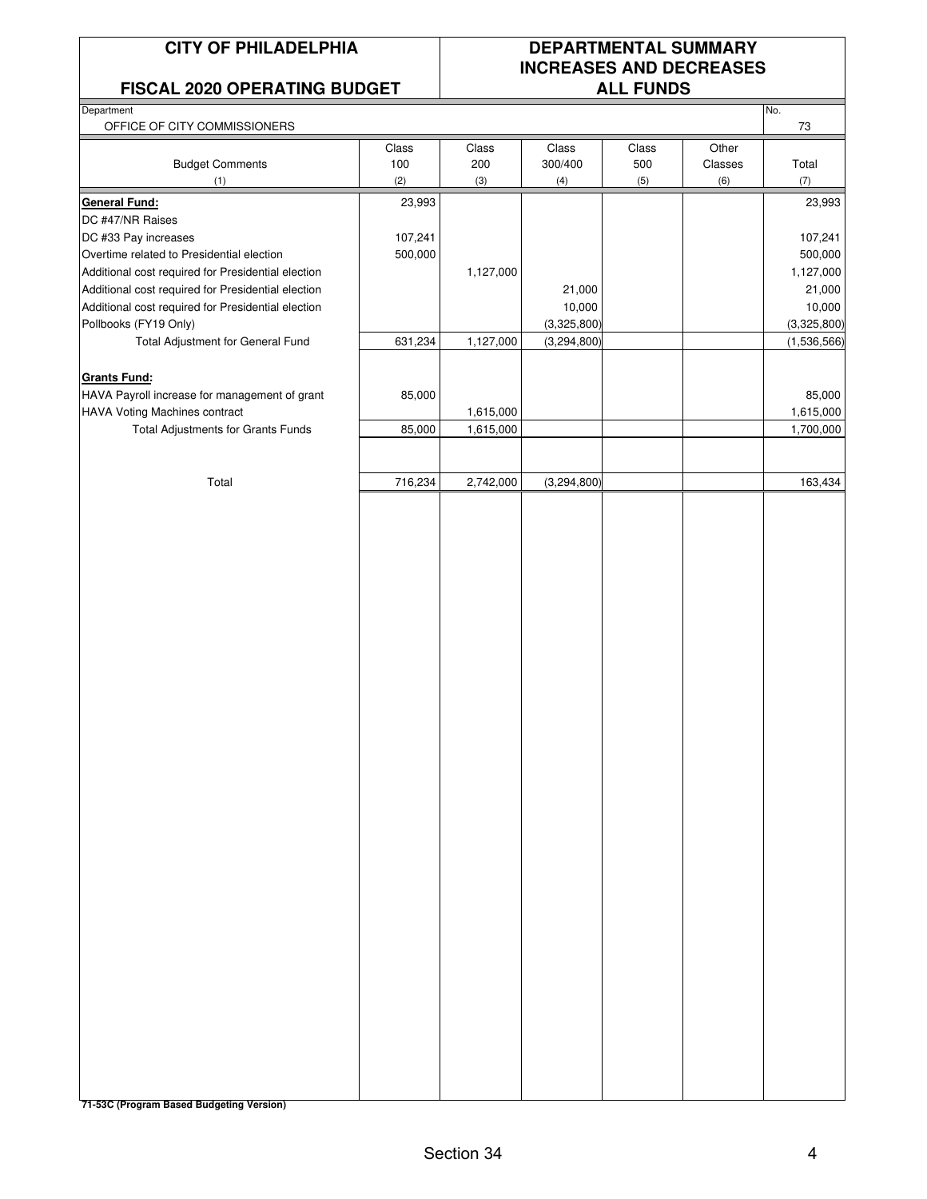### **FISCAL 2020 OPERATING BUDGET**

## **CITY OF PHILADELPHIA DEPARTMENTAL SUMMARY INCREASES AND DECREASES**

No.

**Department** 

| OFFICE OF CITY COMMISSIONERS                       |         |           |             |       |         | 73          |
|----------------------------------------------------|---------|-----------|-------------|-------|---------|-------------|
|                                                    | Class   | Class     | Class       | Class | Other   |             |
| <b>Budget Comments</b>                             | 100     | 200       | 300/400     | 500   | Classes | Total       |
| (1)                                                | (2)     | (3)       | (4)         | (5)   | (6)     | (7)         |
| <b>General Fund:</b>                               | 23,993  |           |             |       |         | 23,993      |
| DC #47/NR Raises                                   |         |           |             |       |         |             |
| DC #33 Pay increases                               | 107,241 |           |             |       |         | 107,241     |
| Overtime related to Presidential election          | 500,000 |           |             |       |         | 500,000     |
| Additional cost required for Presidential election |         | 1,127,000 |             |       |         | 1,127,000   |
| Additional cost required for Presidential election |         |           | 21,000      |       |         | 21,000      |
| Additional cost required for Presidential election |         |           | 10,000      |       |         | 10,000      |
| Pollbooks (FY19 Only)                              |         |           | (3,325,800) |       |         | (3,325,800) |
| Total Adjustment for General Fund                  | 631,234 | 1,127,000 | (3,294,800) |       |         | (1,536,566) |
|                                                    |         |           |             |       |         |             |
| <b>Grants Fund:</b>                                |         |           |             |       |         |             |
| HAVA Payroll increase for management of grant      | 85,000  |           |             |       |         | 85,000      |
| HAVA Voting Machines contract                      |         | 1,615,000 |             |       |         | 1,615,000   |
| Total Adjustments for Grants Funds                 | 85,000  | 1,615,000 |             |       |         | 1,700,000   |
|                                                    |         |           |             |       |         |             |
|                                                    |         |           |             |       |         |             |
| Total                                              | 716,234 | 2,742,000 | (3,294,800) |       |         | 163,434     |
|                                                    |         |           |             |       |         |             |
|                                                    |         |           |             |       |         |             |
|                                                    |         |           |             |       |         |             |
|                                                    |         |           |             |       |         |             |
|                                                    |         |           |             |       |         |             |
|                                                    |         |           |             |       |         |             |
|                                                    |         |           |             |       |         |             |
|                                                    |         |           |             |       |         |             |
|                                                    |         |           |             |       |         |             |
|                                                    |         |           |             |       |         |             |
|                                                    |         |           |             |       |         |             |
|                                                    |         |           |             |       |         |             |
|                                                    |         |           |             |       |         |             |
|                                                    |         |           |             |       |         |             |
|                                                    |         |           |             |       |         |             |
|                                                    |         |           |             |       |         |             |
|                                                    |         |           |             |       |         |             |
|                                                    |         |           |             |       |         |             |
|                                                    |         |           |             |       |         |             |
|                                                    |         |           |             |       |         |             |
|                                                    |         |           |             |       |         |             |
|                                                    |         |           |             |       |         |             |
|                                                    |         |           |             |       |         |             |
|                                                    |         |           |             |       |         |             |
|                                                    |         |           |             |       |         |             |
|                                                    |         |           |             |       |         |             |
|                                                    |         |           |             |       |         |             |
|                                                    |         |           |             |       |         |             |
|                                                    |         |           |             |       |         |             |
|                                                    |         |           |             |       |         |             |
|                                                    |         |           |             |       |         |             |
|                                                    |         |           |             |       |         |             |
|                                                    |         |           |             |       |         |             |
|                                                    |         |           |             |       |         |             |
| 71-53C (Program Based Budgeting Version)           |         |           |             |       |         |             |
|                                                    |         |           |             |       |         |             |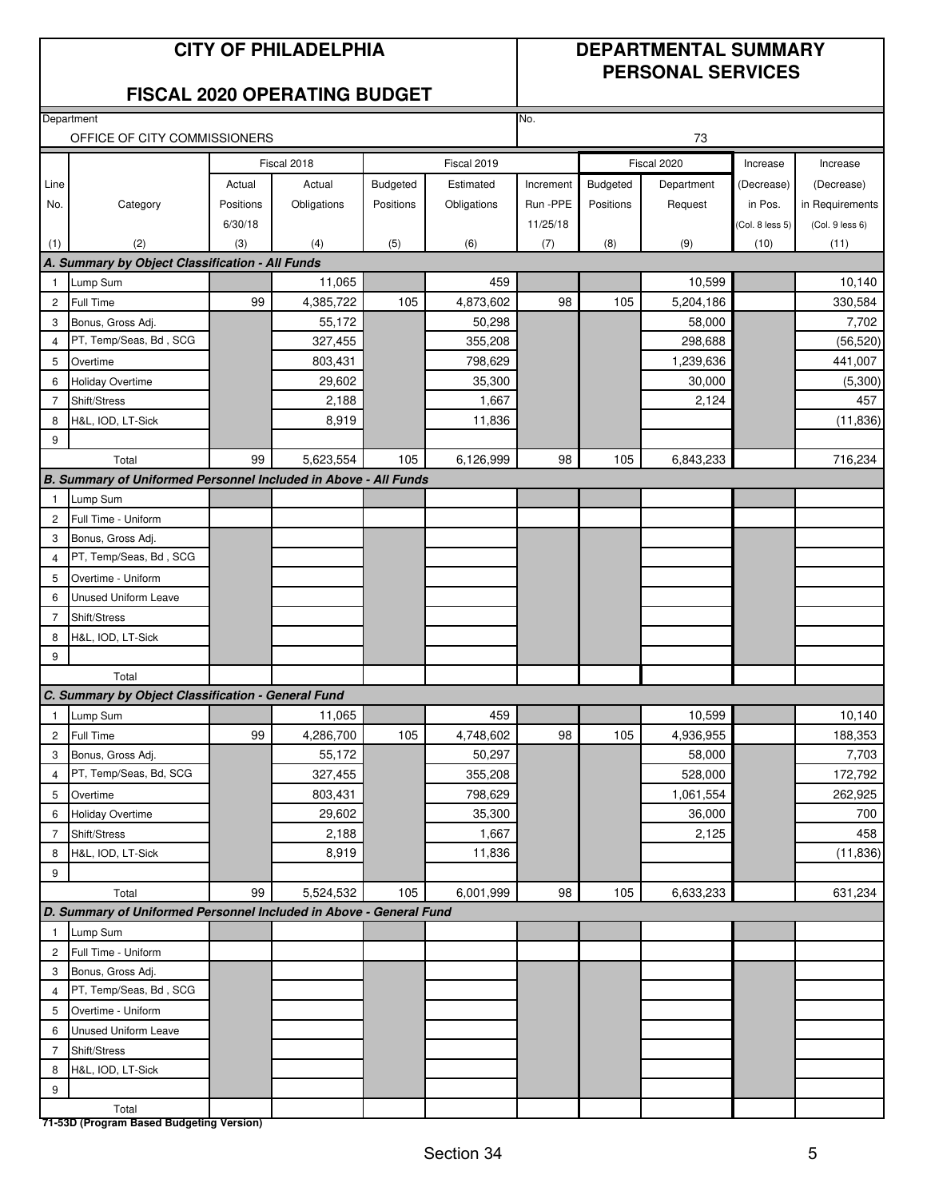### **CITY OF PHILADELPHIA DEPARTMENTAL SUMMARY PERSONAL SERVICES**

### **FISCAL 2020 OPERATING BUDGET**

|                | Department                                                         |           |             |           |             | No.       |           |             |                 |                 |
|----------------|--------------------------------------------------------------------|-----------|-------------|-----------|-------------|-----------|-----------|-------------|-----------------|-----------------|
|                | OFFICE OF CITY COMMISSIONERS                                       |           |             |           |             |           |           | 73          |                 |                 |
|                |                                                                    |           | Fiscal 2018 |           | Fiscal 2019 |           |           | Fiscal 2020 | Increase        | Increase        |
| Line           |                                                                    | Actual    | Actual      | Budgeted  | Estimated   | Increment | Budgeted  | Department  | (Decrease)      | (Decrease)      |
| No.            | Category                                                           | Positions | Obligations | Positions | Obligations | Run -PPE  | Positions | Request     | in Pos.         | in Requirements |
|                |                                                                    | 6/30/18   |             |           |             | 11/25/18  |           |             | (Col. 8 less 5) | (Col. 9 less 6) |
| (1)            | (2)                                                                | (3)       | (4)         | (5)       | (6)         | (7)       | (8)       | (9)         | (10)            | (11)            |
|                | A. Summary by Object Classification - All Funds                    |           |             |           |             |           |           |             |                 |                 |
| $\mathbf{1}$   | Lump Sum                                                           |           | 11,065      |           | 459         |           |           | 10,599      |                 | 10,140          |
| $\overline{c}$ | Full Time                                                          | 99        | 4,385,722   | 105       | 4,873,602   | 98        | 105       | 5,204,186   |                 | 330,584         |
| 3              | Bonus, Gross Adj.                                                  |           | 55,172      |           | 50,298      |           |           | 58,000      |                 | 7,702           |
| $\overline{4}$ | PT, Temp/Seas, Bd, SCG                                             |           | 327,455     |           | 355,208     |           |           | 298,688     |                 | (56, 520)       |
| 5              | Overtime                                                           |           | 803,431     |           | 798,629     |           |           | 1,239,636   |                 | 441,007         |
| 6              | <b>Holiday Overtime</b>                                            |           | 29,602      |           | 35,300      |           |           | 30,000      |                 | (5,300)         |
| $\overline{7}$ | Shift/Stress                                                       |           | 2,188       |           | 1,667       |           |           | 2,124       |                 | 457             |
| 8              | H&L, IOD, LT-Sick                                                  |           | 8,919       |           | 11,836      |           |           |             |                 | (11, 836)       |
| 9              |                                                                    |           |             |           |             |           |           |             |                 |                 |
|                | Total                                                              | 99        | 5,623,554   | 105       | 6,126,999   | 98        | 105       | 6,843,233   |                 | 716,234         |
|                | B. Summary of Uniformed Personnel Included in Above - All Funds    |           |             |           |             |           |           |             |                 |                 |
| -1             | Lump Sum                                                           |           |             |           |             |           |           |             |                 |                 |
| $\overline{c}$ | Full Time - Uniform                                                |           |             |           |             |           |           |             |                 |                 |
| 3              | Bonus, Gross Adj.                                                  |           |             |           |             |           |           |             |                 |                 |
| $\overline{4}$ | PT, Temp/Seas, Bd, SCG                                             |           |             |           |             |           |           |             |                 |                 |
| 5              | Overtime - Uniform                                                 |           |             |           |             |           |           |             |                 |                 |
| 6              | <b>Unused Uniform Leave</b>                                        |           |             |           |             |           |           |             |                 |                 |
| 7              | Shift/Stress                                                       |           |             |           |             |           |           |             |                 |                 |
| 8              | H&L, IOD, LT-Sick                                                  |           |             |           |             |           |           |             |                 |                 |
| 9              |                                                                    |           |             |           |             |           |           |             |                 |                 |
|                | Total<br>C. Summary by Object Classification - General Fund        |           |             |           |             |           |           |             |                 |                 |
|                | Lump Sum                                                           |           | 11,065      |           | 459         |           |           | 10,599      |                 | 10,140          |
| 2              | Full Time                                                          | 99        | 4,286,700   | 105       | 4,748,602   | 98        | 105       | 4,936,955   |                 | 188,353         |
| 3              | Bonus, Gross Adj.                                                  |           | 55,172      |           | 50,297      |           |           | 58,000      |                 | 7,703           |
| 4              | PT, Temp/Seas, Bd, SCG                                             |           | 327,455     |           | 355,208     |           |           | 528,000     |                 | 172,792         |
| 5              | Overtime                                                           |           | 803,431     |           | 798,629     |           |           | 1,061,554   |                 | 262,925         |
| 6              | <b>Holiday Overtime</b>                                            |           | 29,602      |           | 35,300      |           |           | 36,000      |                 | 700             |
| $\overline{7}$ | Shift/Stress                                                       |           | 2,188       |           | 1,667       |           |           | 2,125       |                 | 458             |
| 8              | H&L, IOD, LT-Sick                                                  |           | 8,919       |           | 11,836      |           |           |             |                 | (11, 836)       |
| 9              |                                                                    |           |             |           |             |           |           |             |                 |                 |
|                | Total                                                              | 99        | 5,524,532   | 105       | 6,001,999   | 98        | 105       | 6,633,233   |                 | 631,234         |
|                | D. Summary of Uniformed Personnel Included in Above - General Fund |           |             |           |             |           |           |             |                 |                 |
| $\overline{1}$ | Lump Sum                                                           |           |             |           |             |           |           |             |                 |                 |
| $\overline{c}$ | Full Time - Uniform                                                |           |             |           |             |           |           |             |                 |                 |
| 3              | Bonus, Gross Adj.                                                  |           |             |           |             |           |           |             |                 |                 |
| 4              | PT, Temp/Seas, Bd, SCG                                             |           |             |           |             |           |           |             |                 |                 |
| 5              | Overtime - Uniform                                                 |           |             |           |             |           |           |             |                 |                 |
| 6              | <b>Unused Uniform Leave</b>                                        |           |             |           |             |           |           |             |                 |                 |
| 7              | Shift/Stress                                                       |           |             |           |             |           |           |             |                 |                 |
| 8              | H&L, IOD, LT-Sick                                                  |           |             |           |             |           |           |             |                 |                 |
| 9              |                                                                    |           |             |           |             |           |           |             |                 |                 |
|                | Total                                                              |           |             |           |             |           |           |             |                 |                 |
|                | 71-53D (Program Based Budgeting Version)                           |           |             |           |             |           |           |             |                 |                 |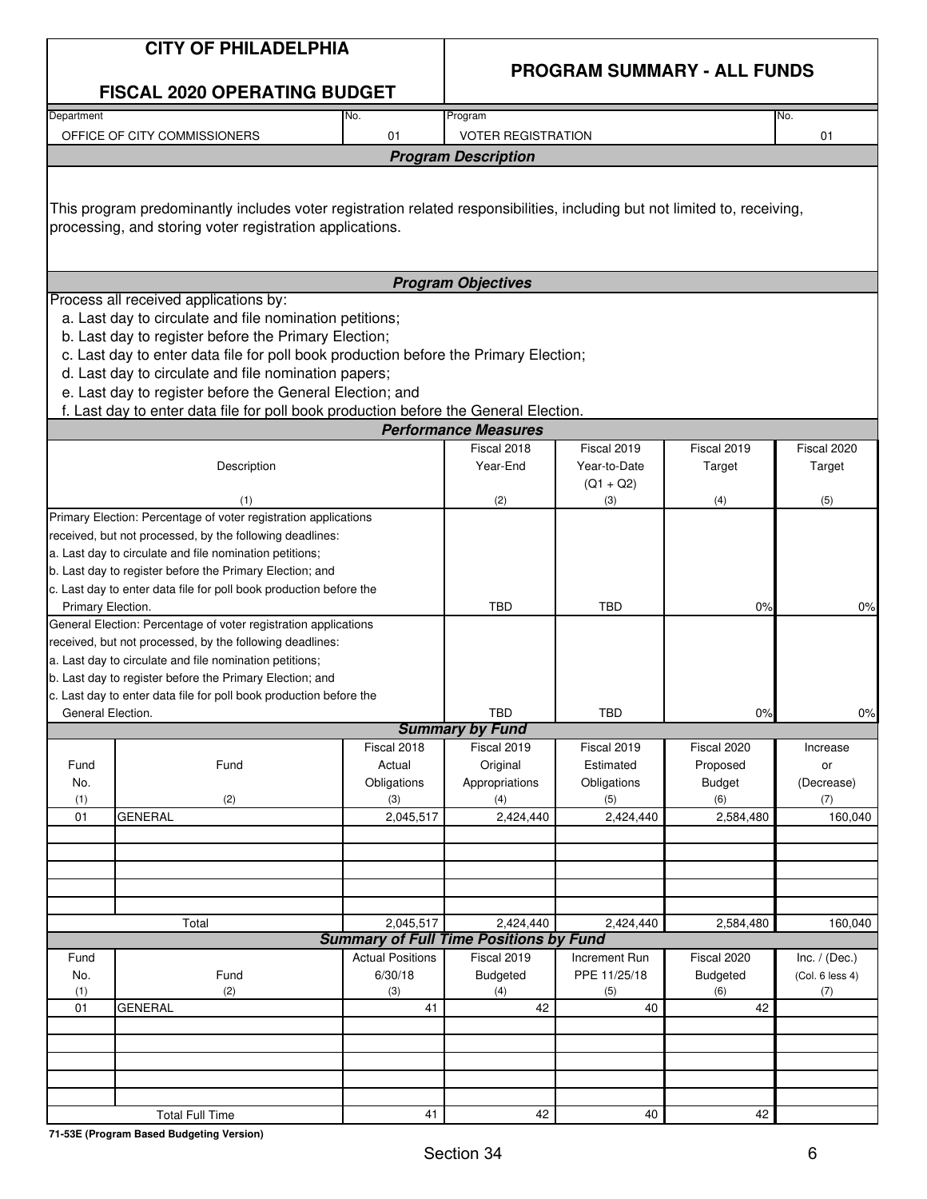|                          | <b>CITY OF PHILADELPHIA</b>                                                                                                                                                                                                                                                                                                                                                                                                                                  |                                                 |                                               |                                            |                                             |                                           |  |  |  |
|--------------------------|--------------------------------------------------------------------------------------------------------------------------------------------------------------------------------------------------------------------------------------------------------------------------------------------------------------------------------------------------------------------------------------------------------------------------------------------------------------|-------------------------------------------------|-----------------------------------------------|--------------------------------------------|---------------------------------------------|-------------------------------------------|--|--|--|
|                          | <b>FISCAL 2020 OPERATING BUDGET</b>                                                                                                                                                                                                                                                                                                                                                                                                                          |                                                 | <b>PROGRAM SUMMARY - ALL FUNDS</b>            |                                            |                                             |                                           |  |  |  |
| Department               |                                                                                                                                                                                                                                                                                                                                                                                                                                                              | No.                                             | Program                                       |                                            |                                             | No.                                       |  |  |  |
|                          | OFFICE OF CITY COMMISSIONERS                                                                                                                                                                                                                                                                                                                                                                                                                                 | 01                                              | <b>VOTER REGISTRATION</b>                     |                                            |                                             | 01                                        |  |  |  |
|                          |                                                                                                                                                                                                                                                                                                                                                                                                                                                              |                                                 | <b>Program Description</b>                    |                                            |                                             |                                           |  |  |  |
|                          | This program predominantly includes voter registration related responsibilities, including but not limited to, receiving,<br>processing, and storing voter registration applications.                                                                                                                                                                                                                                                                        |                                                 |                                               |                                            |                                             |                                           |  |  |  |
|                          |                                                                                                                                                                                                                                                                                                                                                                                                                                                              |                                                 | <b>Program Objectives</b>                     |                                            |                                             |                                           |  |  |  |
|                          | Process all received applications by:<br>a. Last day to circulate and file nomination petitions;<br>b. Last day to register before the Primary Election;<br>c. Last day to enter data file for poll book production before the Primary Election;<br>d. Last day to circulate and file nomination papers;<br>e. Last day to register before the General Election; and<br>f. Last day to enter data file for poll book production before the General Election. |                                                 |                                               |                                            |                                             |                                           |  |  |  |
|                          |                                                                                                                                                                                                                                                                                                                                                                                                                                                              |                                                 | <b>Performance Measures</b>                   |                                            |                                             |                                           |  |  |  |
|                          |                                                                                                                                                                                                                                                                                                                                                                                                                                                              |                                                 | Fiscal 2018                                   | Fiscal 2019                                | Fiscal 2019                                 | Fiscal 2020                               |  |  |  |
|                          | Description                                                                                                                                                                                                                                                                                                                                                                                                                                                  |                                                 | Year-End                                      | Year-to-Date<br>$(Q1 + Q2)$                | Target                                      | Target                                    |  |  |  |
|                          | (1)<br>Primary Election: Percentage of voter registration applications                                                                                                                                                                                                                                                                                                                                                                                       |                                                 | (2)                                           | (3)                                        | (4)                                         | (5)                                       |  |  |  |
| Primary Election.        | received, but not processed, by the following deadlines:<br>a. Last day to circulate and file nomination petitions;<br>b. Last day to register before the Primary Election; and<br>c. Last day to enter data file for poll book production before the                                                                                                                                                                                                        |                                                 | <b>TBD</b>                                    | <b>TBD</b>                                 | 0%                                          | 0%                                        |  |  |  |
|                          | General Election: Percentage of voter registration applications<br>received, but not processed, by the following deadlines:<br>a. Last day to circulate and file nomination petitions;<br>b. Last day to register before the Primary Election; and<br>c. Last day to enter data file for poll book production before the                                                                                                                                     |                                                 |                                               |                                            |                                             |                                           |  |  |  |
| General Election.        |                                                                                                                                                                                                                                                                                                                                                                                                                                                              |                                                 | TBD                                           | TBD                                        | 0%                                          | 0%                                        |  |  |  |
|                          |                                                                                                                                                                                                                                                                                                                                                                                                                                                              | Fiscal 2018                                     | <b>Summary by Fund</b><br>Fiscal 2019         | Fiscal 2019                                | Fiscal 2020                                 | Increase                                  |  |  |  |
| Fund<br>No.<br>(1)       | Fund<br>(2)                                                                                                                                                                                                                                                                                                                                                                                                                                                  | Actual<br>Obligations<br>(3)                    | Original<br>Appropriations<br>(4)             | Estimated<br>Obligations<br>(5)            | Proposed<br><b>Budget</b><br>(6)            | or<br>(Decrease)<br>(7)                   |  |  |  |
| 01                       | <b>GENERAL</b>                                                                                                                                                                                                                                                                                                                                                                                                                                               | 2,045,517                                       | 2,424,440                                     | 2,424,440                                  | 2,584,480                                   | 160,040                                   |  |  |  |
|                          |                                                                                                                                                                                                                                                                                                                                                                                                                                                              |                                                 |                                               |                                            |                                             |                                           |  |  |  |
|                          | Total                                                                                                                                                                                                                                                                                                                                                                                                                                                        | 2,045,517                                       | 2,424,440                                     | 2,424,440                                  | 2,584,480                                   | 160,040                                   |  |  |  |
|                          |                                                                                                                                                                                                                                                                                                                                                                                                                                                              |                                                 | <b>Summary of Full Time Positions by Fund</b> |                                            |                                             |                                           |  |  |  |
| Fund<br>No.<br>(1)<br>01 | Fund<br>(2)<br><b>GENERAL</b>                                                                                                                                                                                                                                                                                                                                                                                                                                | <b>Actual Positions</b><br>6/30/18<br>(3)<br>41 | Fiscal 2019<br><b>Budgeted</b><br>(4)<br>42   | Increment Run<br>PPE 11/25/18<br>(5)<br>40 | Fiscal 2020<br><b>Budgeted</b><br>(6)<br>42 | Inc. $/$ (Dec.)<br>(Col. 6 less 4)<br>(7) |  |  |  |
|                          |                                                                                                                                                                                                                                                                                                                                                                                                                                                              |                                                 |                                               |                                            |                                             |                                           |  |  |  |
|                          |                                                                                                                                                                                                                                                                                                                                                                                                                                                              |                                                 |                                               |                                            |                                             |                                           |  |  |  |
|                          |                                                                                                                                                                                                                                                                                                                                                                                                                                                              |                                                 |                                               |                                            |                                             |                                           |  |  |  |
|                          | <b>Total Full Time</b>                                                                                                                                                                                                                                                                                                                                                                                                                                       | 41                                              | 42                                            | 40                                         | 42                                          |                                           |  |  |  |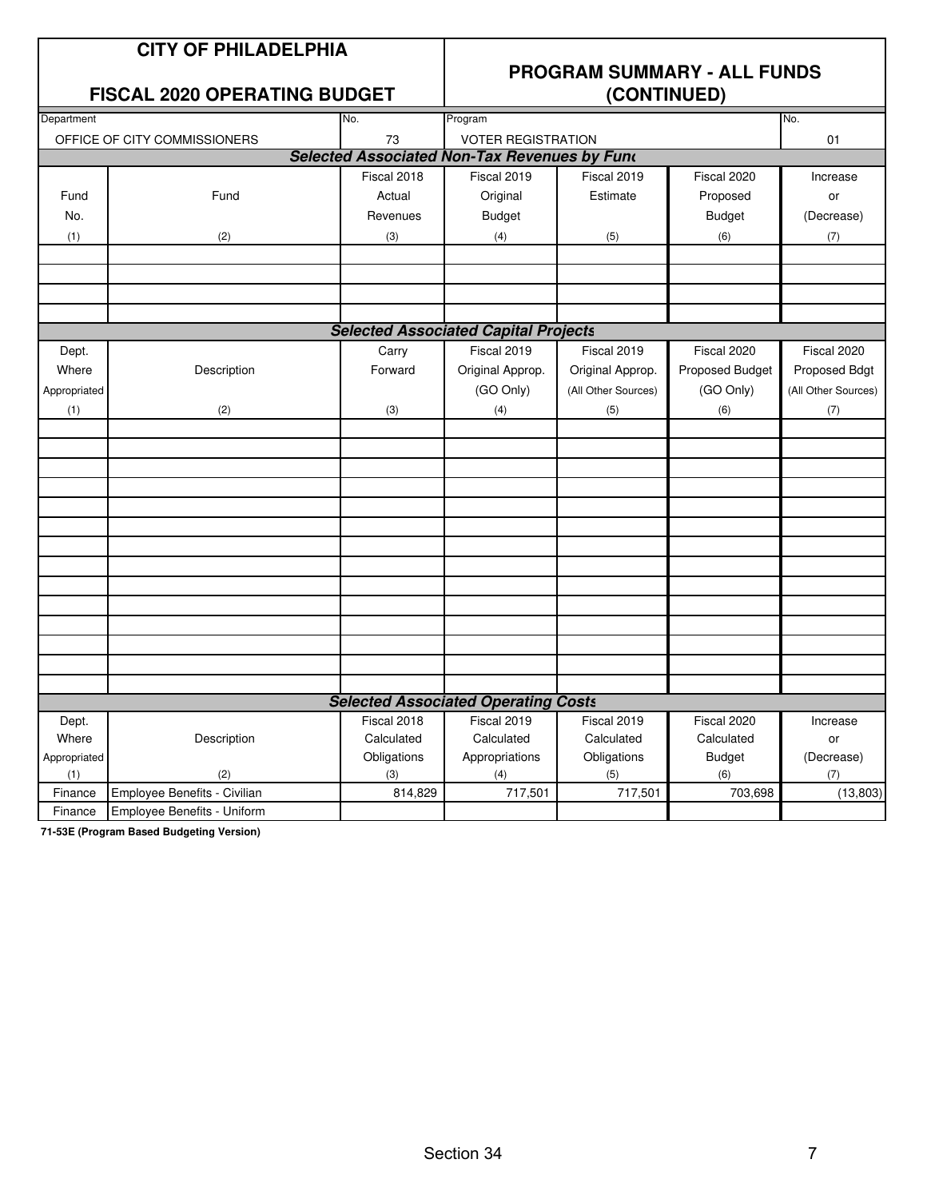### **CITY OF PHILADELPHIA**

### **FISCAL 2020 OPERATING BUDGET**

## **PROGRAM SUMMARY - ALL FUNDS**

| Department   |                                     | No.            | Program                                             |                     |                 | No.                 |
|--------------|-------------------------------------|----------------|-----------------------------------------------------|---------------------|-----------------|---------------------|
|              | OFFICE OF CITY COMMISSIONERS        | 73             | <b>VOTER REGISTRATION</b>                           |                     |                 | 01                  |
|              |                                     |                | <b>Selected Associated Non-Tax Revenues by Fund</b> |                     |                 |                     |
|              |                                     | Fiscal 2018    | Fiscal 2019                                         | Fiscal 2019         | Fiscal 2020     | Increase            |
| Fund         | Fund                                | Actual         | Original                                            | Estimate            | Proposed        | or                  |
| No.          |                                     | Revenues       | <b>Budget</b>                                       |                     | <b>Budget</b>   | (Decrease)          |
| (1)          | (2)                                 | (3)            | (4)                                                 | (5)                 | (6)             | (7)                 |
|              |                                     |                |                                                     |                     |                 |                     |
|              |                                     |                |                                                     |                     |                 |                     |
|              |                                     |                |                                                     |                     |                 |                     |
|              |                                     |                |                                                     |                     |                 |                     |
|              |                                     |                | <b>Selected Associated Capital Projects</b>         |                     |                 |                     |
| Dept.        |                                     | Carry          | Fiscal 2019                                         | Fiscal 2019         | Fiscal 2020     | Fiscal 2020         |
| Where        | Description                         | Forward        | Original Approp.                                    | Original Approp.    | Proposed Budget | Proposed Bdgt       |
| Appropriated |                                     |                | (GO Only)                                           | (All Other Sources) | (GO Only)       | (All Other Sources) |
| (1)          | (2)                                 | (3)            | (4)                                                 | (5)                 | (6)             | (7)                 |
|              |                                     |                |                                                     |                     |                 |                     |
|              |                                     |                |                                                     |                     |                 |                     |
|              |                                     |                |                                                     |                     |                 |                     |
|              |                                     |                |                                                     |                     |                 |                     |
|              |                                     |                |                                                     |                     |                 |                     |
|              |                                     |                |                                                     |                     |                 |                     |
|              |                                     |                |                                                     |                     |                 |                     |
|              |                                     |                |                                                     |                     |                 |                     |
|              |                                     |                |                                                     |                     |                 |                     |
|              |                                     |                |                                                     |                     |                 |                     |
|              |                                     |                |                                                     |                     |                 |                     |
|              |                                     |                |                                                     |                     |                 |                     |
|              |                                     |                |                                                     |                     |                 |                     |
|              |                                     |                |                                                     |                     |                 |                     |
|              |                                     |                | <b>Selected Associated Operating Costs</b>          |                     |                 |                     |
| Dept.        |                                     | Fiscal 2018    | Fiscal 2019                                         | Fiscal 2019         | Fiscal 2020     | Increase            |
| Where        | Description                         | Calculated     | Calculated                                          | Calculated          | Calculated      | or                  |
| Appropriated |                                     | Obligations    | Appropriations                                      | Obligations         | <b>Budget</b>   | (Decrease)          |
| (1)          | (2)<br>Employee Benefits - Civilian | (3)<br>814,829 | (4)<br>717,501                                      | (5)                 | (6)<br>703,698  | (7)                 |
| Finance      |                                     |                |                                                     | 717,501             |                 | (13,803)            |
| Finance      | Employee Benefits - Uniform         |                |                                                     |                     |                 |                     |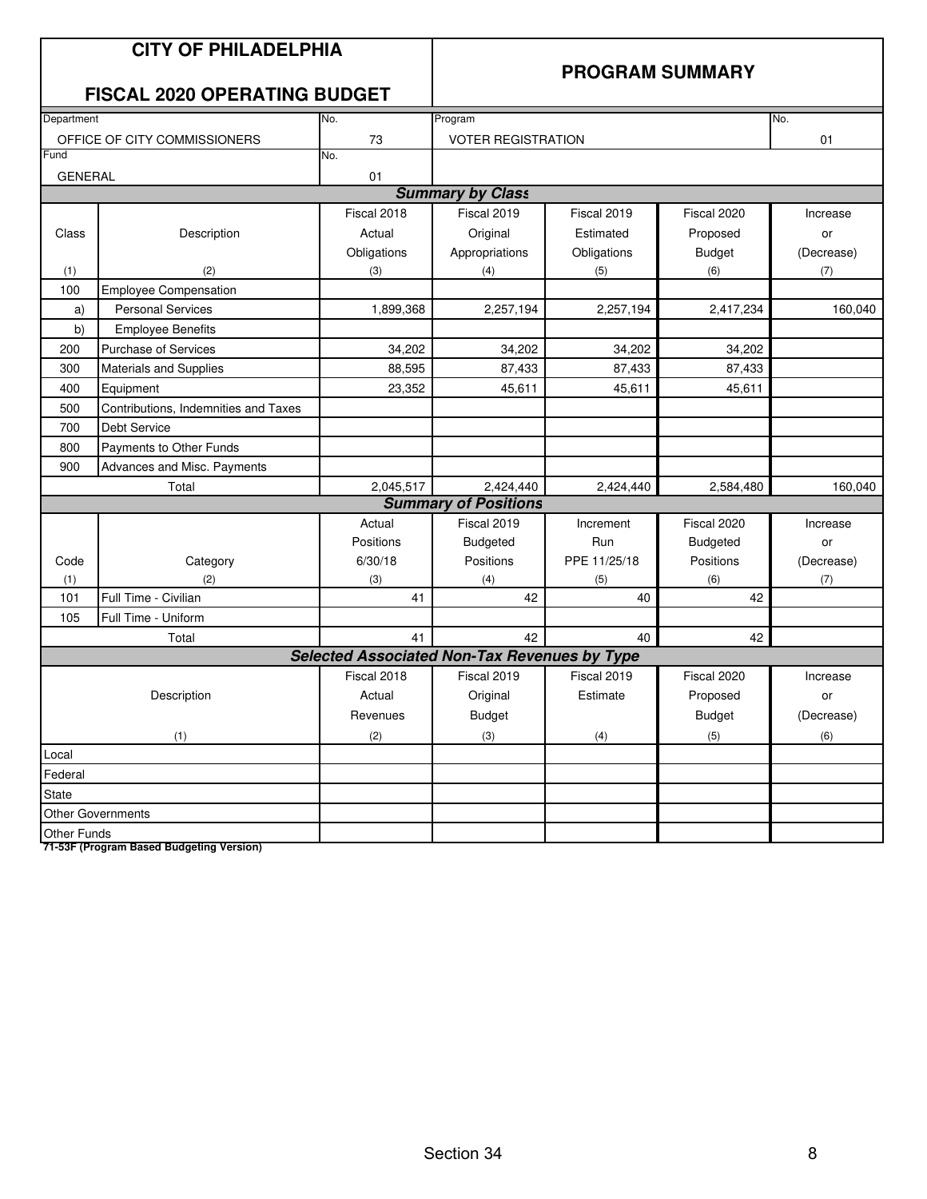|                | <b>CITY OF PHILADELPHIA</b><br><b>FISCAL 2020 OPERATING BUDGET</b> |                                                     | <b>PROGRAM SUMMARY</b>      |              |               |            |  |  |
|----------------|--------------------------------------------------------------------|-----------------------------------------------------|-----------------------------|--------------|---------------|------------|--|--|
| Department     |                                                                    | No.                                                 | Program                     |              |               | No.        |  |  |
|                | OFFICE OF CITY COMMISSIONERS                                       | 73                                                  | <b>VOTER REGISTRATION</b>   |              |               | 01         |  |  |
| Fund           |                                                                    | No.                                                 |                             |              |               |            |  |  |
| <b>GENERAL</b> |                                                                    | 01                                                  | <b>Summary by Class</b>     |              |               |            |  |  |
|                |                                                                    | Fiscal 2018                                         |                             |              |               |            |  |  |
|                |                                                                    |                                                     | Fiscal 2019                 | Fiscal 2019  | Fiscal 2020   | Increase   |  |  |
| Class          | Description                                                        | Actual                                              | Original                    | Estimated    | Proposed      | or         |  |  |
|                |                                                                    | Obligations                                         | Appropriations              | Obligations  | <b>Budget</b> | (Decrease) |  |  |
| (1)<br>100     | (2)<br><b>Employee Compensation</b>                                | (3)                                                 | (4)                         | (5)          | (6)           | (7)        |  |  |
| a)             | <b>Personal Services</b>                                           | 1,899,368                                           | 2,257,194                   | 2,257,194    | 2,417,234     | 160,040    |  |  |
| b)             | <b>Employee Benefits</b>                                           |                                                     |                             |              |               |            |  |  |
| 200            | Purchase of Services                                               | 34,202                                              | 34,202                      | 34,202       | 34,202        |            |  |  |
| 300            | <b>Materials and Supplies</b>                                      | 88,595                                              | 87,433                      | 87,433       | 87,433        |            |  |  |
| 400            | Equipment                                                          | 23,352                                              | 45,611                      | 45,611       | 45,611        |            |  |  |
| 500            | Contributions, Indemnities and Taxes                               |                                                     |                             |              |               |            |  |  |
| 700            | <b>Debt Service</b>                                                |                                                     |                             |              |               |            |  |  |
| 800            | Payments to Other Funds                                            |                                                     |                             |              |               |            |  |  |
| 900            | Advances and Misc. Payments                                        |                                                     |                             |              |               |            |  |  |
|                | Total                                                              | 2,045,517                                           | 2,424,440                   | 2,424,440    | 2,584,480     | 160,040    |  |  |
|                |                                                                    |                                                     | <b>Summary of Positions</b> |              |               |            |  |  |
|                |                                                                    | Actual                                              | Fiscal 2019                 | Increment    | Fiscal 2020   | Increase   |  |  |
|                |                                                                    | Positions                                           | <b>Budgeted</b>             | Run          | Budgeted      | or         |  |  |
| Code           | Category                                                           | 6/30/18                                             | Positions                   | PPE 11/25/18 | Positions     | (Decrease) |  |  |
| (1)            | (2)                                                                | (3)                                                 | (4)                         | (5)          | (6)           | (7)        |  |  |
| 101            | Full Time - Civilian                                               | 41                                                  | 42                          | 40           | 42            |            |  |  |
| 105            | Full Time - Uniform                                                |                                                     |                             |              |               |            |  |  |
|                | Total                                                              | 41                                                  | 42                          | 40           | 42            |            |  |  |
|                |                                                                    | <b>Selected Associated Non-Tax Revenues by Type</b> |                             |              |               |            |  |  |
|                |                                                                    | Fiscal 2018                                         | Fiscal 2019                 | Fiscal 2019  | Fiscal 2020   | Increase   |  |  |
|                | Description                                                        | Actual                                              | Original                    | Estimate     | Proposed      | or         |  |  |
|                |                                                                    | Revenues                                            | Budget                      |              | Budget        | (Decrease) |  |  |
|                | (1)                                                                | (2)                                                 | (3)                         | (4)          | (5)           | (6)        |  |  |
| Local          |                                                                    |                                                     |                             |              |               |            |  |  |
| Federal        |                                                                    |                                                     |                             |              |               |            |  |  |
| <b>State</b>   |                                                                    |                                                     |                             |              |               |            |  |  |
|                | <b>Other Governments</b>                                           |                                                     |                             |              |               |            |  |  |
| Other Funds    |                                                                    |                                                     |                             |              |               |            |  |  |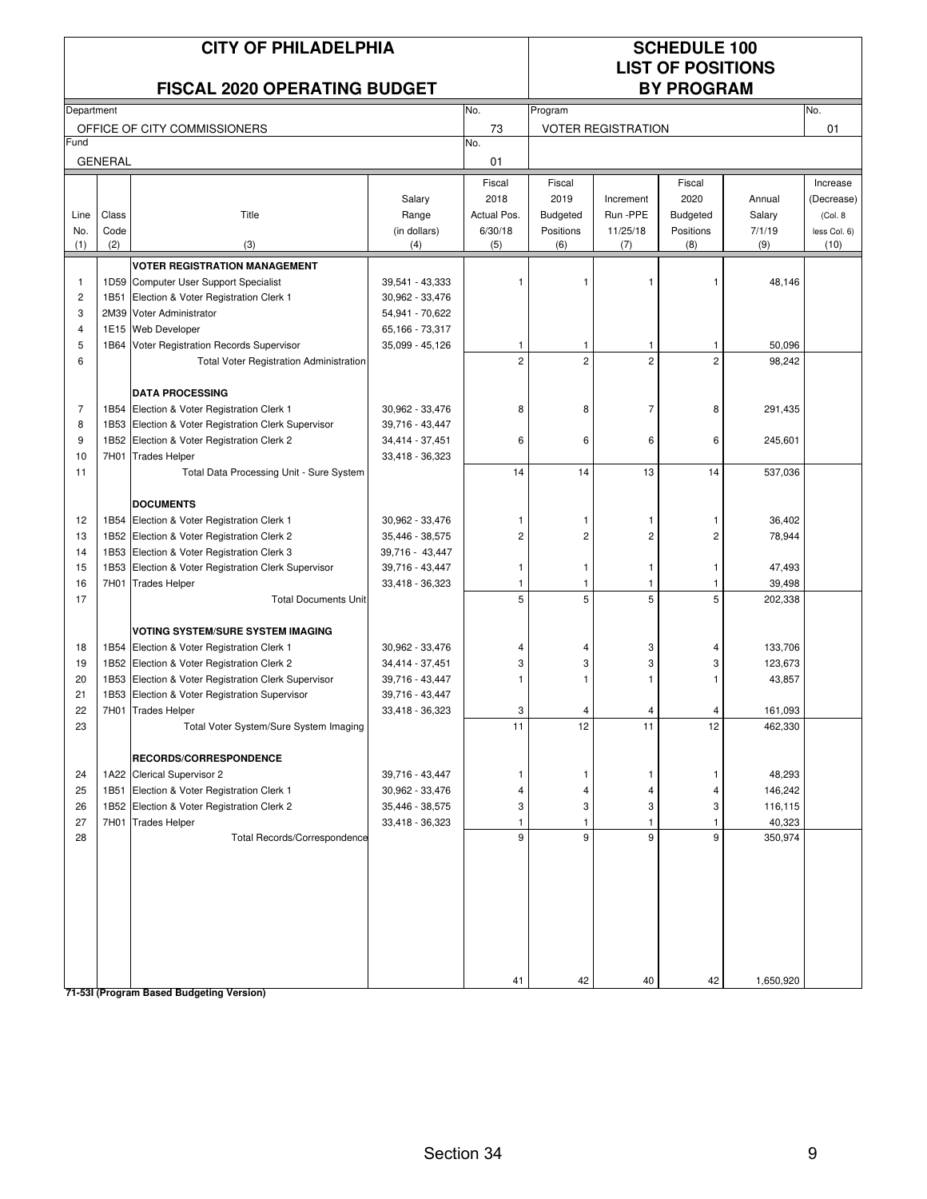| <b>CITY OF PHILADELPHIA</b><br><b>FISCAL 2020 OPERATING BUDGET</b> |                |                                                              |                                    |                | <b>SCHEDULE 100</b><br><b>LIST OF POSITIONS</b><br><b>BY PROGRAM</b> |                           |                |                    |              |  |
|--------------------------------------------------------------------|----------------|--------------------------------------------------------------|------------------------------------|----------------|----------------------------------------------------------------------|---------------------------|----------------|--------------------|--------------|--|
| Department                                                         |                |                                                              |                                    | No.            | Program                                                              |                           |                |                    | No.          |  |
|                                                                    |                | OFFICE OF CITY COMMISSIONERS                                 |                                    | 73             |                                                                      | <b>VOTER REGISTRATION</b> |                |                    | 01           |  |
| Fund                                                               |                |                                                              |                                    | No.            |                                                                      |                           |                |                    |              |  |
|                                                                    | <b>GENERAL</b> |                                                              |                                    | 01             |                                                                      |                           |                |                    |              |  |
|                                                                    |                |                                                              |                                    | Fiscal         | Fiscal                                                               |                           | Fiscal         |                    | Increase     |  |
|                                                                    |                |                                                              | Salary                             | 2018           | 2019                                                                 | Increment                 | 2020           | Annual             | (Decrease)   |  |
| Line                                                               | Class          | Title                                                        | Range                              | Actual Pos.    | <b>Budgeted</b>                                                      | Run - PPE                 | Budgeted       | Salary             | (Col. 8)     |  |
| No.                                                                | Code           |                                                              | (in dollars)                       | 6/30/18        | Positions                                                            | 11/25/18                  | Positions      | 7/1/19             | less Col. 6) |  |
| (1)                                                                | (2)            | (3)                                                          | (4)                                | (5)            | (6)                                                                  | (7)                       | (8)            | (9)                | (10)         |  |
|                                                                    |                | <b>VOTER REGISTRATION MANAGEMENT</b>                         |                                    |                |                                                                      |                           |                |                    |              |  |
| $\mathbf{1}$                                                       |                | 1D59 Computer User Support Specialist                        | 39,541 - 43,333                    | $\overline{1}$ | 1                                                                    |                           |                | 48,146             |              |  |
| $\overline{\mathbf{c}}$                                            |                | 1B51 Election & Voter Registration Clerk 1                   | 30,962 - 33,476                    |                |                                                                      |                           |                |                    |              |  |
| 3                                                                  |                | 2M39 Voter Administrator                                     | 54,941 - 70,622                    |                |                                                                      |                           |                |                    |              |  |
| 4                                                                  |                | 1E15 Web Developer                                           | 65,166 - 73,317                    |                |                                                                      |                           |                |                    |              |  |
| 5                                                                  |                | 1B64 Voter Registration Records Supervisor                   | 35,099 - 45,126                    | $\mathbf{1}$   | $\mathbf{1}$                                                         | $\overline{1}$            | 1              | 50,096             |              |  |
| 6                                                                  |                | <b>Total Voter Registration Administration</b>               |                                    | $\overline{c}$ | $\overline{2}$                                                       | $\overline{2}$            | $\overline{2}$ | 98,242             |              |  |
|                                                                    |                | <b>DATA PROCESSING</b>                                       |                                    |                |                                                                      |                           |                |                    |              |  |
| $\overline{7}$                                                     |                | 1B54 Election & Voter Registration Clerk 1                   | 30,962 - 33,476                    | 8              | 8                                                                    | $\overline{7}$            | 8              | 291,435            |              |  |
| 8                                                                  |                | 1B53 Election & Voter Registration Clerk Supervisor          | 39,716 - 43,447                    |                |                                                                      |                           |                |                    |              |  |
| 9                                                                  |                | 1B52 Election & Voter Registration Clerk 2                   | 34,414 - 37,451                    | 6              | 6                                                                    | 6                         | 6              | 245,601            |              |  |
| 10                                                                 |                | 7H01 Trades Helper                                           | 33,418 - 36,323                    |                |                                                                      |                           |                |                    |              |  |
| 11                                                                 |                | Total Data Processing Unit - Sure System                     |                                    | 14             | 14                                                                   | 13                        | 14             | 537,036            |              |  |
|                                                                    |                | <b>DOCUMENTS</b>                                             |                                    |                |                                                                      |                           |                |                    |              |  |
| 12                                                                 |                | 1B54 Election & Voter Registration Clerk 1                   | 30,962 - 33,476                    |                | -1                                                                   |                           |                | 36,402             |              |  |
| 13                                                                 |                | 1B52 Election & Voter Registration Clerk 2                   | 35,446 - 38,575                    | $\overline{c}$ | $\overline{c}$                                                       | 2                         | $\overline{2}$ | 78,944             |              |  |
| 14                                                                 |                | 1B53 Election & Voter Registration Clerk 3                   | 39,716 - 43,447                    |                |                                                                      |                           |                |                    |              |  |
| 15                                                                 |                | 1B53 Election & Voter Registration Clerk Supervisor          | 39,716 - 43,447                    | -1             | $\mathbf{1}$                                                         | -1                        |                | 47,493             |              |  |
| 16                                                                 |                | 7H01 Trades Helper                                           | 33,418 - 36,323                    | -1             | -1                                                                   | 1                         |                | 39,498             |              |  |
| 17                                                                 |                | <b>Total Documents Unit</b>                                  |                                    | 5              | 5                                                                    | 5                         | 5              | 202,338            |              |  |
|                                                                    |                |                                                              |                                    |                |                                                                      |                           |                |                    |              |  |
|                                                                    |                | <b>VOTING SYSTEM/SURE SYSTEM IMAGING</b>                     |                                    |                |                                                                      |                           |                |                    |              |  |
| 18                                                                 |                | 1B54 Election & Voter Registration Clerk 1                   | 30,962 - 33,476                    | 4              | 4                                                                    | 3                         |                | 133,706            |              |  |
| 19                                                                 |                | 1B52 Election & Voter Registration Clerk 2                   | 34,414 - 37,451                    | 3              | 3                                                                    | 3                         | 3              | 123,673            |              |  |
| 20                                                                 |                | 1B53 Election & Voter Registration Clerk Supervisor          | 39,716 - 43,447                    |                | 1                                                                    | 1                         |                | 43,857             |              |  |
| 21                                                                 |                | 1B53 Election & Voter Registration Supervisor                | 39,716 - 43,447<br>33,418 - 36,323 |                |                                                                      |                           |                |                    |              |  |
| 22<br>23                                                           |                | 7H01 Trades Helper<br>Total Voter System/Sure System Imaging |                                    | 3<br>11        | 12                                                                   | 11                        | 12             | 161,093<br>462,330 |              |  |
|                                                                    |                |                                                              |                                    |                |                                                                      |                           |                |                    |              |  |
|                                                                    |                | RECORDS/CORRESPONDENCE                                       |                                    |                |                                                                      |                           |                |                    |              |  |
| 24                                                                 |                | 1A22 Clerical Supervisor 2                                   | 39,716 - 43,447                    | -1             | $\mathbf{1}$                                                         | -1                        | 1              | 48,293             |              |  |
| 25                                                                 |                | 1B51 Election & Voter Registration Clerk 1                   | 30,962 - 33,476                    | $\overline{4}$ | 4                                                                    | 4                         | 4              | 146,242            |              |  |
| 26                                                                 |                | 1B52 Election & Voter Registration Clerk 2                   | 35,446 - 38,575                    | 3              | 3                                                                    | 3                         | 3              | 116,115            |              |  |
| 27                                                                 |                | 7H01 Trades Helper                                           | 33,418 - 36,323                    | $\mathbf{1}$   | $\mathbf{1}$                                                         | $\mathbf{1}$              | 1              | 40,323             |              |  |
| 28                                                                 |                | Total Records/Correspondence                                 |                                    | 9              | 9                                                                    | 9                         | 9              | 350,974            |              |  |
|                                                                    |                |                                                              |                                    |                |                                                                      |                           |                |                    |              |  |
|                                                                    |                |                                                              |                                    | 41             | 42                                                                   | 40                        | 42             | 1,650,920          |              |  |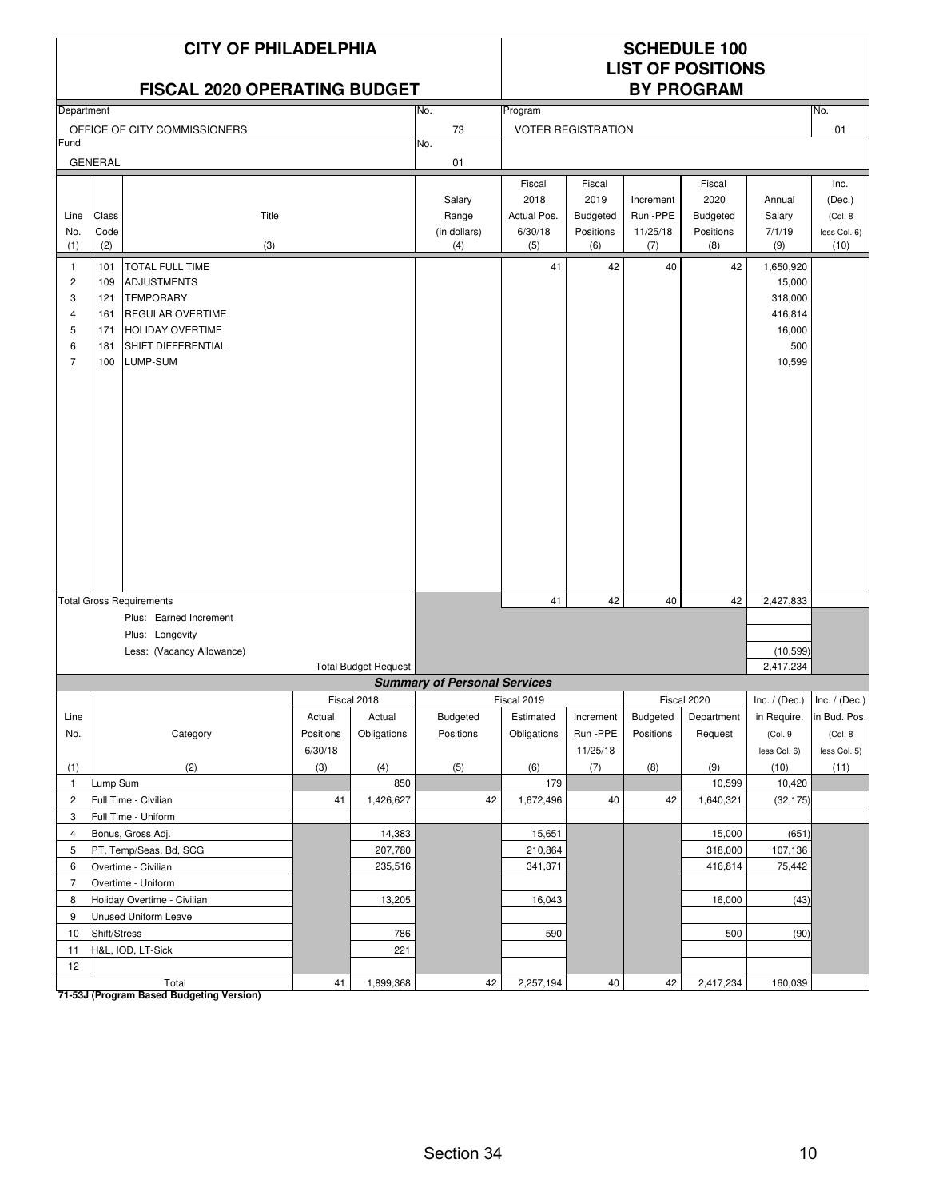### **FISCAL 2020 OPERATING BUDGET**

# **LIST OF POSITIONS**

| Department     |                |                                 |           |                             | No.                                 | Program     |                           |                 |             |                 | No.             |
|----------------|----------------|---------------------------------|-----------|-----------------------------|-------------------------------------|-------------|---------------------------|-----------------|-------------|-----------------|-----------------|
|                |                | OFFICE OF CITY COMMISSIONERS    |           |                             | $73\,$                              |             | <b>VOTER REGISTRATION</b> |                 |             |                 | 01              |
| Fund           |                |                                 |           |                             | No.                                 |             |                           |                 |             |                 |                 |
|                | <b>GENERAL</b> |                                 |           |                             | 01                                  |             |                           |                 |             |                 |                 |
|                |                |                                 |           |                             |                                     | Fiscal      | Fiscal                    |                 | Fiscal      |                 | Inc.            |
|                |                |                                 |           |                             | Salary                              | 2018        | 2019                      | Increment       | 2020        | Annual          | (Dec.)          |
| Line           | Class          | Title                           |           |                             | Range                               | Actual Pos. | <b>Budgeted</b>           | Run-PPE         | Budgeted    | Salary          | (Col. 8)        |
| No.            | Code           |                                 |           |                             | (in dollars)                        | 6/30/18     | Positions                 | 11/25/18        | Positions   | 7/1/19          | less Col. 6)    |
| (1)            | (2)            | (3)                             |           |                             | (4)                                 | (5)         | (6)                       | (7)             | (8)         | (9)             | (10)            |
| $\mathbf{1}$   | 101            | <b>TOTAL FULL TIME</b>          |           |                             |                                     | 41          | 42                        | 40              | 42          | 1,650,920       |                 |
| $\overline{c}$ | 109            | <b>ADJUSTMENTS</b>              |           |                             |                                     |             |                           |                 |             | 15,000          |                 |
| $\sqrt{3}$     | 121            | <b>TEMPORARY</b>                |           |                             |                                     |             |                           |                 |             | 318,000         |                 |
| $\overline{4}$ | 161            | <b>REGULAR OVERTIME</b>         |           |                             |                                     |             |                           |                 |             | 416,814         |                 |
| 5              | 171            | <b>HOLIDAY OVERTIME</b>         |           |                             |                                     |             |                           |                 |             | 16,000          |                 |
| 6              | 181            | SHIFT DIFFERENTIAL              |           |                             |                                     |             |                           |                 |             | 500             |                 |
| $\overline{7}$ | 100            | LUMP-SUM                        |           |                             |                                     |             |                           |                 |             | 10,599          |                 |
|                |                |                                 |           |                             |                                     |             |                           |                 |             |                 |                 |
|                |                |                                 |           |                             |                                     |             |                           |                 |             |                 |                 |
|                |                |                                 |           |                             |                                     |             |                           |                 |             |                 |                 |
|                |                |                                 |           |                             |                                     |             |                           |                 |             |                 |                 |
|                |                |                                 |           |                             |                                     |             |                           |                 |             |                 |                 |
|                |                |                                 |           |                             |                                     |             |                           |                 |             |                 |                 |
|                |                |                                 |           |                             |                                     |             |                           |                 |             |                 |                 |
|                |                |                                 |           |                             |                                     |             |                           |                 |             |                 |                 |
|                |                |                                 |           |                             |                                     |             |                           |                 |             |                 |                 |
|                |                |                                 |           |                             |                                     |             |                           |                 |             |                 |                 |
|                |                |                                 |           |                             |                                     |             |                           |                 |             |                 |                 |
|                |                |                                 |           |                             |                                     |             |                           |                 |             |                 |                 |
|                |                |                                 |           |                             |                                     |             |                           |                 |             |                 |                 |
|                |                |                                 |           |                             |                                     |             |                           |                 |             |                 |                 |
|                |                | <b>Total Gross Requirements</b> |           |                             |                                     | 41          | 42                        | 40              | 42          | 2,427,833       |                 |
|                |                | Plus: Earned Increment          |           |                             |                                     |             |                           |                 |             |                 |                 |
|                |                | Plus: Longevity                 |           |                             |                                     |             |                           |                 |             |                 |                 |
|                |                | Less: (Vacancy Allowance)       |           |                             |                                     |             |                           |                 |             | (10, 599)       |                 |
|                |                |                                 |           | <b>Total Budget Request</b> |                                     |             |                           |                 |             | 2,417,234       |                 |
|                |                |                                 |           |                             | <b>Summary of Personal Services</b> |             |                           |                 |             |                 |                 |
|                |                |                                 |           | Fiscal 2018                 |                                     | Fiscal 2019 |                           |                 | Fiscal 2020 | Inc. $/$ (Dec.) | Inc. $/$ (Dec.) |
| Line           |                |                                 | Actual    | Actual                      | <b>Budgeted</b>                     | Estimated   | Increment                 | <b>Budgeted</b> | Department  | in Require.     | in Bud. Pos.    |
| No.            |                | Category                        | Positions | Obligations                 | Positions                           | Obligations | Run -PPE                  | Positions       | Request     | (Col.9          | (Col. 8)        |
|                |                |                                 | 6/30/18   |                             |                                     |             | 11/25/18                  |                 |             | less Col. 6)    | less Col. 5)    |
| (1)            |                | (2)                             | (3)       | (4)                         | (5)                                 | (6)         | (7)                       | (8)             | (9)         | (10)            | (11)            |
| $\mathbf{1}$   | Lump Sum       |                                 |           | 850                         |                                     | 179         |                           |                 | 10,599      | 10,420          |                 |
| $\overline{2}$ |                | Full Time - Civilian            | 41        | 1,426,627                   | 42                                  | 1,672,496   | 40                        | 42              | 1,640,321   | (32, 175)       |                 |
| 3              |                | Full Time - Uniform             |           |                             |                                     |             |                           |                 |             |                 |                 |
| $\overline{4}$ |                | Bonus, Gross Adj.               |           | 14,383                      |                                     | 15,651      |                           |                 | 15,000      | (651)           |                 |
| 5              |                | PT, Temp/Seas, Bd, SCG          |           | 207,780                     |                                     | 210,864     |                           |                 | 318,000     | 107,136         |                 |
| 6              |                | Overtime - Civilian             |           | 235,516                     |                                     | 341,371     |                           |                 | 416,814     | 75,442          |                 |
| $\overline{7}$ |                | Overtime - Uniform              |           |                             |                                     |             |                           |                 |             |                 |                 |
| 8              |                | Holiday Overtime - Civilian     |           | 13,205                      |                                     | 16,043      |                           |                 | 16,000      | (43)            |                 |
| 9              |                | <b>Unused Uniform Leave</b>     |           |                             |                                     |             |                           |                 |             |                 |                 |
| 10             | Shift/Stress   |                                 |           | 786                         |                                     | 590         |                           |                 | 500         | (90)            |                 |
| 11             |                | H&L, IOD, LT-Sick               |           | 221                         |                                     |             |                           |                 |             |                 |                 |
| 12             |                |                                 |           |                             |                                     |             |                           |                 |             |                 |                 |
|                |                | Total                           | 41        | 1,899,368                   | 42                                  | 2,257,194   | $40\,$                    | 42              | 2,417,234   | 160,039         |                 |

Total<br><mark>71-53J (Program Based Budgeting Version)</mark>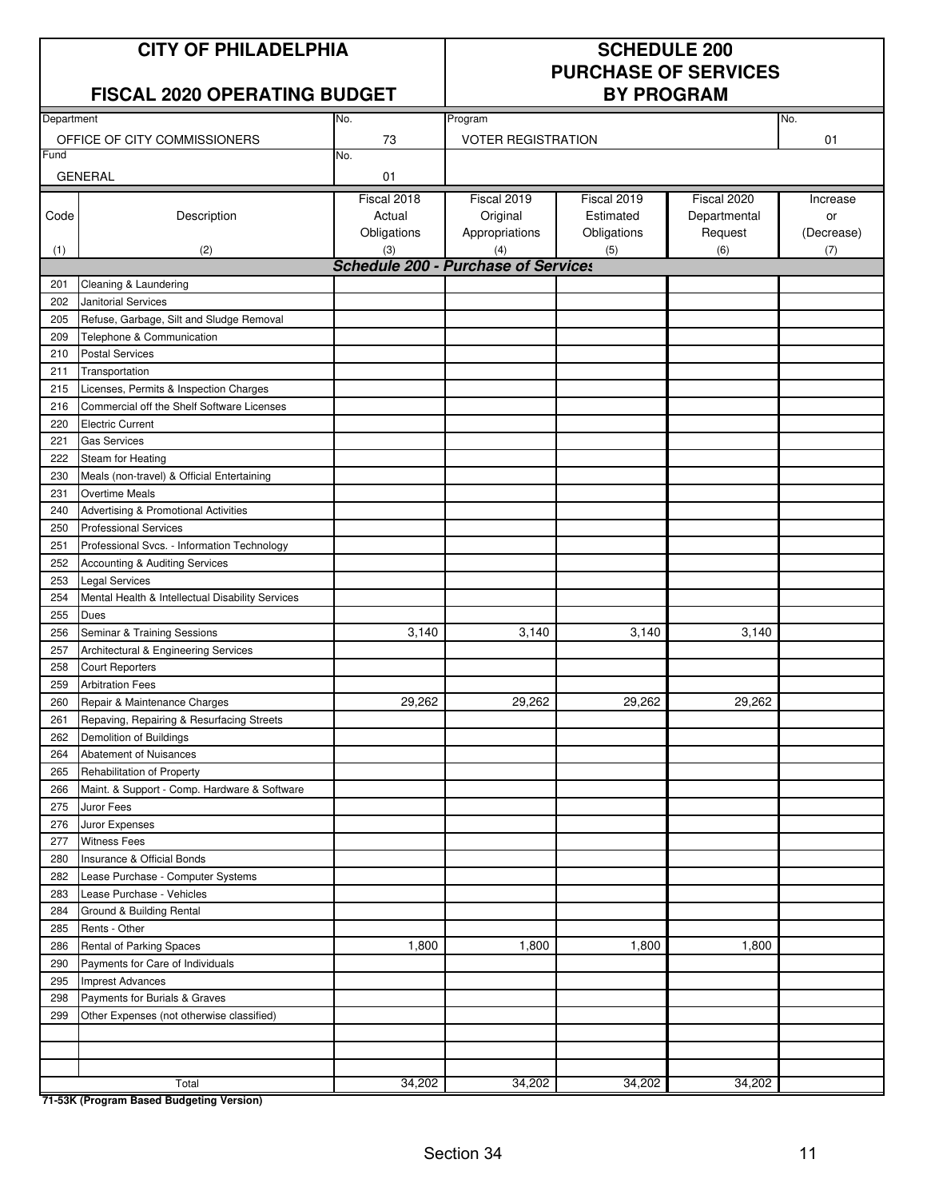### **FISCAL 2020 OPERATING BUDGET**

# **PURCHASE OF SERVICES**

| Department |                                                  | No.                                        | Program                   |             |              | No.        |
|------------|--------------------------------------------------|--------------------------------------------|---------------------------|-------------|--------------|------------|
|            | OFFICE OF CITY COMMISSIONERS                     | 73                                         | <b>VOTER REGISTRATION</b> |             |              | 01         |
| Fund       |                                                  | No.                                        |                           |             |              |            |
|            | <b>GENERAL</b>                                   | 01                                         |                           |             |              |            |
|            |                                                  | Fiscal 2018                                | Fiscal 2019               | Fiscal 2019 | Fiscal 2020  | Increase   |
| Code       | Description                                      | Actual                                     | Original                  | Estimated   | Departmental | or         |
|            |                                                  | Obligations                                | Appropriations            | Obligations | Request      | (Decrease) |
| (1)        | (2)                                              | (3)                                        | (4)                       | (5)         | (6)          | (7)        |
|            |                                                  | <b>Schedule 200 - Purchase of Services</b> |                           |             |              |            |
| 201        | Cleaning & Laundering                            |                                            |                           |             |              |            |
| 202        | Janitorial Services                              |                                            |                           |             |              |            |
| 205        | Refuse, Garbage, Silt and Sludge Removal         |                                            |                           |             |              |            |
| 209        | Telephone & Communication                        |                                            |                           |             |              |            |
| 210        | <b>Postal Services</b>                           |                                            |                           |             |              |            |
| 211        | Transportation                                   |                                            |                           |             |              |            |
| 215        | Licenses, Permits & Inspection Charges           |                                            |                           |             |              |            |
| 216        | Commercial off the Shelf Software Licenses       |                                            |                           |             |              |            |
| 220        | <b>Electric Current</b>                          |                                            |                           |             |              |            |
| 221        | <b>Gas Services</b>                              |                                            |                           |             |              |            |
| 222        | Steam for Heating                                |                                            |                           |             |              |            |
| 230        | Meals (non-travel) & Official Entertaining       |                                            |                           |             |              |            |
| 231        | Overtime Meals                                   |                                            |                           |             |              |            |
| 240        | Advertising & Promotional Activities             |                                            |                           |             |              |            |
| 250        | <b>Professional Services</b>                     |                                            |                           |             |              |            |
| 251        | Professional Svcs. - Information Technology      |                                            |                           |             |              |            |
| 252        | Accounting & Auditing Services                   |                                            |                           |             |              |            |
| 253        | <b>Legal Services</b>                            |                                            |                           |             |              |            |
| 254        | Mental Health & Intellectual Disability Services |                                            |                           |             |              |            |
| 255        | Dues                                             |                                            |                           |             |              |            |
| 256        | Seminar & Training Sessions                      | 3,140                                      | 3,140                     | 3,140       | 3,140        |            |
| 257        | Architectural & Engineering Services             |                                            |                           |             |              |            |
| 258        | <b>Court Reporters</b>                           |                                            |                           |             |              |            |
| 259        | <b>Arbitration Fees</b>                          |                                            |                           |             |              |            |
| 260        | Repair & Maintenance Charges                     | 29,262                                     | 29,262                    | 29,262      | 29,262       |            |
| 261        | Repaving, Repairing & Resurfacing Streets        |                                            |                           |             |              |            |
| 262        | Demolition of Buildings                          |                                            |                           |             |              |            |
| 264        | <b>Abatement of Nuisances</b>                    |                                            |                           |             |              |            |
| 265        | Rehabilitation of Property                       |                                            |                           |             |              |            |
| 266        | Maint. & Support - Comp. Hardware & Software     |                                            |                           |             |              |            |
| 275        | Juror Fees                                       |                                            |                           |             |              |            |
| 276        | Juror Expenses                                   |                                            |                           |             |              |            |
| 277        | <b>Witness Fees</b>                              |                                            |                           |             |              |            |
| 280        | Insurance & Official Bonds                       |                                            |                           |             |              |            |
| 282        | Lease Purchase - Computer Systems                |                                            |                           |             |              |            |
| 283        | Lease Purchase - Vehicles                        |                                            |                           |             |              |            |
| 284        | Ground & Building Rental                         |                                            |                           |             |              |            |
| 285        | Rents - Other                                    |                                            |                           |             |              |            |
| 286        | Rental of Parking Spaces                         | 1,800                                      | 1,800                     | 1,800       | 1,800        |            |
| 290        | Payments for Care of Individuals                 |                                            |                           |             |              |            |
| 295        | <b>Imprest Advances</b>                          |                                            |                           |             |              |            |
| 298        | Payments for Burials & Graves                    |                                            |                           |             |              |            |
| 299        | Other Expenses (not otherwise classified)        |                                            |                           |             |              |            |
|            |                                                  |                                            |                           |             |              |            |
|            |                                                  |                                            |                           |             |              |            |
|            |                                                  |                                            |                           |             |              |            |
|            | Total                                            | 34,202                                     | 34,202                    | 34,202      | 34,202       |            |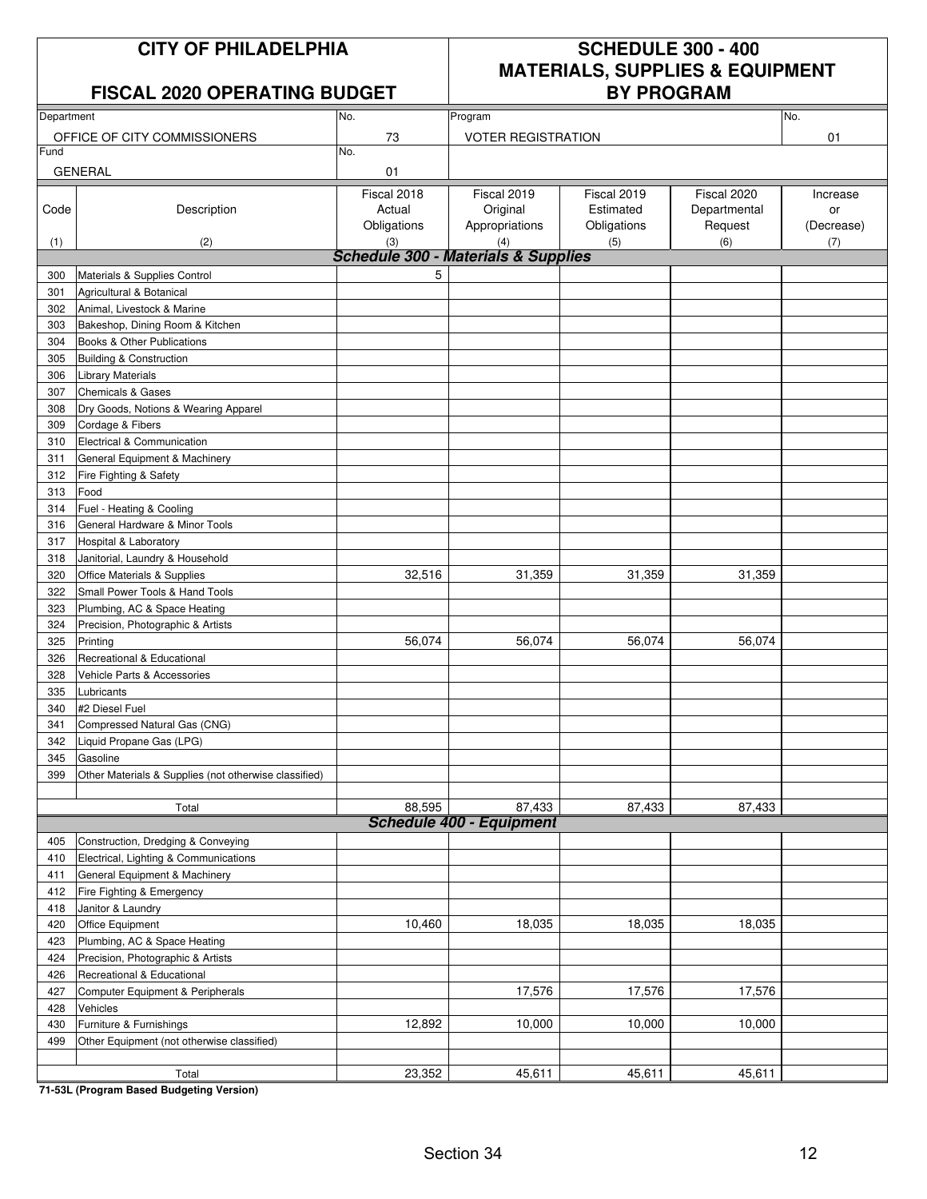### **FISCAL 2020 OPERATING BUDGET**

## **CITY OF PHILADELPHIA SCHEDULE 300 - 400 MATERIALS, SUPPLIES & EQUIPMENT**

| Department |                                                       | No.                                            | Program                   |             |                | No.        |
|------------|-------------------------------------------------------|------------------------------------------------|---------------------------|-------------|----------------|------------|
|            | OFFICE OF CITY COMMISSIONERS                          | 73                                             | <b>VOTER REGISTRATION</b> |             |                | 01         |
| Fund       |                                                       | No.                                            |                           |             |                |            |
|            | <b>GENERAL</b>                                        | 01                                             |                           |             |                |            |
|            |                                                       |                                                |                           |             |                |            |
|            |                                                       | Fiscal 2018                                    | Fiscal 2019               | Fiscal 2019 | Fiscal 2020    | Increase   |
| Code       | Description                                           | Actual                                         | Original                  | Estimated   | Departmental   | or         |
|            |                                                       | Obligations<br>(3)                             | Appropriations            | Obligations | Request<br>(6) | (Decrease) |
| (1)        | (2)                                                   | <b>Schedule 300 - Materials &amp; Supplies</b> | (4)                       | (5)         |                | (7)        |
| 300        | Materials & Supplies Control                          | 5                                              |                           |             |                |            |
| 301        | Agricultural & Botanical                              |                                                |                           |             |                |            |
| 302        | Animal, Livestock & Marine                            |                                                |                           |             |                |            |
| 303        | Bakeshop, Dining Room & Kitchen                       |                                                |                           |             |                |            |
| 304        | Books & Other Publications                            |                                                |                           |             |                |            |
| 305        | Building & Construction                               |                                                |                           |             |                |            |
| 306        | <b>Library Materials</b>                              |                                                |                           |             |                |            |
| 307        | <b>Chemicals &amp; Gases</b>                          |                                                |                           |             |                |            |
| 308        | Dry Goods, Notions & Wearing Apparel                  |                                                |                           |             |                |            |
| 309        | Cordage & Fibers                                      |                                                |                           |             |                |            |
| 310        | Electrical & Communication                            |                                                |                           |             |                |            |
| 311        | General Equipment & Machinery                         |                                                |                           |             |                |            |
| 312        | Fire Fighting & Safety                                |                                                |                           |             |                |            |
| 313        | Food                                                  |                                                |                           |             |                |            |
| 314        | Fuel - Heating & Cooling                              |                                                |                           |             |                |            |
| 316        | General Hardware & Minor Tools                        |                                                |                           |             |                |            |
| 317        | <b>Hospital &amp; Laboratory</b>                      |                                                |                           |             |                |            |
| 318        | Janitorial, Laundry & Household                       |                                                |                           |             |                |            |
| 320        | Office Materials & Supplies                           | 32,516                                         | 31,359                    | 31,359      | 31,359         |            |
| 322        | Small Power Tools & Hand Tools                        |                                                |                           |             |                |            |
| 323        | Plumbing, AC & Space Heating                          |                                                |                           |             |                |            |
| 324        | Precision, Photographic & Artists                     |                                                |                           |             |                |            |
| 325        | Printing                                              | 56,074                                         | 56,074                    | 56,074      | 56,074         |            |
| 326        | Recreational & Educational                            |                                                |                           |             |                |            |
| 328        | Vehicle Parts & Accessories                           |                                                |                           |             |                |            |
| 335        | Lubricants                                            |                                                |                           |             |                |            |
| 340        | #2 Diesel Fuel                                        |                                                |                           |             |                |            |
| 341        | Compressed Natural Gas (CNG)                          |                                                |                           |             |                |            |
| 342        | Liquid Propane Gas (LPG)                              |                                                |                           |             |                |            |
| 345        | Gasoline                                              |                                                |                           |             |                |            |
| 399        | Other Materials & Supplies (not otherwise classified) |                                                |                           |             |                |            |
|            |                                                       |                                                |                           |             |                |            |
|            | Total                                                 | 88,595                                         | 87,433                    | 87,433      | 87,433         |            |
|            |                                                       |                                                | Schedule 400 - Equipment  |             |                |            |
| 405        | Construction, Dredging & Conveying                    |                                                |                           |             |                |            |
| 410        | Electrical, Lighting & Communications                 |                                                |                           |             |                |            |
| 411        | General Equipment & Machinery                         |                                                |                           |             |                |            |
| 412        | Fire Fighting & Emergency                             |                                                |                           |             |                |            |
| 418        | Janitor & Laundry                                     |                                                |                           |             |                |            |
| 420        | Office Equipment                                      | 10,460                                         | 18,035                    | 18,035      | 18,035         |            |
| 423        | Plumbing, AC & Space Heating                          |                                                |                           |             |                |            |
| 424        | Precision, Photographic & Artists                     |                                                |                           |             |                |            |
| 426        | Recreational & Educational                            |                                                |                           |             |                |            |
| 427        | Computer Equipment & Peripherals                      |                                                | 17,576                    | 17,576      | 17,576         |            |
| 428        | Vehicles                                              |                                                |                           |             |                |            |
| 430        | Furniture & Furnishings                               | 12,892                                         | 10,000                    | 10,000      | 10,000         |            |
| 499        | Other Equipment (not otherwise classified)            |                                                |                           |             |                |            |
|            |                                                       |                                                |                           |             |                |            |
|            | Total                                                 | 23,352                                         | 45,611                    | 45,611      | 45,611         |            |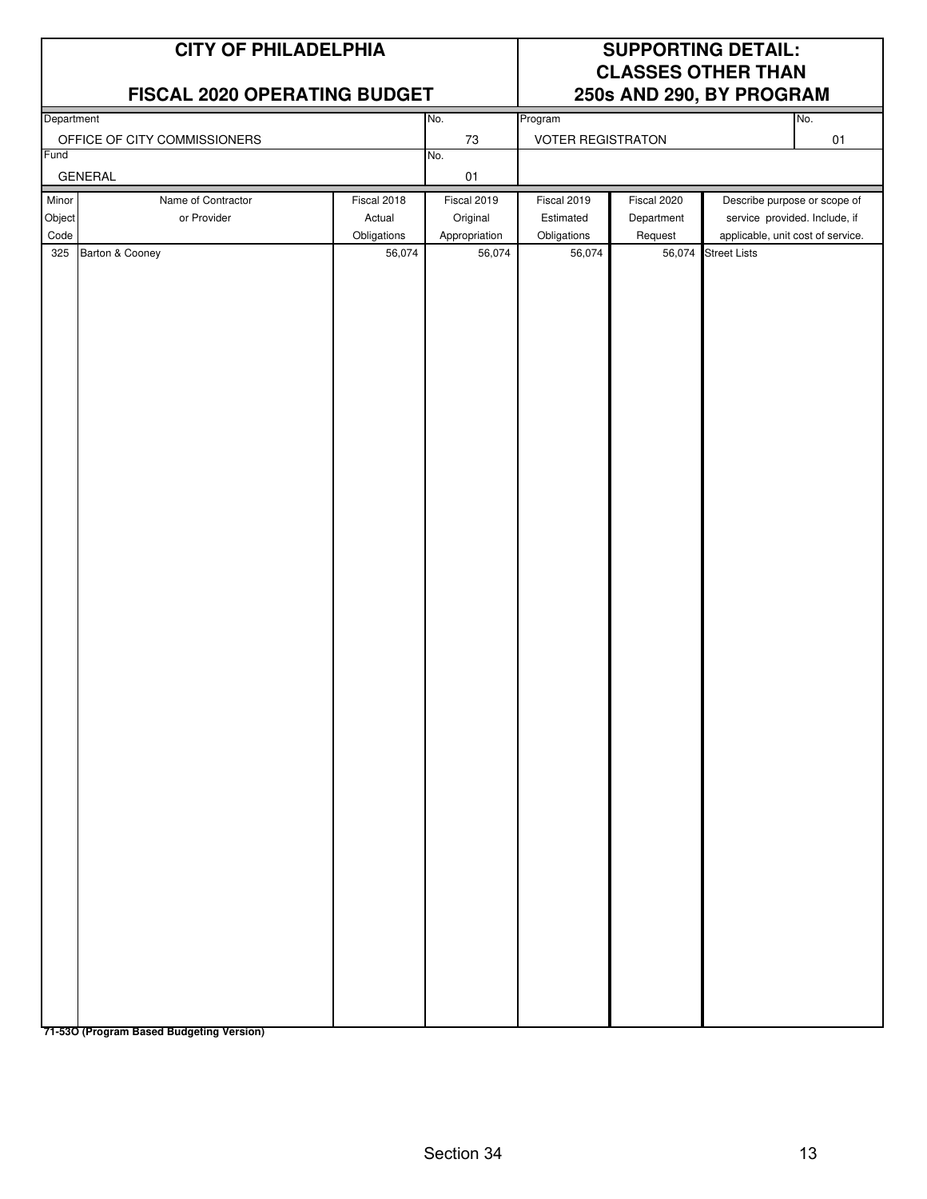|                         | <b>CITY OF PHILADELPHIA</b><br>FISCAL 2020 OPERATING BUDGET |                                      | <b>SUPPORTING DETAIL:</b><br><b>CLASSES OTHER THAN</b><br>250s AND 290, BY PROGRAM |                                         |                                      |                                                                                                    |     |
|-------------------------|-------------------------------------------------------------|--------------------------------------|------------------------------------------------------------------------------------|-----------------------------------------|--------------------------------------|----------------------------------------------------------------------------------------------------|-----|
| Department              |                                                             |                                      | No.                                                                                | Program                                 |                                      |                                                                                                    | No. |
|                         | OFFICE OF CITY COMMISSIONERS                                |                                      | $73\,$                                                                             | <b>VOTER REGISTRATON</b>                |                                      |                                                                                                    | 01  |
| Fund                    | <b>GENERAL</b>                                              |                                      | No.<br>$01\,$                                                                      |                                         |                                      |                                                                                                    |     |
| Minor<br>Object<br>Code | Name of Contractor<br>or Provider                           | Fiscal 2018<br>Actual<br>Obligations | Fiscal 2019<br>Original<br>Appropriation                                           | Fiscal 2019<br>Estimated<br>Obligations | Fiscal 2020<br>Department<br>Request | Describe purpose or scope of<br>service provided. Include, if<br>applicable, unit cost of service. |     |
| 325                     | Barton & Cooney                                             | 56,074                               | 56,074                                                                             | 56,074                                  | 56,074                               | <b>Street Lists</b>                                                                                |     |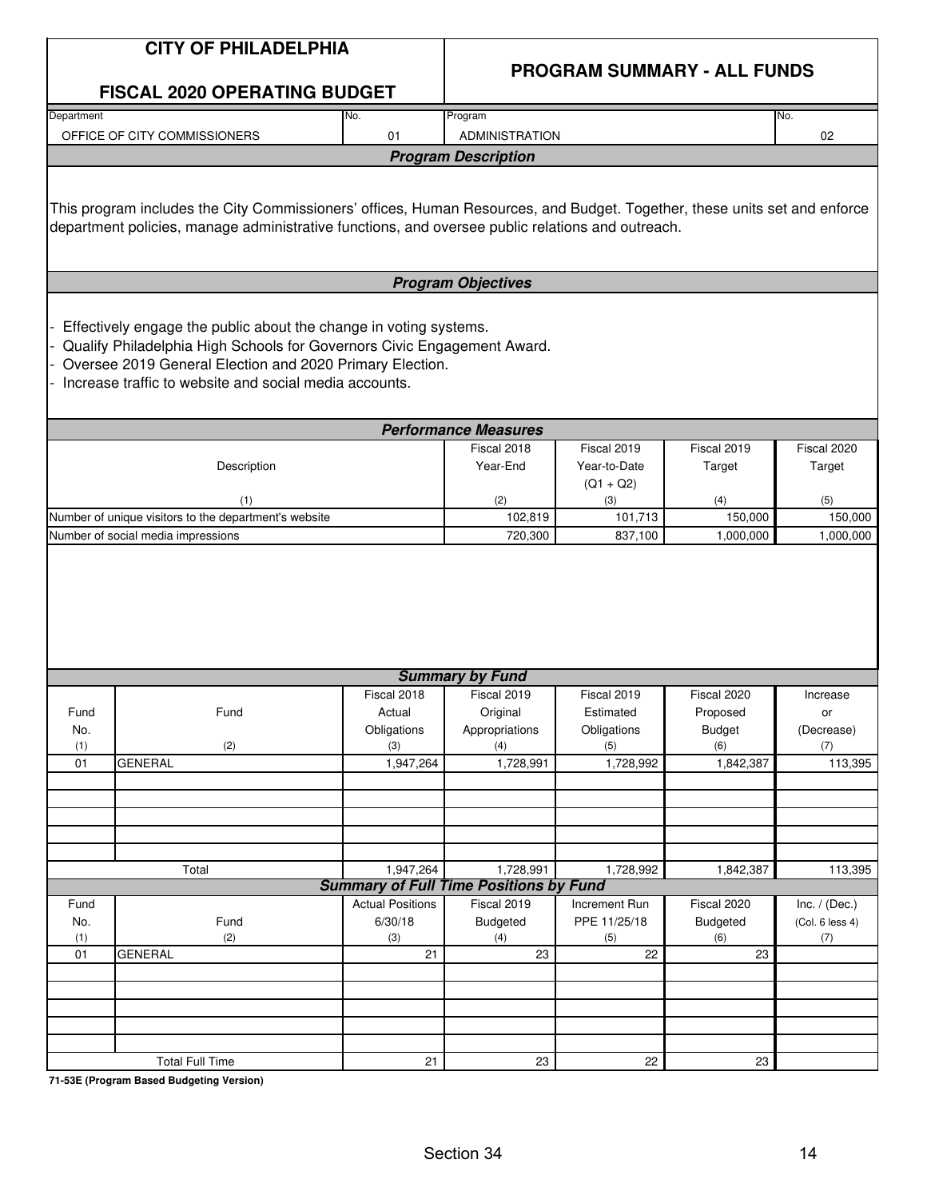|            | <b>CITY OF PHILADELPHIA</b>                                                                                                                                                                                                                                        |                         |                                               |                    |                                    |                 |
|------------|--------------------------------------------------------------------------------------------------------------------------------------------------------------------------------------------------------------------------------------------------------------------|-------------------------|-----------------------------------------------|--------------------|------------------------------------|-----------------|
|            |                                                                                                                                                                                                                                                                    |                         |                                               |                    | <b>PROGRAM SUMMARY - ALL FUNDS</b> |                 |
|            | <b>FISCAL 2020 OPERATING BUDGET</b>                                                                                                                                                                                                                                |                         |                                               |                    |                                    |                 |
| Department |                                                                                                                                                                                                                                                                    | No.                     | Program                                       |                    |                                    | No.             |
|            | OFFICE OF CITY COMMISSIONERS                                                                                                                                                                                                                                       | 01                      | <b>ADMINISTRATION</b>                         |                    |                                    | 02              |
|            |                                                                                                                                                                                                                                                                    |                         | <b>Program Description</b>                    |                    |                                    |                 |
|            | This program includes the City Commissioners' offices, Human Resources, and Budget. Together, these units set and enforce<br>department policies, manage administrative functions, and oversee public relations and outreach.                                      |                         |                                               |                    |                                    |                 |
|            |                                                                                                                                                                                                                                                                    |                         | <b>Program Objectives</b>                     |                    |                                    |                 |
|            | Effectively engage the public about the change in voting systems.<br>Qualify Philadelphia High Schools for Governors Civic Engagement Award.<br>Oversee 2019 General Election and 2020 Primary Election.<br>Increase traffic to website and social media accounts. |                         |                                               |                    |                                    |                 |
|            |                                                                                                                                                                                                                                                                    |                         | <b>Performance Measures</b>                   |                    |                                    |                 |
|            |                                                                                                                                                                                                                                                                    |                         | Fiscal 2018                                   | Fiscal 2019        | Fiscal 2019                        | Fiscal 2020     |
|            | Description                                                                                                                                                                                                                                                        |                         | Year-End                                      | Year-to-Date       | Target                             | Target          |
|            | (1)                                                                                                                                                                                                                                                                |                         | (2)                                           | $(Q1 + Q2)$<br>(3) | (4)                                | (5)             |
|            | Number of unique visitors to the department's website                                                                                                                                                                                                              |                         | 102,819                                       | 101,713            | 150,000                            | 150,000         |
|            | Number of social media impressions                                                                                                                                                                                                                                 |                         | 720,300                                       | 837,100            | 1,000,000                          | 1,000,000       |
|            |                                                                                                                                                                                                                                                                    |                         |                                               |                    |                                    |                 |
|            |                                                                                                                                                                                                                                                                    |                         | <b>Summary by Fund</b>                        |                    |                                    |                 |
|            |                                                                                                                                                                                                                                                                    | Fiscal 2018             | Fiscal 2019                                   | Fiscal 2019        | Fiscal 2020                        | Increase        |
| Fund       | Fund                                                                                                                                                                                                                                                               | Actual                  | Original                                      | Estimated          | Proposed                           | or              |
| No.        |                                                                                                                                                                                                                                                                    | Obligations             | Appropriations                                | Obligations        | <b>Budget</b>                      | (Decrease)      |
| (1)<br>01  | (2)<br><b>GENERAL</b>                                                                                                                                                                                                                                              | (3)<br>1,947,264        | (4)<br>1,728,991                              | (5)<br>1,728,992   | (6)                                | (7)<br>113,395  |
|            |                                                                                                                                                                                                                                                                    |                         |                                               |                    | 1,842,387                          |                 |
|            |                                                                                                                                                                                                                                                                    |                         |                                               |                    |                                    |                 |
|            |                                                                                                                                                                                                                                                                    |                         |                                               |                    |                                    |                 |
|            |                                                                                                                                                                                                                                                                    |                         |                                               |                    |                                    |                 |
|            |                                                                                                                                                                                                                                                                    |                         |                                               |                    |                                    |                 |
|            | Total                                                                                                                                                                                                                                                              | 1,947,264               | 1,728,991                                     | 1,728,992          | 1,842,387                          | 113,395         |
|            |                                                                                                                                                                                                                                                                    |                         | <b>Summary of Full Time Positions by Fund</b> |                    |                                    |                 |
| Fund       |                                                                                                                                                                                                                                                                    | <b>Actual Positions</b> | Fiscal 2019                                   | Increment Run      | Fiscal 2020                        | Inc. $/$ (Dec.) |
| No.<br>(1) | Fund<br>(2)                                                                                                                                                                                                                                                        | 6/30/18<br>(3)          | Budgeted<br>(4)                               | PPE 11/25/18       | Budgeted                           | (Col. 6 less 4) |
| 01         | <b>GENERAL</b>                                                                                                                                                                                                                                                     | 21                      | 23                                            | (5)<br>22          | (6)<br>23                          | (7)             |
|            |                                                                                                                                                                                                                                                                    |                         |                                               |                    |                                    |                 |
|            |                                                                                                                                                                                                                                                                    |                         |                                               |                    |                                    |                 |
|            |                                                                                                                                                                                                                                                                    |                         |                                               |                    |                                    |                 |
|            |                                                                                                                                                                                                                                                                    |                         |                                               |                    |                                    |                 |
|            |                                                                                                                                                                                                                                                                    |                         |                                               |                    |                                    |                 |
|            | <b>Total Full Time</b>                                                                                                                                                                                                                                             | 21                      | 23                                            | 22                 | 23                                 |                 |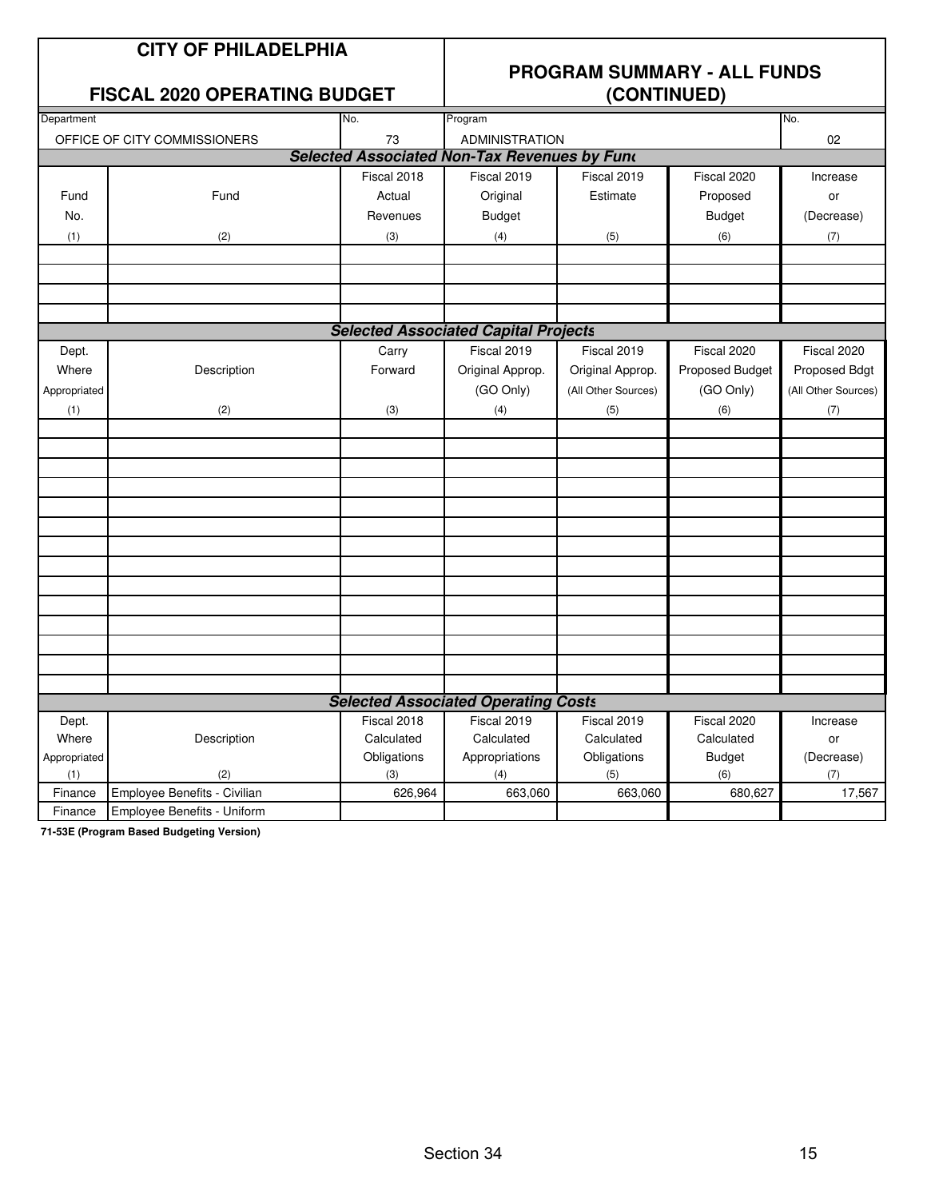### **CITY OF PHILADELPHIA**

### **FISCAL 2020 OPERATING BUDGET**

## **PROGRAM SUMMARY - ALL FUNDS**

| Department   |                              |             |                                                     |                     |                 |                     |
|--------------|------------------------------|-------------|-----------------------------------------------------|---------------------|-----------------|---------------------|
|              |                              | No.         | Program                                             |                     |                 | No.                 |
|              | OFFICE OF CITY COMMISSIONERS | 73          | <b>ADMINISTRATION</b>                               |                     |                 | 02                  |
|              |                              |             | <b>Selected Associated Non-Tax Revenues by Fund</b> |                     |                 |                     |
|              |                              | Fiscal 2018 | Fiscal 2019                                         | Fiscal 2019         | Fiscal 2020     | Increase            |
| Fund         | Fund                         | Actual      | Original                                            | Estimate            | Proposed        | or                  |
| No.          |                              | Revenues    | <b>Budget</b>                                       |                     | <b>Budget</b>   | (Decrease)          |
| (1)          | (2)                          | (3)         | (4)                                                 | (5)                 | (6)             | (7)                 |
|              |                              |             |                                                     |                     |                 |                     |
|              |                              |             |                                                     |                     |                 |                     |
|              |                              |             |                                                     |                     |                 |                     |
|              |                              |             |                                                     |                     |                 |                     |
|              |                              |             | <b>Selected Associated Capital Projects</b>         |                     |                 |                     |
| Dept.        |                              | Carry       | Fiscal 2019                                         | Fiscal 2019         | Fiscal 2020     | Fiscal 2020         |
| Where        | Description                  | Forward     | Original Approp.                                    | Original Approp.    | Proposed Budget | Proposed Bdgt       |
| Appropriated |                              |             | (GO Only)                                           | (All Other Sources) | (GO Only)       | (All Other Sources) |
| (1)          | (2)                          | (3)         | (4)                                                 | (5)                 | (6)             | (7)                 |
|              |                              |             |                                                     |                     |                 |                     |
|              |                              |             |                                                     |                     |                 |                     |
|              |                              |             |                                                     |                     |                 |                     |
|              |                              |             |                                                     |                     |                 |                     |
|              |                              |             |                                                     |                     |                 |                     |
|              |                              |             |                                                     |                     |                 |                     |
|              |                              |             |                                                     |                     |                 |                     |
|              |                              |             |                                                     |                     |                 |                     |
|              |                              |             |                                                     |                     |                 |                     |
|              |                              |             |                                                     |                     |                 |                     |
|              |                              |             |                                                     |                     |                 |                     |
|              |                              |             |                                                     |                     |                 |                     |
|              |                              |             |                                                     |                     |                 |                     |
|              |                              |             |                                                     |                     |                 |                     |
|              |                              |             | <b>Selected Associated Operating Costs</b>          |                     |                 |                     |
| Dept.        |                              | Fiscal 2018 | Fiscal 2019                                         | Fiscal 2019         | Fiscal 2020     | Increase            |
| Where        | Description                  | Calculated  | Calculated                                          | Calculated          | Calculated      | or                  |
| Appropriated |                              | Obligations | Appropriations                                      | Obligations         | <b>Budget</b>   | (Decrease)          |
| (1)          | (2)                          | (3)         | (4)                                                 | (5)                 | (6)             | (7)                 |
| Finance      | Employee Benefits - Civilian | 626,964     | 663,060                                             | 663,060             | 680,627         | 17,567              |
| Finance      | Employee Benefits - Uniform  |             |                                                     |                     |                 |                     |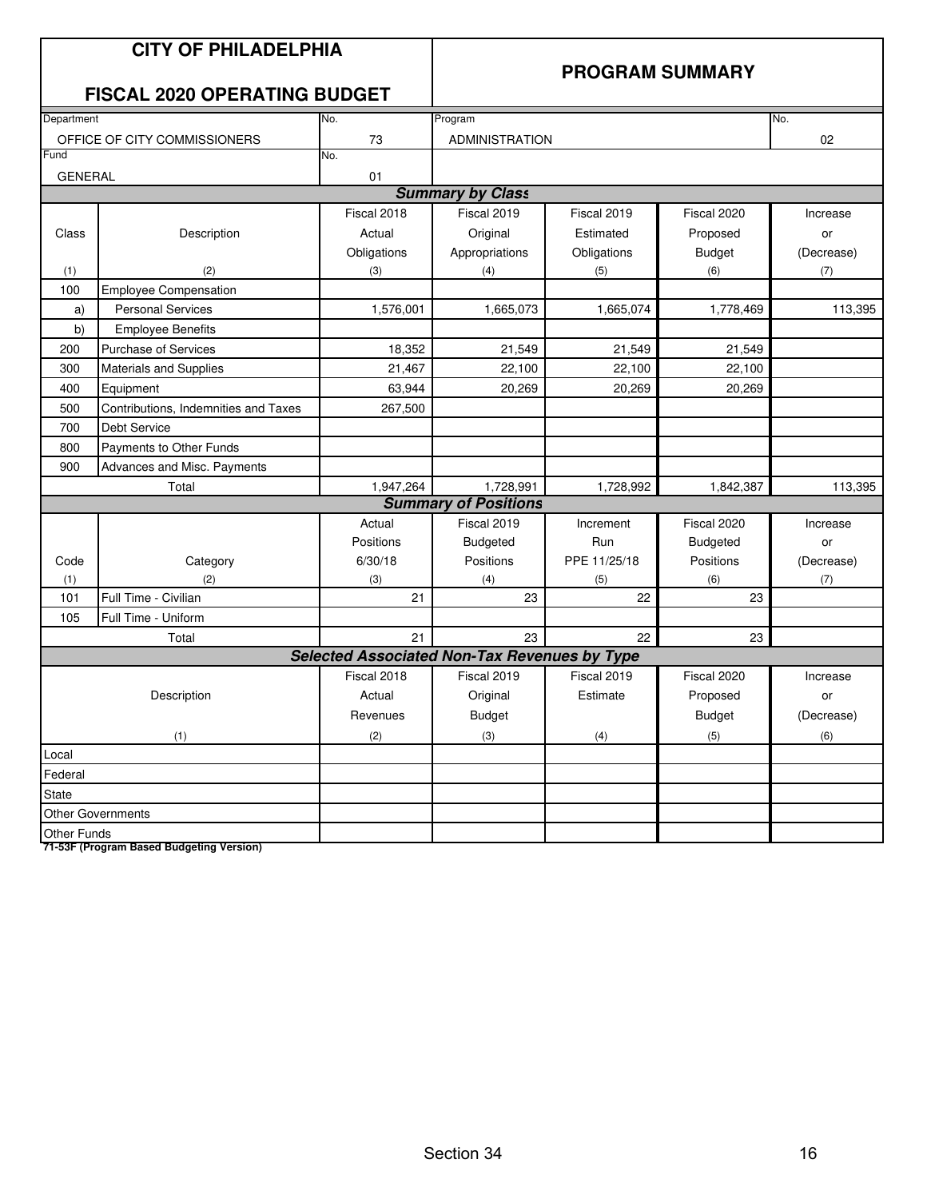## **CITY OF PHILADELPHIA FISCAL 2020 OPERATING BUDGET**

### **PROGRAM SUMMARY**

|                    | I ISOAL 2020 OF LITATING DODGET      |             |                                                     |              |                 |            |
|--------------------|--------------------------------------|-------------|-----------------------------------------------------|--------------|-----------------|------------|
| Department         |                                      | No.         | Program                                             |              |                 | No.        |
|                    | OFFICE OF CITY COMMISSIONERS         | 73          | <b>ADMINISTRATION</b>                               |              |                 | 02         |
| Fund               |                                      | No.         |                                                     |              |                 |            |
| <b>GENERAL</b>     |                                      | 01          |                                                     |              |                 |            |
|                    |                                      |             | <b>Summary by Class</b>                             |              |                 |            |
|                    |                                      | Fiscal 2018 | Fiscal 2019                                         | Fiscal 2019  | Fiscal 2020     | Increase   |
| Class              | Description                          | Actual      | Original                                            | Estimated    | Proposed        | or         |
|                    |                                      | Obligations | Appropriations                                      | Obligations  | <b>Budget</b>   | (Decrease) |
| (1)                | (2)                                  | (3)         | (4)                                                 | (5)          | (6)             | (7)        |
| 100                | <b>Employee Compensation</b>         |             |                                                     |              |                 |            |
| a)                 | <b>Personal Services</b>             | 1,576,001   | 1,665,073                                           | 1,665,074    | 1,778,469       | 113,395    |
| b)                 | <b>Employee Benefits</b>             |             |                                                     |              |                 |            |
| 200                | Purchase of Services                 | 18,352      | 21,549                                              | 21,549       | 21,549          |            |
| 300                | Materials and Supplies               | 21,467      | 22,100                                              | 22,100       | 22,100          |            |
| 400                | Equipment                            | 63,944      | 20,269                                              | 20,269       | 20,269          |            |
| 500                | Contributions, Indemnities and Taxes | 267,500     |                                                     |              |                 |            |
| 700                | Debt Service                         |             |                                                     |              |                 |            |
| 800                | Payments to Other Funds              |             |                                                     |              |                 |            |
| 900                | Advances and Misc. Payments          |             |                                                     |              |                 |            |
|                    | Total                                | 1,947,264   | 1,728,991                                           | 1,728,992    | 1,842,387       | 113,395    |
|                    |                                      |             | <b>Summary of Positions</b>                         |              |                 |            |
|                    |                                      | Actual      | Fiscal 2019                                         | Increment    | Fiscal 2020     | Increase   |
|                    |                                      | Positions   | <b>Budgeted</b>                                     | Run          | <b>Budgeted</b> | or         |
| Code               | Category                             | 6/30/18     | Positions                                           | PPE 11/25/18 | Positions       | (Decrease) |
| (1)                | (2)                                  | (3)         | (4)                                                 | (5)          | (6)             | (7)        |
| 101                | Full Time - Civilian                 | 21          | 23                                                  | 22           | 23              |            |
| 105                | Full Time - Uniform                  |             |                                                     |              |                 |            |
|                    | Total                                | 21          | 23                                                  | 22           | 23              |            |
|                    |                                      |             | <b>Selected Associated Non-Tax Revenues by Type</b> |              |                 |            |
|                    |                                      | Fiscal 2018 | Fiscal 2019                                         | Fiscal 2019  | Fiscal 2020     | Increase   |
|                    | Description                          | Actual      | Original                                            | Estimate     | Proposed        | or         |
|                    |                                      | Revenues    | <b>Budget</b>                                       |              | <b>Budget</b>   | (Decrease) |
|                    | (1)                                  | (2)         | (3)                                                 | (4)          | (5)             | (6)        |
| Local              |                                      |             |                                                     |              |                 |            |
| Federal            |                                      |             |                                                     |              |                 |            |
| <b>State</b>       |                                      |             |                                                     |              |                 |            |
|                    | <b>Other Governments</b>             |             |                                                     |              |                 |            |
| <b>Other Funds</b> |                                      |             |                                                     |              |                 |            |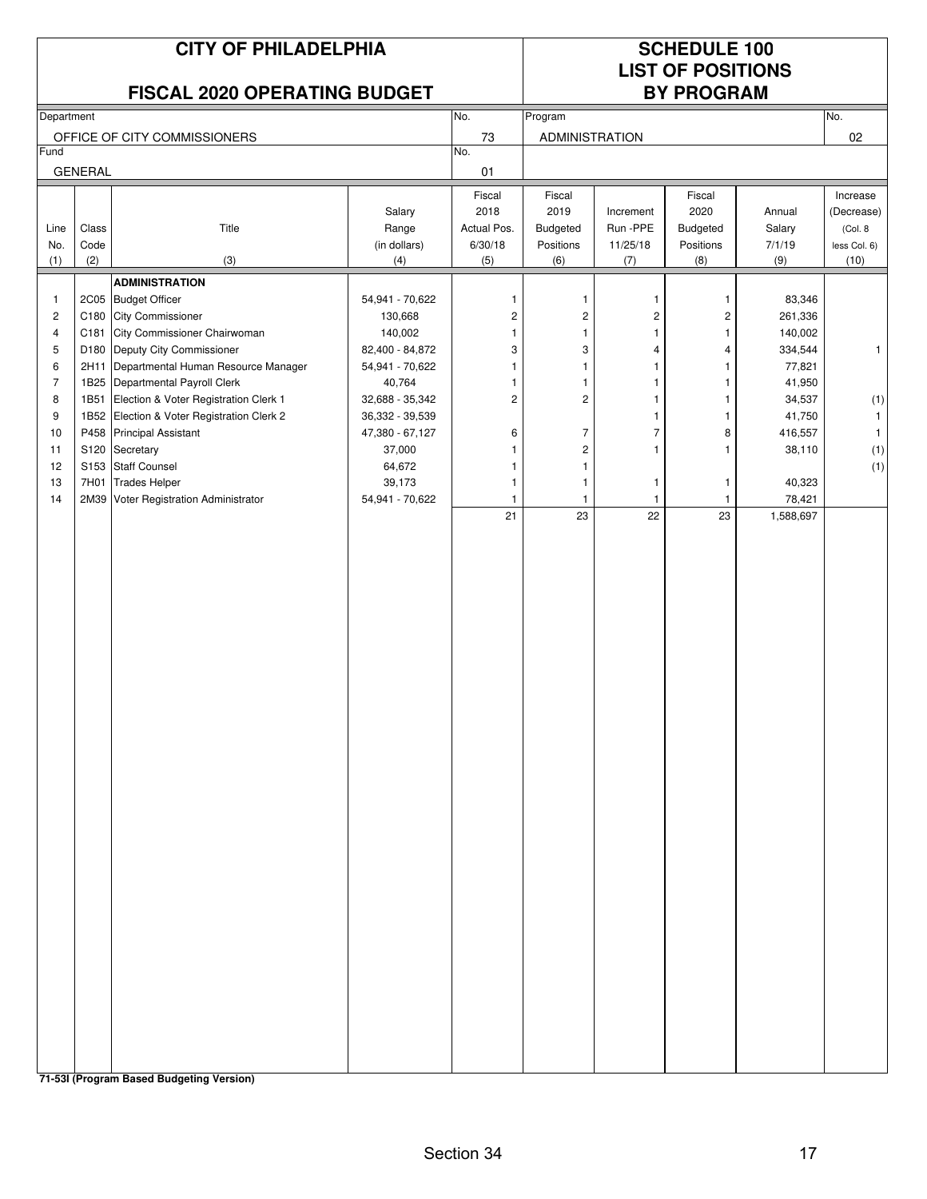|                |                |                                       | <b>CITY OF PHILADELPHIA</b><br>FISCAL 2020 OPERATING BUDGET |                         |                         |                      | <b>SCHEDULE 100</b><br><b>LIST OF POSITIONS</b><br><b>BY PROGRAM</b> |                     |              |  |  |
|----------------|----------------|---------------------------------------|-------------------------------------------------------------|-------------------------|-------------------------|----------------------|----------------------------------------------------------------------|---------------------|--------------|--|--|
|                |                |                                       |                                                             | No.                     |                         |                      |                                                                      |                     | No.          |  |  |
| Department     |                |                                       |                                                             |                         | Program                 |                      |                                                                      |                     |              |  |  |
| Fund           |                | OFFICE OF CITY COMMISSIONERS          |                                                             | 73<br>No.               | <b>ADMINISTRATION</b>   |                      |                                                                      |                     | 02           |  |  |
|                | <b>GENERAL</b> |                                       |                                                             | 01                      |                         |                      |                                                                      |                     |              |  |  |
|                |                |                                       |                                                             | Fiscal                  | Fiscal                  |                      | Fiscal                                                               |                     | Increase     |  |  |
|                |                |                                       | Salary                                                      | 2018                    | 2019                    | Increment            | 2020                                                                 | Annual              | (Decrease)   |  |  |
| Line           | Class          | Title                                 | Range                                                       | Actual Pos.             | Budgeted                | Run -PPE             | <b>Budgeted</b>                                                      | Salary              | (Col. 8)     |  |  |
| No.            | Code           |                                       | (in dollars)                                                | 6/30/18                 | Positions               | 11/25/18             | Positions                                                            | 7/1/19              | less Col. 6) |  |  |
| (1)            | (2)            | (3)                                   | (4)                                                         | (5)                     | (6)                     | (7)                  | (8)                                                                  | (9)                 | (10)         |  |  |
|                |                | <b>ADMINISTRATION</b>                 |                                                             |                         |                         |                      |                                                                      |                     |              |  |  |
| $\mathbf{1}$   | <b>2C05</b>    | <b>Budget Officer</b>                 | 54,941 - 70,622                                             | 1                       | $\mathbf{1}$            | 1                    | -1                                                                   | 83,346              |              |  |  |
| $\overline{c}$ | C180           | <b>City Commissioner</b>              | 130,668                                                     | $\overline{\mathbf{c}}$ | $\overline{c}$          | 2                    | $\overline{c}$                                                       | 261,336             |              |  |  |
| 4              | C181           | City Commissioner Chairwoman          | 140,002                                                     | $\mathbf{1}$            | $\mathbf{1}$            | 1                    | 1                                                                    | 140,002             |              |  |  |
| 5              | D180           | Deputy City Commissioner              | 82,400 - 84,872                                             | 3                       | 3                       | 4                    | 4                                                                    | 334,544             | $\mathbf{1}$ |  |  |
| 6              | 2H11           | Departmental Human Resource Manager   | 54,941 - 70,622                                             | 1                       | 1                       | 1                    | 1                                                                    | 77,821              |              |  |  |
| $\overline{7}$ |                | 1B25 Departmental Payroll Clerk       | 40,764                                                      | 1                       | 1                       | 1                    | 1                                                                    | 41,950              |              |  |  |
| 8              | 1B51           | Election & Voter Registration Clerk 1 | 32,688 - 35,342                                             | $\overline{c}$          | $\overline{c}$          | $\mathbf{1}$         | 1                                                                    | 34,537              | (1)          |  |  |
| 9              | 1B52           | Election & Voter Registration Clerk 2 | 36,332 - 39,539                                             |                         |                         | 1                    | 1                                                                    | 41,750              | 1            |  |  |
| 10             |                | P458 Principal Assistant              | 47,380 - 67,127                                             | 6                       | $\overline{7}$          | $\overline{7}$       | 8                                                                    | 416,557             | $\mathbf{1}$ |  |  |
| 11             |                | S120 Secretary                        | 37,000                                                      | 1                       | $\overline{\mathbf{c}}$ | 1                    | 1                                                                    | 38,110              | (1)          |  |  |
| 12             |                | S153 Staff Counsel                    | 64,672                                                      | 1                       | $\mathbf{1}$            |                      |                                                                      |                     | (1)          |  |  |
| 13             | 7H01           | <b>Trades Helper</b>                  | 39,173                                                      | 1                       | $\mathbf{1}$            | 1                    | $\mathbf 1$                                                          | 40,323              |              |  |  |
| 14             |                | 2M39 Voter Registration Administrator | 54,941 - 70,622                                             | 1<br>21                 | 1<br>23                 | $\overline{1}$<br>22 | $\mathbf{1}$<br>23                                                   | 78,421<br>1,588,697 |              |  |  |
|                |                |                                       |                                                             |                         |                         |                      |                                                                      |                     |              |  |  |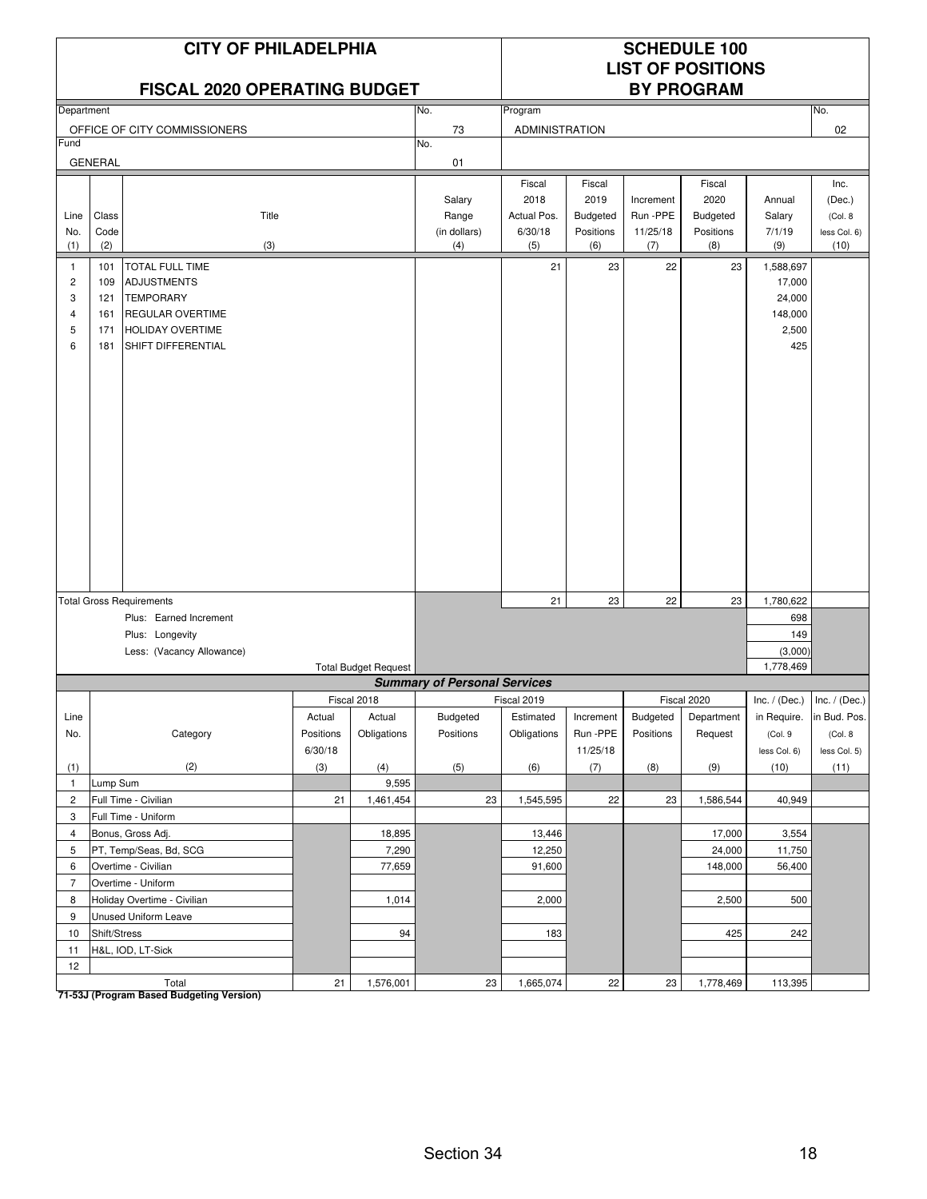### **FISCAL 2020 OPERATING BUDGET**

# **LIST OF POSITIONS**

| Department     |                |                                 |           |                             | No.<br>Program                      |                       |                 |           |                 |                 | No.             |
|----------------|----------------|---------------------------------|-----------|-----------------------------|-------------------------------------|-----------------------|-----------------|-----------|-----------------|-----------------|-----------------|
|                |                |                                 |           |                             |                                     |                       |                 |           |                 |                 |                 |
|                |                | OFFICE OF CITY COMMISSIONERS    |           |                             | 73                                  | <b>ADMINISTRATION</b> |                 |           |                 |                 | 02              |
| Fund           |                |                                 |           |                             | No.                                 |                       |                 |           |                 |                 |                 |
|                | <b>GENERAL</b> |                                 |           |                             | 01                                  |                       |                 |           |                 |                 |                 |
|                |                |                                 |           |                             |                                     | Fiscal                | Fiscal          |           | Fiscal          |                 | Inc.            |
|                |                |                                 |           |                             | Salary                              | 2018                  | 2019            | Increment | 2020            | Annual          | (Dec.)          |
| Line           | Class          | Title                           |           |                             | Range                               | Actual Pos.           | <b>Budgeted</b> | Run-PPE   | <b>Budgeted</b> | Salary          | (Col. 8)        |
| No.            | Code           |                                 |           |                             | (in dollars)                        | 6/30/18               | Positions       | 11/25/18  | Positions       | 7/1/19          | less Col. 6)    |
| (1)            | (2)            | (3)                             |           |                             | (4)                                 | (5)                   | (6)             | (7)       | (8)             | (9)             | (10)            |
| $\mathbf{1}$   | 101            | TOTAL FULL TIME                 |           |                             |                                     | 21                    | 23              | 22        | 23              | 1,588,697       |                 |
| $\overline{c}$ | 109            | <b>ADJUSTMENTS</b>              |           |                             |                                     |                       |                 |           |                 | 17,000          |                 |
| 3              | 121            | <b>TEMPORARY</b>                |           |                             |                                     |                       |                 |           |                 | 24,000          |                 |
| $\overline{4}$ | 161            | <b>REGULAR OVERTIME</b>         |           |                             |                                     |                       |                 |           |                 | 148,000         |                 |
| 5              | 171            | <b>HOLIDAY OVERTIME</b>         |           |                             |                                     |                       |                 |           |                 | 2,500           |                 |
|                |                |                                 |           |                             |                                     |                       |                 |           |                 |                 |                 |
| 6              | 181            | SHIFT DIFFERENTIAL              |           |                             |                                     |                       |                 |           |                 | 425             |                 |
|                |                |                                 |           |                             |                                     |                       |                 |           |                 |                 |                 |
|                |                |                                 |           |                             |                                     |                       |                 |           |                 |                 |                 |
|                |                |                                 |           |                             |                                     |                       |                 |           |                 |                 |                 |
|                |                |                                 |           |                             |                                     |                       |                 |           |                 |                 |                 |
|                |                |                                 |           |                             |                                     |                       |                 |           |                 |                 |                 |
|                |                |                                 |           |                             |                                     |                       |                 |           |                 |                 |                 |
|                |                |                                 |           |                             |                                     |                       |                 |           |                 |                 |                 |
|                |                |                                 |           |                             |                                     |                       |                 |           |                 |                 |                 |
|                |                |                                 |           |                             |                                     |                       |                 |           |                 |                 |                 |
|                |                |                                 |           |                             |                                     |                       |                 |           |                 |                 |                 |
|                |                |                                 |           |                             |                                     |                       |                 |           |                 |                 |                 |
|                |                |                                 |           |                             |                                     |                       |                 |           |                 |                 |                 |
|                |                |                                 |           |                             |                                     |                       |                 |           |                 |                 |                 |
|                |                |                                 |           |                             |                                     |                       |                 |           |                 |                 |                 |
|                |                |                                 |           |                             |                                     |                       |                 |           |                 |                 |                 |
|                |                | <b>Total Gross Requirements</b> |           |                             |                                     | 21                    | 23              | 22        | 23              | 1,780,622       |                 |
|                |                | Plus: Earned Increment          |           |                             |                                     |                       |                 |           |                 | 698             |                 |
|                |                |                                 |           |                             |                                     |                       |                 |           |                 |                 |                 |
|                |                | Plus: Longevity                 |           |                             |                                     |                       |                 |           |                 | 149             |                 |
|                |                | Less: (Vacancy Allowance)       |           |                             |                                     |                       |                 |           |                 | (3,000)         |                 |
|                |                |                                 |           | <b>Total Budget Request</b> |                                     |                       |                 |           |                 | 1,778,469       |                 |
|                |                |                                 |           |                             | <b>Summary of Personal Services</b> |                       |                 |           |                 |                 |                 |
|                |                |                                 |           | Fiscal 2018                 |                                     | Fiscal 2019           |                 |           | Fiscal 2020     | Inc. $/$ (Dec.) | Inc. $/$ (Dec.) |
| Line           |                |                                 | Actual    | Actual                      | Budgeted                            | Estimated             | Increment       | Budgeted  | Department      | in Require.     | in Bud. Pos.    |
| No.            |                | Category                        | Positions | Obligations                 | Positions                           | Obligations           | Run-PPE         | Positions | Request         | (Col.9          | (Col. 8)        |
|                |                |                                 | 6/30/18   |                             |                                     |                       | 11/25/18        |           |                 | less Col. 6)    | less Col. 5)    |
| (1)            |                | (2)                             | (3)       | (4)                         | (5)                                 | (6)                   | (7)             | (8)       | (9)             | (10)            | (11)            |
| $\mathbf{1}$   | Lump Sum       |                                 |           | 9,595                       |                                     |                       |                 |           |                 |                 |                 |
| $\overline{2}$ |                | Full Time - Civilian            | 21        | 1,461,454                   | 23                                  | 1,545,595             | 22              | 23        | 1,586,544       | 40,949          |                 |
| 3              |                | Full Time - Uniform             |           |                             |                                     |                       |                 |           |                 |                 |                 |
|                |                |                                 |           |                             |                                     |                       |                 |           |                 |                 |                 |
| 4              |                | Bonus, Gross Adj.               |           | 18,895                      |                                     | 13,446                |                 |           | 17,000          | 3,554           |                 |
| 5              |                | PT, Temp/Seas, Bd, SCG          |           | 7,290                       |                                     | 12,250                |                 |           | 24,000          | 11,750          |                 |
| 6              |                | Overtime - Civilian             |           | 77,659                      |                                     | 91,600                |                 |           | 148,000         | 56,400          |                 |
| $\overline{7}$ |                | Overtime - Uniform              |           |                             |                                     |                       |                 |           |                 |                 |                 |
| 8              |                | Holiday Overtime - Civilian     |           | 1,014                       |                                     | 2,000                 |                 |           | 2,500           | 500             |                 |
| 9              |                | Unused Uniform Leave            |           |                             |                                     |                       |                 |           |                 |                 |                 |
| 10             | Shift/Stress   |                                 |           | 94                          |                                     | 183                   |                 |           | 425             | 242             |                 |
| 11             |                | H&L, IOD, LT-Sick               |           |                             |                                     |                       |                 |           |                 |                 |                 |
| 12             |                |                                 |           |                             |                                     |                       |                 |           |                 |                 |                 |
|                |                | Total                           | 21        | 1,576,001                   | 23                                  | 1,665,074             | 22              | 23        | 1,778,469       | 113,395         |                 |
|                |                |                                 |           |                             |                                     |                       |                 |           |                 |                 |                 |

Total<br><mark>71-53J (Program Based Budgeting Version)</mark>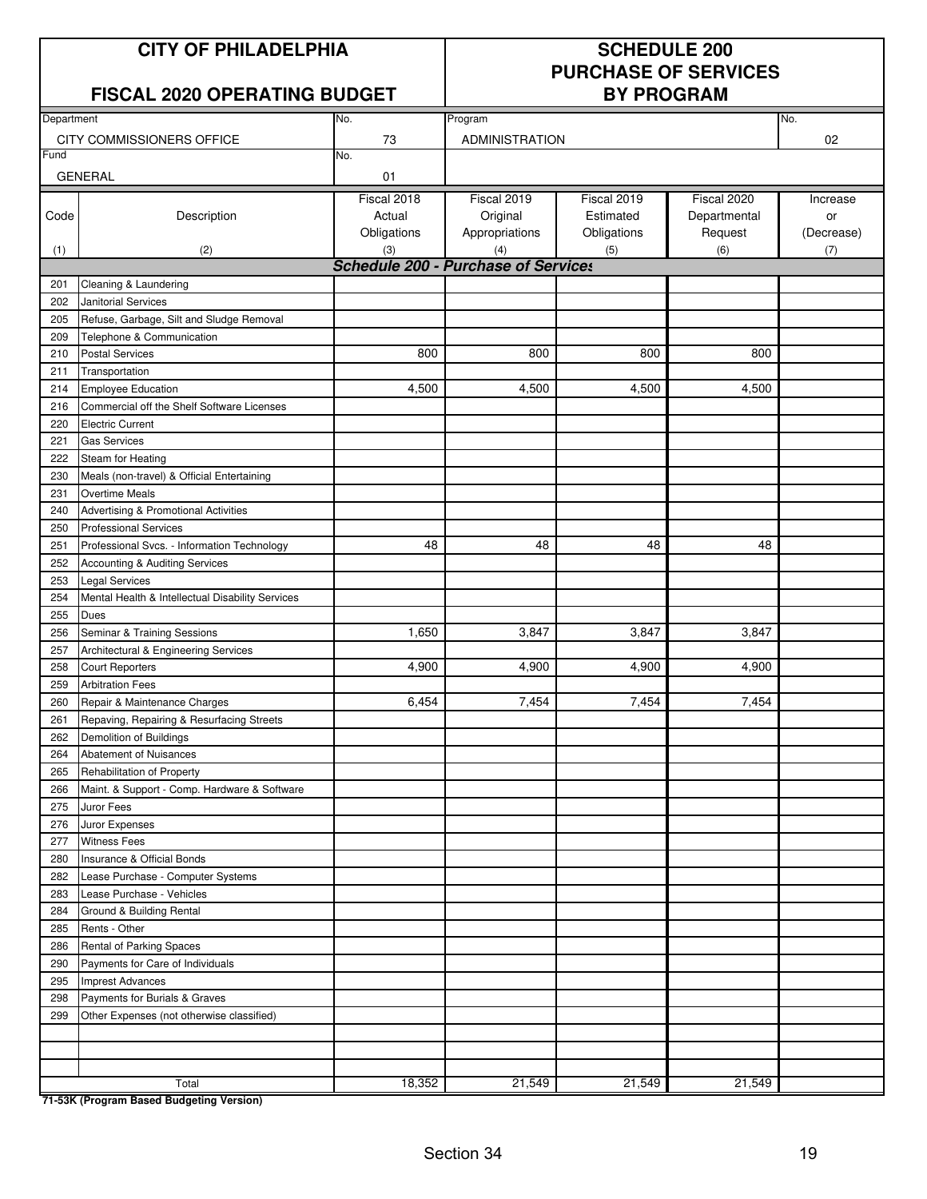### **FISCAL 2020 OPERATING BUDGET**

# **PURCHASE OF SERVICES**

| Department |                                                  | No.                                               |                           | No.         |              |            |
|------------|--------------------------------------------------|---------------------------------------------------|---------------------------|-------------|--------------|------------|
|            | CITY COMMISSIONERS OFFICE                        | 73                                                | Program<br>ADMINISTRATION |             |              | 02         |
| Fund       |                                                  | No.                                               |                           |             |              |            |
|            | <b>GENERAL</b>                                   | 01                                                |                           |             |              |            |
|            |                                                  |                                                   |                           |             |              |            |
|            |                                                  | Fiscal 2018                                       | Fiscal 2019               | Fiscal 2019 | Fiscal 2020  | Increase   |
| Code       | Description                                      | Actual                                            | Original                  | Estimated   | Departmental | or         |
|            |                                                  | Obligations                                       | Appropriations            | Obligations | Request      | (Decrease) |
| (1)        | (2)                                              | (3)<br><b>Schedule 200 - Purchase of Services</b> | (4)                       | (5)         | (6)          | (7)        |
|            |                                                  |                                                   |                           |             |              |            |
| 201        | Cleaning & Laundering                            |                                                   |                           |             |              |            |
| 202        | Janitorial Services                              |                                                   |                           |             |              |            |
| 205        | Refuse, Garbage, Silt and Sludge Removal         |                                                   |                           |             |              |            |
| 209        | Telephone & Communication                        |                                                   |                           |             |              |            |
| 210        | <b>Postal Services</b>                           | 800                                               | 800                       | 800         | 800          |            |
| 211        | Transportation                                   |                                                   |                           |             |              |            |
| 214        | <b>Employee Education</b>                        | 4,500                                             | 4,500                     | 4,500       | 4,500        |            |
| 216        | Commercial off the Shelf Software Licenses       |                                                   |                           |             |              |            |
| 220        | <b>Electric Current</b>                          |                                                   |                           |             |              |            |
| 221        | <b>Gas Services</b>                              |                                                   |                           |             |              |            |
| 222        | Steam for Heating                                |                                                   |                           |             |              |            |
| 230        | Meals (non-travel) & Official Entertaining       |                                                   |                           |             |              |            |
| 231        | <b>Overtime Meals</b>                            |                                                   |                           |             |              |            |
| 240        | Advertising & Promotional Activities             |                                                   |                           |             |              |            |
| 250        | <b>Professional Services</b>                     |                                                   |                           |             |              |            |
| 251        | Professional Svcs. - Information Technology      | 48                                                | 48                        | 48          | 48           |            |
| 252        | Accounting & Auditing Services                   |                                                   |                           |             |              |            |
| 253        | <b>Legal Services</b>                            |                                                   |                           |             |              |            |
| 254        | Mental Health & Intellectual Disability Services |                                                   |                           |             |              |            |
| 255        | Dues                                             |                                                   |                           |             |              |            |
| 256        | Seminar & Training Sessions                      | 1,650                                             | 3,847                     | 3,847       | 3,847        |            |
| 257        | Architectural & Engineering Services             |                                                   |                           |             |              |            |
| 258        | <b>Court Reporters</b>                           | 4,900                                             | 4,900                     | 4,900       | 4,900        |            |
| 259        | <b>Arbitration Fees</b>                          |                                                   |                           |             |              |            |
| 260        | Repair & Maintenance Charges                     | 6,454                                             | 7,454                     | 7,454       | 7,454        |            |
| 261        | Repaving, Repairing & Resurfacing Streets        |                                                   |                           |             |              |            |
| 262        | Demolition of Buildings                          |                                                   |                           |             |              |            |
| 264        | <b>Abatement of Nuisances</b>                    |                                                   |                           |             |              |            |
| 265        | Rehabilitation of Property                       |                                                   |                           |             |              |            |
| 266        | Maint. & Support - Comp. Hardware & Software     |                                                   |                           |             |              |            |
| 275        | Juror Fees                                       |                                                   |                           |             |              |            |
| 276        | Juror Expenses                                   |                                                   |                           |             |              |            |
| 277        | <b>Witness Fees</b>                              |                                                   |                           |             |              |            |
| 280        | Insurance & Official Bonds                       |                                                   |                           |             |              |            |
| 282        | Lease Purchase - Computer Systems                |                                                   |                           |             |              |            |
| 283        | Lease Purchase - Vehicles                        |                                                   |                           |             |              |            |
| 284        | Ground & Building Rental                         |                                                   |                           |             |              |            |
| 285        | Rents - Other                                    |                                                   |                           |             |              |            |
| 286        | Rental of Parking Spaces                         |                                                   |                           |             |              |            |
| 290        | Payments for Care of Individuals                 |                                                   |                           |             |              |            |
| 295        | <b>Imprest Advances</b>                          |                                                   |                           |             |              |            |
| 298        | Payments for Burials & Graves                    |                                                   |                           |             |              |            |
| 299        | Other Expenses (not otherwise classified)        |                                                   |                           |             |              |            |
|            |                                                  |                                                   |                           |             |              |            |
|            |                                                  |                                                   |                           |             |              |            |
|            |                                                  |                                                   |                           |             |              |            |
|            | Total                                            | 18,352                                            | 21,549                    | 21,549      | 21,549       |            |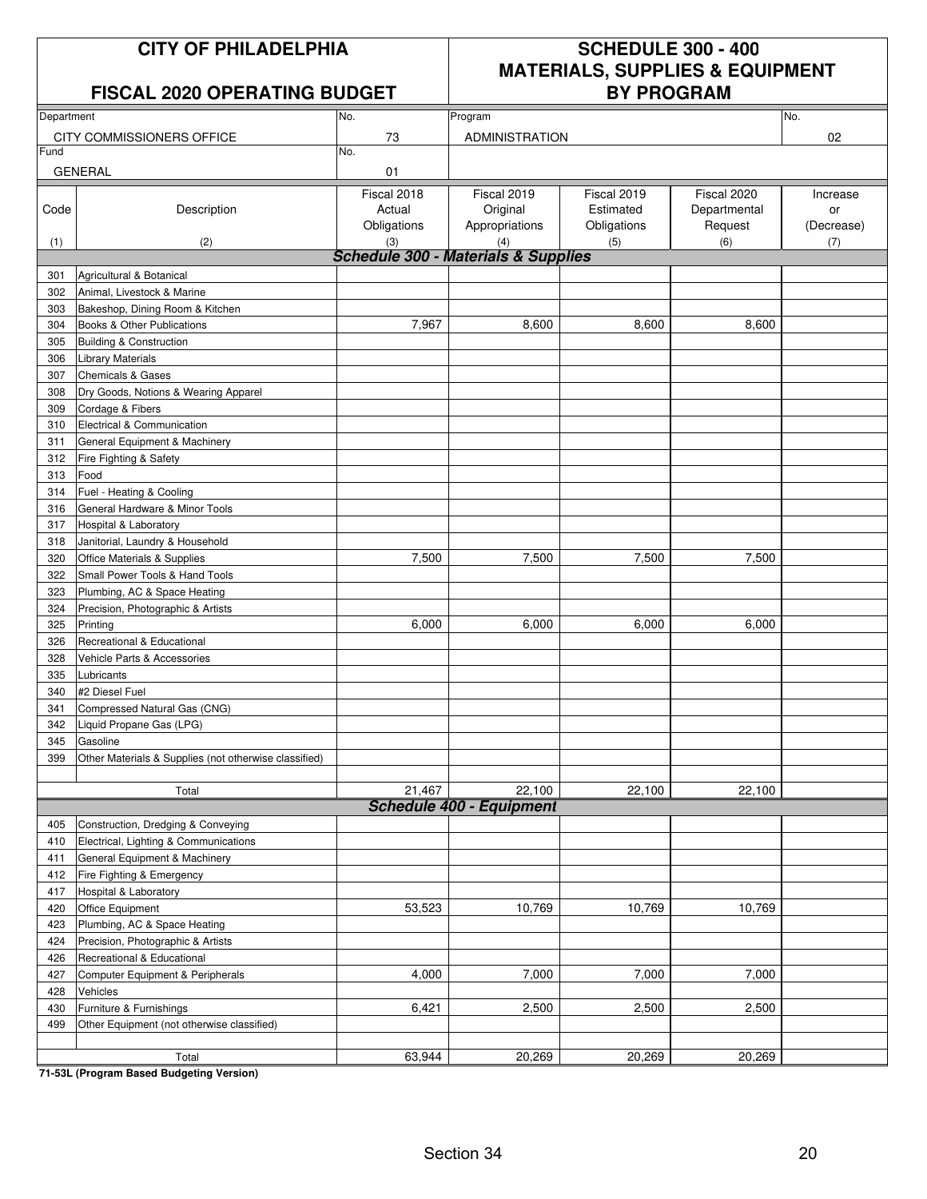### **FISCAL 2020 OPERATING BUDGET**

## **CITY OF PHILADELPHIA SCHEDULE 300 - 400 MATERIALS, SUPPLIES & EQUIPMENT**

| Department |                                                        | No.                                                   | Program                         |             |              | No.        |
|------------|--------------------------------------------------------|-------------------------------------------------------|---------------------------------|-------------|--------------|------------|
|            | CITY COMMISSIONERS OFFICE                              | 73                                                    | <b>ADMINISTRATION</b>           |             |              | 02         |
| Fund       |                                                        | No.                                                   |                                 |             |              |            |
|            | <b>GENERAL</b>                                         | 01                                                    |                                 |             |              |            |
|            |                                                        |                                                       |                                 |             |              |            |
|            |                                                        | Fiscal 2018                                           | Fiscal 2019                     | Fiscal 2019 | Fiscal 2020  | Increase   |
| Code       | Description                                            | Actual                                                | Original                        | Estimated   | Departmental | or         |
|            |                                                        | Obligations                                           | Appropriations                  | Obligations | Request      | (Decrease) |
| (1)        | (2)                                                    | (3)<br><b>Schedule 300 - Materials &amp; Supplies</b> | (4)                             | (5)         | (6)          | (7)        |
|            |                                                        |                                                       |                                 |             |              |            |
| 301<br>302 | Agricultural & Botanical<br>Animal, Livestock & Marine |                                                       |                                 |             |              |            |
|            |                                                        |                                                       |                                 |             |              |            |
| 303        | Bakeshop, Dining Room & Kitchen                        | 7,967                                                 | 8,600                           | 8,600       | 8,600        |            |
| 304        | Books & Other Publications                             |                                                       |                                 |             |              |            |
| 305        | <b>Building &amp; Construction</b>                     |                                                       |                                 |             |              |            |
| 306        | <b>Library Materials</b>                               |                                                       |                                 |             |              |            |
| 307        | <b>Chemicals &amp; Gases</b>                           |                                                       |                                 |             |              |            |
| 308        | Dry Goods, Notions & Wearing Apparel                   |                                                       |                                 |             |              |            |
| 309        | Cordage & Fibers                                       |                                                       |                                 |             |              |            |
| 310        | Electrical & Communication                             |                                                       |                                 |             |              |            |
| 311        | General Equipment & Machinery                          |                                                       |                                 |             |              |            |
| 312        | Fire Fighting & Safety                                 |                                                       |                                 |             |              |            |
| 313        | Food                                                   |                                                       |                                 |             |              |            |
| 314        | Fuel - Heating & Cooling                               |                                                       |                                 |             |              |            |
| 316        | General Hardware & Minor Tools                         |                                                       |                                 |             |              |            |
| 317        | Hospital & Laboratory                                  |                                                       |                                 |             |              |            |
| 318        | Janitorial, Laundry & Household                        |                                                       |                                 |             |              |            |
| 320        | Office Materials & Supplies                            | 7,500                                                 | 7,500                           | 7,500       | 7,500        |            |
| 322        | Small Power Tools & Hand Tools                         |                                                       |                                 |             |              |            |
| 323        | Plumbing, AC & Space Heating                           |                                                       |                                 |             |              |            |
| 324        | Precision, Photographic & Artists                      |                                                       |                                 |             |              |            |
| 325        | Printing                                               | 6,000                                                 | 6,000                           | 6,000       | 6,000        |            |
| 326        | Recreational & Educational                             |                                                       |                                 |             |              |            |
| 328        | Vehicle Parts & Accessories                            |                                                       |                                 |             |              |            |
| 335        | Lubricants                                             |                                                       |                                 |             |              |            |
| 340        | #2 Diesel Fuel                                         |                                                       |                                 |             |              |            |
| 341        | Compressed Natural Gas (CNG)                           |                                                       |                                 |             |              |            |
| 342        | Liquid Propane Gas (LPG)                               |                                                       |                                 |             |              |            |
| 345        | Gasoline                                               |                                                       |                                 |             |              |            |
| 399        | Other Materials & Supplies (not otherwise classified)  |                                                       |                                 |             |              |            |
|            |                                                        |                                                       |                                 |             |              |            |
|            | Total                                                  | 21,467                                                | 22,100                          | 22,100      | 22,100       |            |
|            |                                                        |                                                       | <b>Schedule 400 - Equipment</b> |             |              |            |
| 405        | Construction, Dredging & Conveying                     |                                                       |                                 |             |              |            |
| 410        | Electrical, Lighting & Communications                  |                                                       |                                 |             |              |            |
| 411        | General Equipment & Machinery                          |                                                       |                                 |             |              |            |
| 412        | Fire Fighting & Emergency                              |                                                       |                                 |             |              |            |
| 417        | Hospital & Laboratory                                  |                                                       |                                 |             |              |            |
| 420        | Office Equipment                                       | 53,523                                                | 10,769                          | 10,769      | 10,769       |            |
| 423        | Plumbing, AC & Space Heating                           |                                                       |                                 |             |              |            |
| 424        | Precision, Photographic & Artists                      |                                                       |                                 |             |              |            |
| 426        | Recreational & Educational                             |                                                       |                                 |             |              |            |
| 427        | Computer Equipment & Peripherals                       | 4,000                                                 | 7,000                           | 7,000       | 7,000        |            |
| 428        | Vehicles                                               |                                                       |                                 |             |              |            |
| 430        | Furniture & Furnishings                                | 6,421                                                 | 2,500                           | 2,500       | 2,500        |            |
| 499        | Other Equipment (not otherwise classified)             |                                                       |                                 |             |              |            |
|            |                                                        |                                                       |                                 |             |              |            |
|            | Total                                                  | 63,944                                                | 20,269                          | 20,269      | 20,269       |            |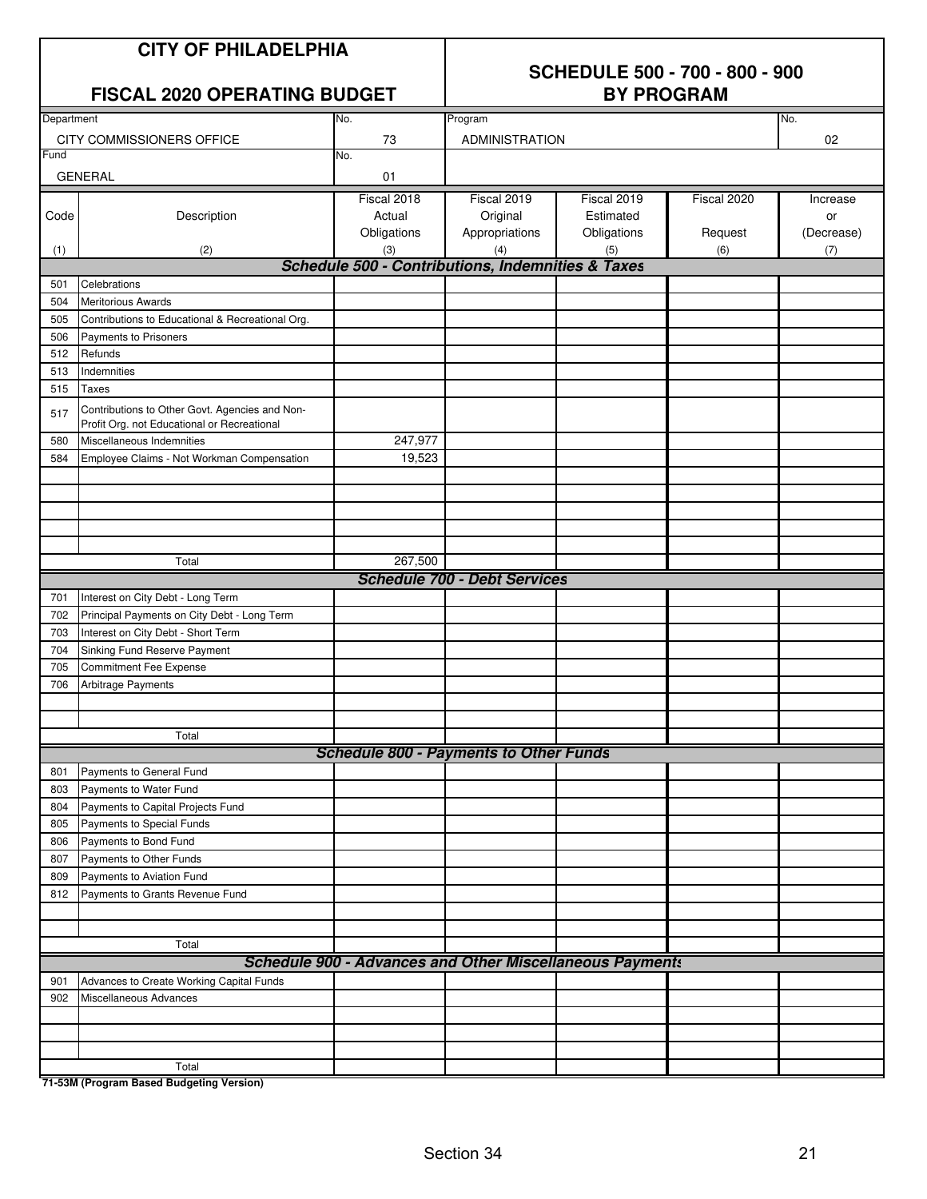### **CITY OF PHILADELPHIA**

## **SCHEDULE 500 - 700 - 800 - 900**

### **FISCAL 2020 OPERATING BUDGET**

| Department |                                                                                               | No.         | Program                                                         |             |             | No.        |
|------------|-----------------------------------------------------------------------------------------------|-------------|-----------------------------------------------------------------|-------------|-------------|------------|
|            | CITY COMMISSIONERS OFFICE                                                                     | 73          | ADMINISTRATION                                                  |             |             | 02         |
| Fund       |                                                                                               | No.         |                                                                 |             |             |            |
|            | <b>GENERAL</b>                                                                                | 01          |                                                                 |             |             |            |
|            |                                                                                               | Fiscal 2018 | Fiscal 2019                                                     | Fiscal 2019 | Fiscal 2020 | Increase   |
| Code       | Description                                                                                   | Actual      | Original                                                        | Estimated   |             | or         |
|            |                                                                                               | Obligations | Appropriations                                                  | Obligations | Request     | (Decrease) |
| (1)        | (2)                                                                                           | (3)         | (4)                                                             | (5)         | (6)         | (7)        |
|            |                                                                                               |             | <b>Schedule 500 - Contributions, Indemnities &amp; Taxes</b>    |             |             |            |
| 501        | Celebrations                                                                                  |             |                                                                 |             |             |            |
| 504        | <b>Meritorious Awards</b>                                                                     |             |                                                                 |             |             |            |
| 505        | Contributions to Educational & Recreational Org.                                              |             |                                                                 |             |             |            |
| 506        | Payments to Prisoners                                                                         |             |                                                                 |             |             |            |
| 512        | Refunds                                                                                       |             |                                                                 |             |             |            |
| 513        | Indemnities                                                                                   |             |                                                                 |             |             |            |
| 515        | Taxes                                                                                         |             |                                                                 |             |             |            |
|            |                                                                                               |             |                                                                 |             |             |            |
| 517        | Contributions to Other Govt. Agencies and Non-<br>Profit Org. not Educational or Recreational |             |                                                                 |             |             |            |
| 580        | Miscellaneous Indemnities                                                                     | 247,977     |                                                                 |             |             |            |
| 584        | Employee Claims - Not Workman Compensation                                                    | 19,523      |                                                                 |             |             |            |
|            |                                                                                               |             |                                                                 |             |             |            |
|            |                                                                                               |             |                                                                 |             |             |            |
|            |                                                                                               |             |                                                                 |             |             |            |
|            |                                                                                               |             |                                                                 |             |             |            |
|            |                                                                                               |             |                                                                 |             |             |            |
|            | Total                                                                                         | 267,500     |                                                                 |             |             |            |
|            |                                                                                               |             | <b>Schedule 700 - Debt Services</b>                             |             |             |            |
| 701        | Interest on City Debt - Long Term                                                             |             |                                                                 |             |             |            |
| 702        | Principal Payments on City Debt - Long Term                                                   |             |                                                                 |             |             |            |
| 703        | Interest on City Debt - Short Term                                                            |             |                                                                 |             |             |            |
| 704        | Sinking Fund Reserve Payment                                                                  |             |                                                                 |             |             |            |
| 705        | <b>Commitment Fee Expense</b>                                                                 |             |                                                                 |             |             |            |
| 706        | Arbitrage Payments                                                                            |             |                                                                 |             |             |            |
|            |                                                                                               |             |                                                                 |             |             |            |
|            |                                                                                               |             |                                                                 |             |             |            |
|            | Total                                                                                         |             |                                                                 |             |             |            |
|            |                                                                                               |             | <b>Schedule 800 - Payments to Other Funds</b>                   |             |             |            |
| 801        | Payments to General Fund                                                                      |             |                                                                 |             |             |            |
| 803        | Payments to Water Fund                                                                        |             |                                                                 |             |             |            |
| 804        | Payments to Capital Projects Fund                                                             |             |                                                                 |             |             |            |
| 805        | Payments to Special Funds                                                                     |             |                                                                 |             |             |            |
| 806        | Payments to Bond Fund                                                                         |             |                                                                 |             |             |            |
| 807        | Payments to Other Funds                                                                       |             |                                                                 |             |             |            |
| 809        | Payments to Aviation Fund                                                                     |             |                                                                 |             |             |            |
| 812        | Payments to Grants Revenue Fund                                                               |             |                                                                 |             |             |            |
|            |                                                                                               |             |                                                                 |             |             |            |
|            |                                                                                               |             |                                                                 |             |             |            |
|            | Total                                                                                         |             |                                                                 |             |             |            |
|            |                                                                                               |             | <b>Schedule 900 - Advances and Other Miscellaneous Payments</b> |             |             |            |
| 901        | Advances to Create Working Capital Funds                                                      |             |                                                                 |             |             |            |
| 902        | Miscellaneous Advances                                                                        |             |                                                                 |             |             |            |
|            |                                                                                               |             |                                                                 |             |             |            |
|            |                                                                                               |             |                                                                 |             |             |            |
|            |                                                                                               |             |                                                                 |             |             |            |
|            | Total                                                                                         |             |                                                                 |             |             |            |
|            |                                                                                               |             |                                                                 |             |             |            |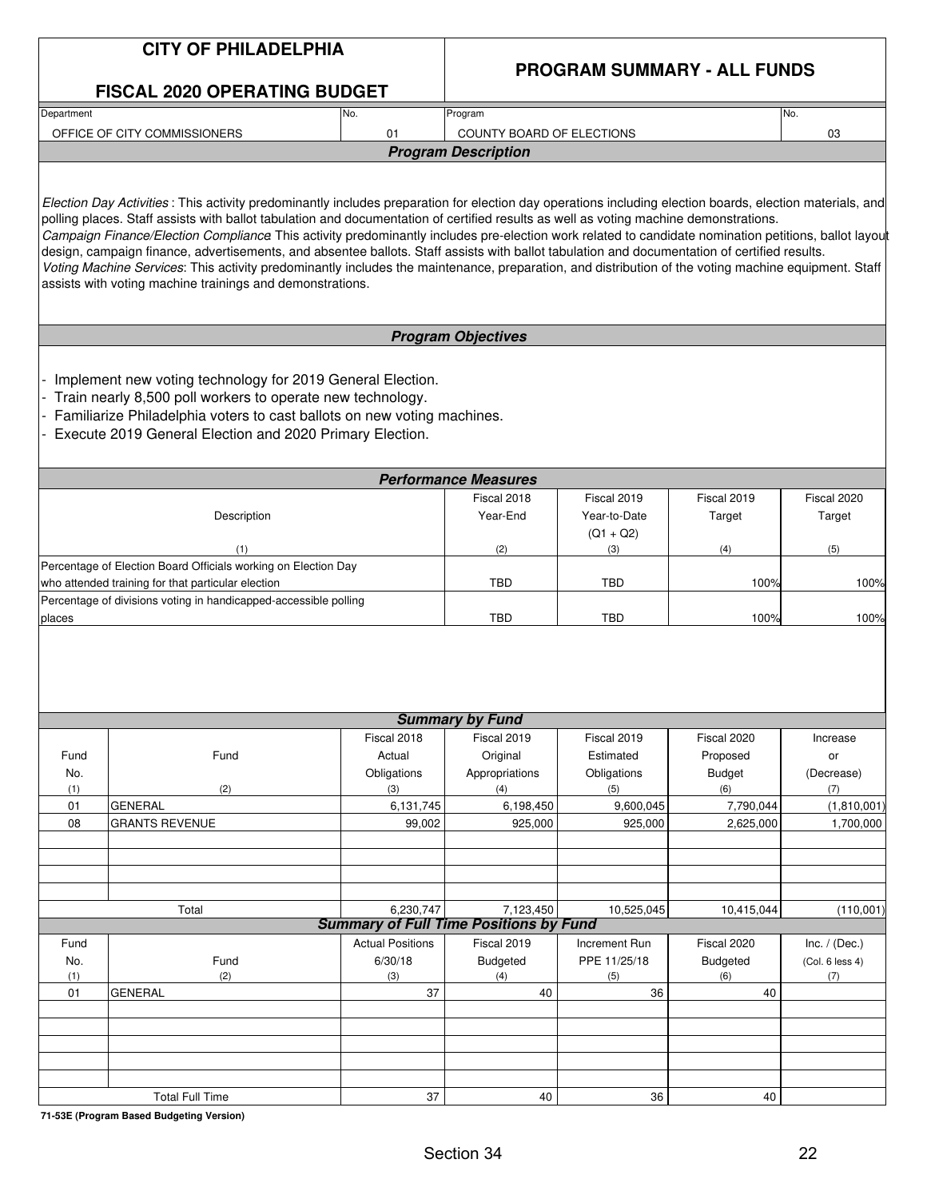|            | <b>CITY OF PHILADELPHIA</b>                                                                                                                                                                                                                                                                                                                                                                                                                                                                                                                                                                                                                                                                                                                                                                                                   |                         |                                                            |                             |                                    |                          |
|------------|-------------------------------------------------------------------------------------------------------------------------------------------------------------------------------------------------------------------------------------------------------------------------------------------------------------------------------------------------------------------------------------------------------------------------------------------------------------------------------------------------------------------------------------------------------------------------------------------------------------------------------------------------------------------------------------------------------------------------------------------------------------------------------------------------------------------------------|-------------------------|------------------------------------------------------------|-----------------------------|------------------------------------|--------------------------|
|            | <b>FISCAL 2020 OPERATING BUDGET</b>                                                                                                                                                                                                                                                                                                                                                                                                                                                                                                                                                                                                                                                                                                                                                                                           |                         |                                                            |                             | <b>PROGRAM SUMMARY - ALL FUNDS</b> |                          |
| Department |                                                                                                                                                                                                                                                                                                                                                                                                                                                                                                                                                                                                                                                                                                                                                                                                                               | No.                     | Program                                                    |                             |                                    | No.                      |
|            | OFFICE OF CITY COMMISSIONERS                                                                                                                                                                                                                                                                                                                                                                                                                                                                                                                                                                                                                                                                                                                                                                                                  | 01                      | COUNTY BOARD OF ELECTIONS                                  |                             |                                    |                          |
|            |                                                                                                                                                                                                                                                                                                                                                                                                                                                                                                                                                                                                                                                                                                                                                                                                                               |                         | <b>Program Description</b>                                 |                             |                                    | 03                       |
|            |                                                                                                                                                                                                                                                                                                                                                                                                                                                                                                                                                                                                                                                                                                                                                                                                                               |                         |                                                            |                             |                                    |                          |
|            | Election Day Activities: This activity predominantly includes preparation for election day operations including election boards, election materials, and<br>polling places. Staff assists with ballot tabulation and documentation of certified results as well as voting machine demonstrations.<br>Campaign Finance/Election Compliance This activity predominantly includes pre-election work related to candidate nomination petitions, ballot layout<br>design, campaign finance, advertisements, and absentee ballots. Staff assists with ballot tabulation and documentation of certified results.<br>Voting Machine Services: This activity predominantly includes the maintenance, preparation, and distribution of the voting machine equipment. Staff<br>assists with voting machine trainings and demonstrations. |                         |                                                            |                             |                                    |                          |
|            |                                                                                                                                                                                                                                                                                                                                                                                                                                                                                                                                                                                                                                                                                                                                                                                                                               |                         | <b>Program Objectives</b>                                  |                             |                                    |                          |
|            | Implement new voting technology for 2019 General Election.<br>Train nearly 8,500 poll workers to operate new technology.<br>Familiarize Philadelphia voters to cast ballots on new voting machines.<br>Execute 2019 General Election and 2020 Primary Election.                                                                                                                                                                                                                                                                                                                                                                                                                                                                                                                                                               |                         |                                                            |                             |                                    |                          |
|            |                                                                                                                                                                                                                                                                                                                                                                                                                                                                                                                                                                                                                                                                                                                                                                                                                               |                         | <b>Performance Measures</b>                                |                             |                                    |                          |
|            | Description                                                                                                                                                                                                                                                                                                                                                                                                                                                                                                                                                                                                                                                                                                                                                                                                                   |                         | Fiscal 2018<br>Year-End                                    | Fiscal 2019<br>Year-to-Date | Fiscal 2019<br>Target              | Fiscal 2020<br>Target    |
|            | (1)                                                                                                                                                                                                                                                                                                                                                                                                                                                                                                                                                                                                                                                                                                                                                                                                                           |                         | (2)                                                        | $(Q1 + Q2)$<br>(3)          | (4)                                | (5)                      |
|            | Percentage of Election Board Officials working on Election Day                                                                                                                                                                                                                                                                                                                                                                                                                                                                                                                                                                                                                                                                                                                                                                |                         |                                                            |                             |                                    |                          |
|            | who attended training for that particular election<br>Percentage of divisions voting in handicapped-accessible polling                                                                                                                                                                                                                                                                                                                                                                                                                                                                                                                                                                                                                                                                                                        |                         | <b>TBD</b>                                                 | <b>TBD</b>                  | 100%                               | 100%                     |
| places     |                                                                                                                                                                                                                                                                                                                                                                                                                                                                                                                                                                                                                                                                                                                                                                                                                               |                         | <b>TBD</b>                                                 | TBD                         | 100%                               | 100%                     |
|            |                                                                                                                                                                                                                                                                                                                                                                                                                                                                                                                                                                                                                                                                                                                                                                                                                               | Fiscal 2018             | <b>Summary by Fund</b><br>Fiscal 2019                      | Fiscal 2019                 | Fiscal 2020                        | Increase                 |
| Fund       | Fund                                                                                                                                                                                                                                                                                                                                                                                                                                                                                                                                                                                                                                                                                                                                                                                                                          | Actual                  | Original                                                   | Estimated                   | Proposed                           | or                       |
| No.        |                                                                                                                                                                                                                                                                                                                                                                                                                                                                                                                                                                                                                                                                                                                                                                                                                               | Obligations             | Appropriations                                             | Obligations                 | <b>Budget</b>                      | (Decrease)               |
| (1)        | (2)                                                                                                                                                                                                                                                                                                                                                                                                                                                                                                                                                                                                                                                                                                                                                                                                                           | (3)                     | (4)                                                        | (5)                         | (6)                                | (7)                      |
| 01<br>08   | <b>GENERAL</b><br><b>GRANTS REVENUE</b>                                                                                                                                                                                                                                                                                                                                                                                                                                                                                                                                                                                                                                                                                                                                                                                       | 6,131,745<br>99,002     | 6,198,450<br>925,000                                       | 9,600,045<br>925.000        | 7,790,044<br>2,625,000             | (1,810,001)<br>1,700,000 |
|            |                                                                                                                                                                                                                                                                                                                                                                                                                                                                                                                                                                                                                                                                                                                                                                                                                               |                         |                                                            |                             |                                    |                          |
|            |                                                                                                                                                                                                                                                                                                                                                                                                                                                                                                                                                                                                                                                                                                                                                                                                                               |                         |                                                            |                             |                                    |                          |
|            |                                                                                                                                                                                                                                                                                                                                                                                                                                                                                                                                                                                                                                                                                                                                                                                                                               |                         |                                                            |                             |                                    |                          |
|            |                                                                                                                                                                                                                                                                                                                                                                                                                                                                                                                                                                                                                                                                                                                                                                                                                               |                         |                                                            |                             |                                    |                          |
|            | Total                                                                                                                                                                                                                                                                                                                                                                                                                                                                                                                                                                                                                                                                                                                                                                                                                         | 6,230,747               | 7,123,450<br><b>Summary of Full Time Positions by Fund</b> | 10,525,045                  | 10,415,044                         | (110,001)                |
| Fund       |                                                                                                                                                                                                                                                                                                                                                                                                                                                                                                                                                                                                                                                                                                                                                                                                                               | <b>Actual Positions</b> | Fiscal 2019                                                | Increment Run               | Fiscal 2020                        | Inc. $/$ (Dec.)          |
| No.        | Fund                                                                                                                                                                                                                                                                                                                                                                                                                                                                                                                                                                                                                                                                                                                                                                                                                          | 6/30/18                 | <b>Budgeted</b>                                            | PPE 11/25/18                | <b>Budgeted</b>                    | (Col. 6 less 4)          |
| (1)        | (2)                                                                                                                                                                                                                                                                                                                                                                                                                                                                                                                                                                                                                                                                                                                                                                                                                           | (3)                     | (4)                                                        | (5)                         | (6)                                | (7)                      |
| 01         | <b>GENERAL</b>                                                                                                                                                                                                                                                                                                                                                                                                                                                                                                                                                                                                                                                                                                                                                                                                                | 37                      | 40                                                         | 36                          | 40                                 |                          |
|            |                                                                                                                                                                                                                                                                                                                                                                                                                                                                                                                                                                                                                                                                                                                                                                                                                               |                         |                                                            |                             |                                    |                          |
|            |                                                                                                                                                                                                                                                                                                                                                                                                                                                                                                                                                                                                                                                                                                                                                                                                                               |                         |                                                            |                             |                                    |                          |
|            |                                                                                                                                                                                                                                                                                                                                                                                                                                                                                                                                                                                                                                                                                                                                                                                                                               |                         |                                                            |                             |                                    |                          |
|            |                                                                                                                                                                                                                                                                                                                                                                                                                                                                                                                                                                                                                                                                                                                                                                                                                               |                         |                                                            |                             |                                    |                          |
|            | <b>Total Full Time</b>                                                                                                                                                                                                                                                                                                                                                                                                                                                                                                                                                                                                                                                                                                                                                                                                        | 37                      | 40                                                         | 36                          | 40                                 |                          |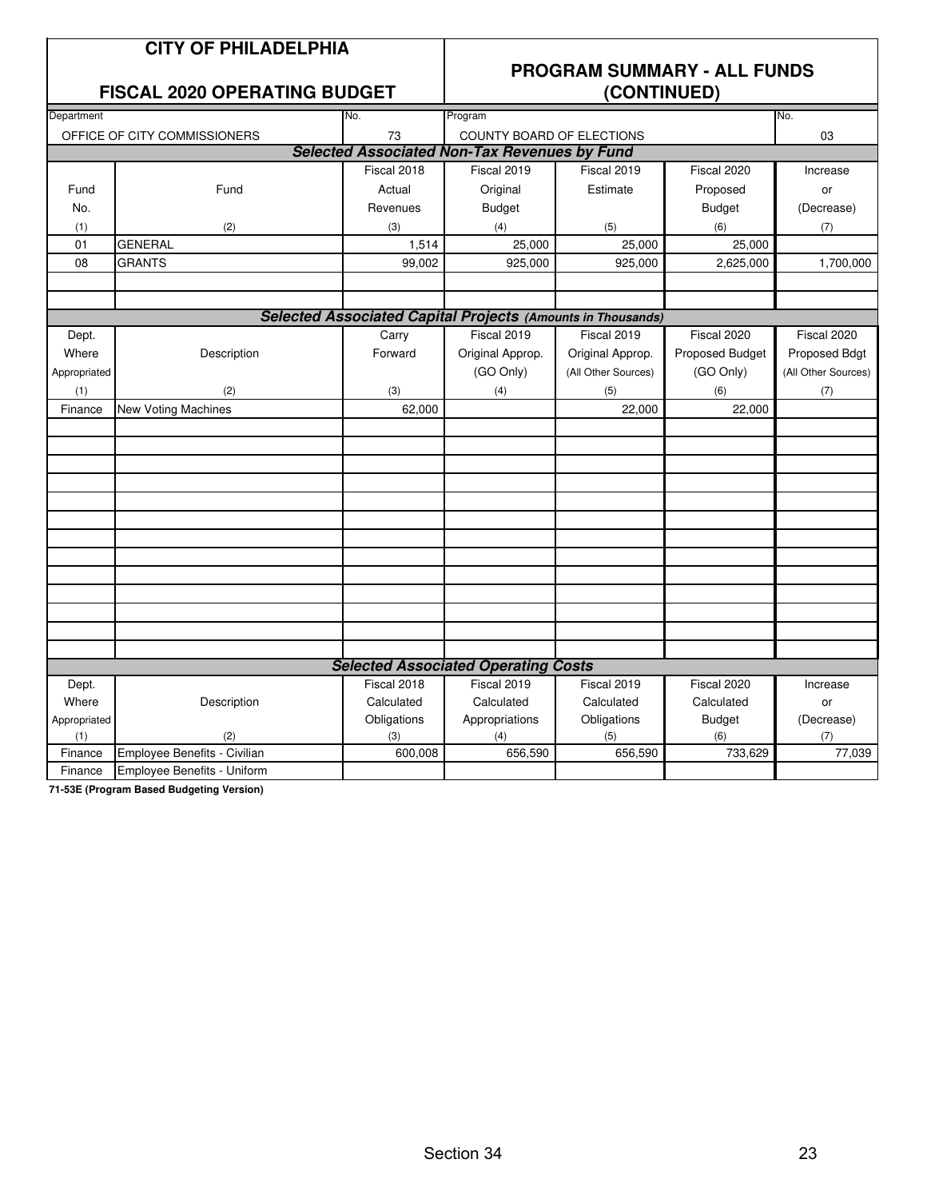| <b>PROGRAM SUMMARY - ALL FUNDS</b><br><b>FISCAL 2020 OPERATING BUDGET</b><br>(CONTINUED)<br>Department<br>No.<br>Program<br>No.<br>OFFICE OF CITY COMMISSIONERS<br>73<br>COUNTY BOARD OF ELECTIONS<br>03<br><b>Selected Associated Non-Tax Revenues by Fund</b><br>Fiscal 2018<br>Fiscal 2019<br>Fiscal 2020<br>Fiscal 2019<br>Increase<br>Fund<br>Estimate<br>Proposed<br>Fund<br>Actual<br>Original<br>or<br>No.<br>Revenues<br><b>Budget</b><br><b>Budget</b><br>(Decrease)<br>(2)<br>(5)<br>(6)<br>(1)<br>(3)<br>(4)<br>(7)<br>01<br><b>GENERAL</b><br>1,514<br>25,000<br>25,000<br>25,000 |
|------------------------------------------------------------------------------------------------------------------------------------------------------------------------------------------------------------------------------------------------------------------------------------------------------------------------------------------------------------------------------------------------------------------------------------------------------------------------------------------------------------------------------------------------------------------------------------------------|
|                                                                                                                                                                                                                                                                                                                                                                                                                                                                                                                                                                                                |
|                                                                                                                                                                                                                                                                                                                                                                                                                                                                                                                                                                                                |
|                                                                                                                                                                                                                                                                                                                                                                                                                                                                                                                                                                                                |
|                                                                                                                                                                                                                                                                                                                                                                                                                                                                                                                                                                                                |
|                                                                                                                                                                                                                                                                                                                                                                                                                                                                                                                                                                                                |
|                                                                                                                                                                                                                                                                                                                                                                                                                                                                                                                                                                                                |
|                                                                                                                                                                                                                                                                                                                                                                                                                                                                                                                                                                                                |
|                                                                                                                                                                                                                                                                                                                                                                                                                                                                                                                                                                                                |
|                                                                                                                                                                                                                                                                                                                                                                                                                                                                                                                                                                                                |
|                                                                                                                                                                                                                                                                                                                                                                                                                                                                                                                                                                                                |
| 08<br><b>GRANTS</b><br>99,002<br>925,000<br>925,000<br>2,625,000<br>1,700,000                                                                                                                                                                                                                                                                                                                                                                                                                                                                                                                  |
|                                                                                                                                                                                                                                                                                                                                                                                                                                                                                                                                                                                                |
|                                                                                                                                                                                                                                                                                                                                                                                                                                                                                                                                                                                                |
| <b>Selected Associated Capital Projects (Amounts in Thousands)</b>                                                                                                                                                                                                                                                                                                                                                                                                                                                                                                                             |
| Fiscal 2019<br>Fiscal 2019<br>Fiscal 2020<br>Carry<br>Fiscal 2020<br>Dept.                                                                                                                                                                                                                                                                                                                                                                                                                                                                                                                     |
| Forward<br>Original Approp.<br>Proposed Budget<br>Where<br>Description<br>Original Approp.<br>Proposed Bdgt                                                                                                                                                                                                                                                                                                                                                                                                                                                                                    |
| (GO Only)<br>(GO Only)<br>(All Other Sources)<br>(All Other Sources)<br>Appropriated                                                                                                                                                                                                                                                                                                                                                                                                                                                                                                           |
| (1)<br>(3)<br>(4)<br>(5)<br>(6)<br>(2)<br>(7)                                                                                                                                                                                                                                                                                                                                                                                                                                                                                                                                                  |
| 62,000<br>22,000<br>22,000<br>Finance<br><b>New Voting Machines</b>                                                                                                                                                                                                                                                                                                                                                                                                                                                                                                                            |
|                                                                                                                                                                                                                                                                                                                                                                                                                                                                                                                                                                                                |
|                                                                                                                                                                                                                                                                                                                                                                                                                                                                                                                                                                                                |
|                                                                                                                                                                                                                                                                                                                                                                                                                                                                                                                                                                                                |
|                                                                                                                                                                                                                                                                                                                                                                                                                                                                                                                                                                                                |
|                                                                                                                                                                                                                                                                                                                                                                                                                                                                                                                                                                                                |
|                                                                                                                                                                                                                                                                                                                                                                                                                                                                                                                                                                                                |
|                                                                                                                                                                                                                                                                                                                                                                                                                                                                                                                                                                                                |
|                                                                                                                                                                                                                                                                                                                                                                                                                                                                                                                                                                                                |
|                                                                                                                                                                                                                                                                                                                                                                                                                                                                                                                                                                                                |
|                                                                                                                                                                                                                                                                                                                                                                                                                                                                                                                                                                                                |
|                                                                                                                                                                                                                                                                                                                                                                                                                                                                                                                                                                                                |
|                                                                                                                                                                                                                                                                                                                                                                                                                                                                                                                                                                                                |
|                                                                                                                                                                                                                                                                                                                                                                                                                                                                                                                                                                                                |
| <b>Selected Associated Operating Costs</b>                                                                                                                                                                                                                                                                                                                                                                                                                                                                                                                                                     |
| Fiscal 2018<br>Fiscal 2019<br>Fiscal 2019<br>Fiscal 2020<br>Dept.<br>Increase                                                                                                                                                                                                                                                                                                                                                                                                                                                                                                                  |
| Where<br>Description<br>Calculated<br>Calculated<br>Calculated<br>Calculated<br>or                                                                                                                                                                                                                                                                                                                                                                                                                                                                                                             |
| Obligations<br>Obligations<br><b>Budget</b><br>(Decrease)<br>Appropriated<br>Appropriations<br>(6)<br>(1)<br>(2)<br>(3)<br>(4)<br>(5)<br>(7)                                                                                                                                                                                                                                                                                                                                                                                                                                                   |
| Employee Benefits - Civilian<br>656,590<br>733,629<br>77,039<br>Finance<br>600,008<br>656,590                                                                                                                                                                                                                                                                                                                                                                                                                                                                                                  |
| Employee Benefits - Uniform<br>Finance                                                                                                                                                                                                                                                                                                                                                                                                                                                                                                                                                         |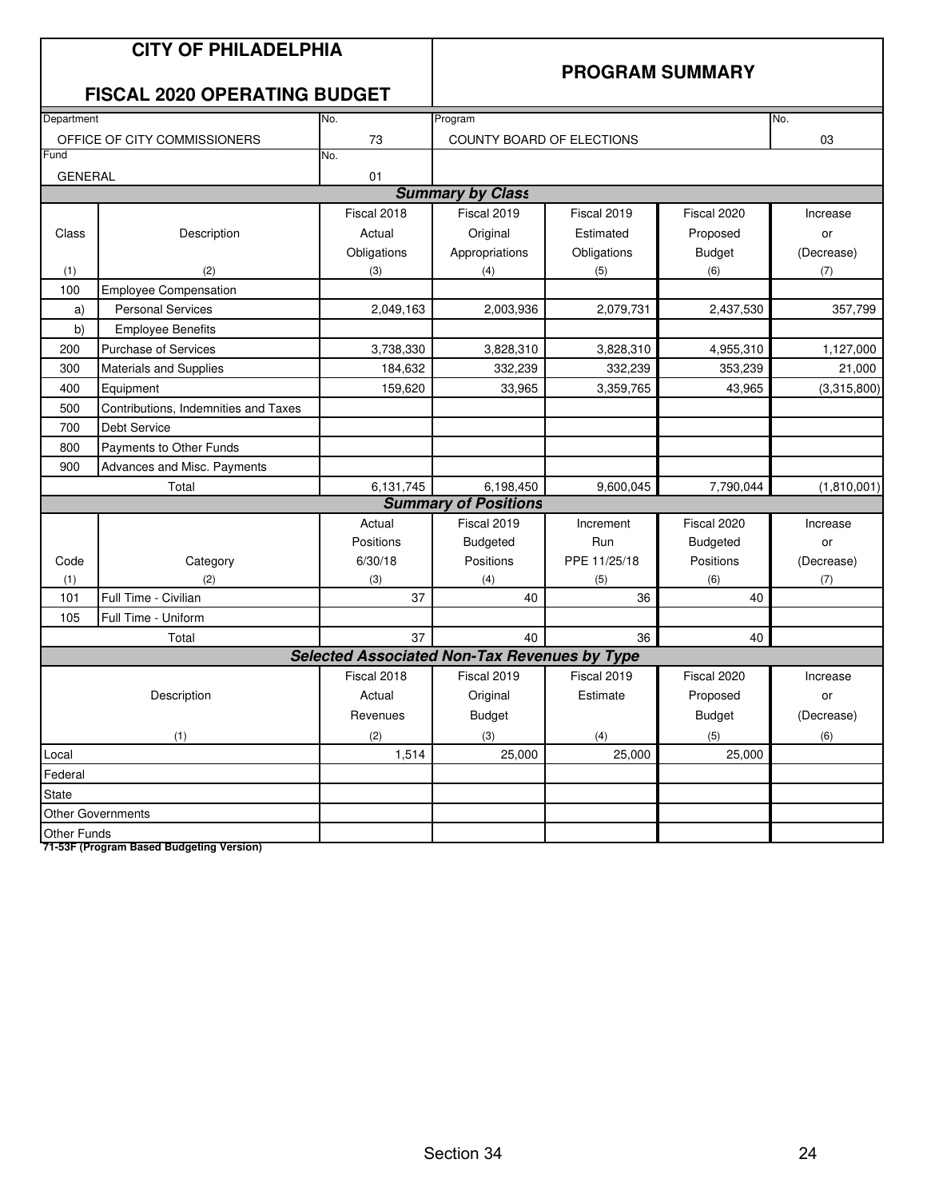|                | <b>CITY OF PHILADELPHIA</b><br><b>FISCAL 2020 OPERATING BUDGET</b> |                                                     |                             | <b>PROGRAM SUMMARY</b> |                 |             |
|----------------|--------------------------------------------------------------------|-----------------------------------------------------|-----------------------------|------------------------|-----------------|-------------|
| Department     |                                                                    | No.                                                 | Program                     |                        |                 | No.         |
|                | OFFICE OF CITY COMMISSIONERS                                       | 73                                                  | COUNTY BOARD OF ELECTIONS   |                        |                 | 03          |
| Fund           |                                                                    | No.                                                 |                             |                        |                 |             |
| <b>GENERAL</b> |                                                                    | 01                                                  |                             |                        |                 |             |
|                |                                                                    |                                                     | <b>Summary by Class</b>     |                        |                 |             |
|                |                                                                    | Fiscal 2018                                         | Fiscal 2019                 | Fiscal 2019            | Fiscal 2020     | Increase    |
| Class          | Description                                                        | Actual                                              | Original                    | Estimated              | Proposed        | or          |
|                |                                                                    | Obligations                                         | Appropriations              | Obligations            | <b>Budget</b>   | (Decrease)  |
| (1)            | (2)                                                                | (3)                                                 | (4)                         | (5)                    | (6)             | (7)         |
| 100            | <b>Employee Compensation</b>                                       |                                                     |                             |                        |                 |             |
| a)             | <b>Personal Services</b>                                           | 2,049,163                                           | 2,003,936                   | 2,079,731              | 2,437,530       | 357,799     |
| b)             | <b>Employee Benefits</b>                                           |                                                     |                             |                        |                 |             |
| 200            | <b>Purchase of Services</b>                                        | 3,738,330                                           | 3,828,310                   | 3,828,310              | 4,955,310       | 1,127,000   |
| 300            | Materials and Supplies                                             | 184,632                                             | 332,239                     | 332,239                | 353,239         | 21,000      |
| 400            | Equipment                                                          | 159,620                                             | 33,965                      | 3,359,765              | 43,965          | (3,315,800) |
| 500            | Contributions, Indemnities and Taxes                               |                                                     |                             |                        |                 |             |
| 700            | <b>Debt Service</b>                                                |                                                     |                             |                        |                 |             |
| 800            | Payments to Other Funds                                            |                                                     |                             |                        |                 |             |
| 900            | Advances and Misc. Payments                                        |                                                     |                             |                        |                 |             |
|                | Total                                                              | 6,131,745                                           | 6,198,450                   | 9,600,045              | 7,790,044       | (1,810,001) |
|                |                                                                    |                                                     | <b>Summary of Positions</b> |                        |                 |             |
|                |                                                                    | Actual                                              | Fiscal 2019                 | Increment              | Fiscal 2020     | Increase    |
|                |                                                                    | Positions                                           | <b>Budgeted</b>             | Run                    | <b>Budgeted</b> | or          |
| Code           | Category                                                           | 6/30/18                                             | Positions                   | PPE 11/25/18           | Positions       | (Decrease)  |
| (1)            | (2)                                                                | (3)                                                 | (4)                         | (5)                    | (6)             | (7)         |
| 101            | Full Time - Civilian                                               | 37                                                  | 40                          | 36                     | 40              |             |
| 105            | Full Time - Uniform                                                |                                                     |                             |                        |                 |             |
|                | Total                                                              | 37                                                  | 40                          | 36                     | 40              |             |
|                |                                                                    | <b>Selected Associated Non-Tax Revenues by Type</b> |                             |                        |                 |             |
|                |                                                                    | Fiscal 2018                                         | Fiscal 2019                 | Fiscal 2019            | Fiscal 2020     | Increase    |
|                | Description                                                        | Actual                                              | Original                    | Estimate               | Proposed        | or          |
|                |                                                                    | Revenues                                            | <b>Budget</b>               |                        | <b>Budget</b>   | (Decrease)  |
|                | (1)                                                                | (2)                                                 | (3)                         | (4)                    | (5)             | (6)         |
| Local          |                                                                    | 1,514                                               | 25,000                      | 25,000                 | 25,000          |             |
| Federal        |                                                                    |                                                     |                             |                        |                 |             |
| State          |                                                                    |                                                     |                             |                        |                 |             |
|                | <b>Other Governments</b>                                           |                                                     |                             |                        |                 |             |
| Other Funds    |                                                                    |                                                     |                             |                        |                 |             |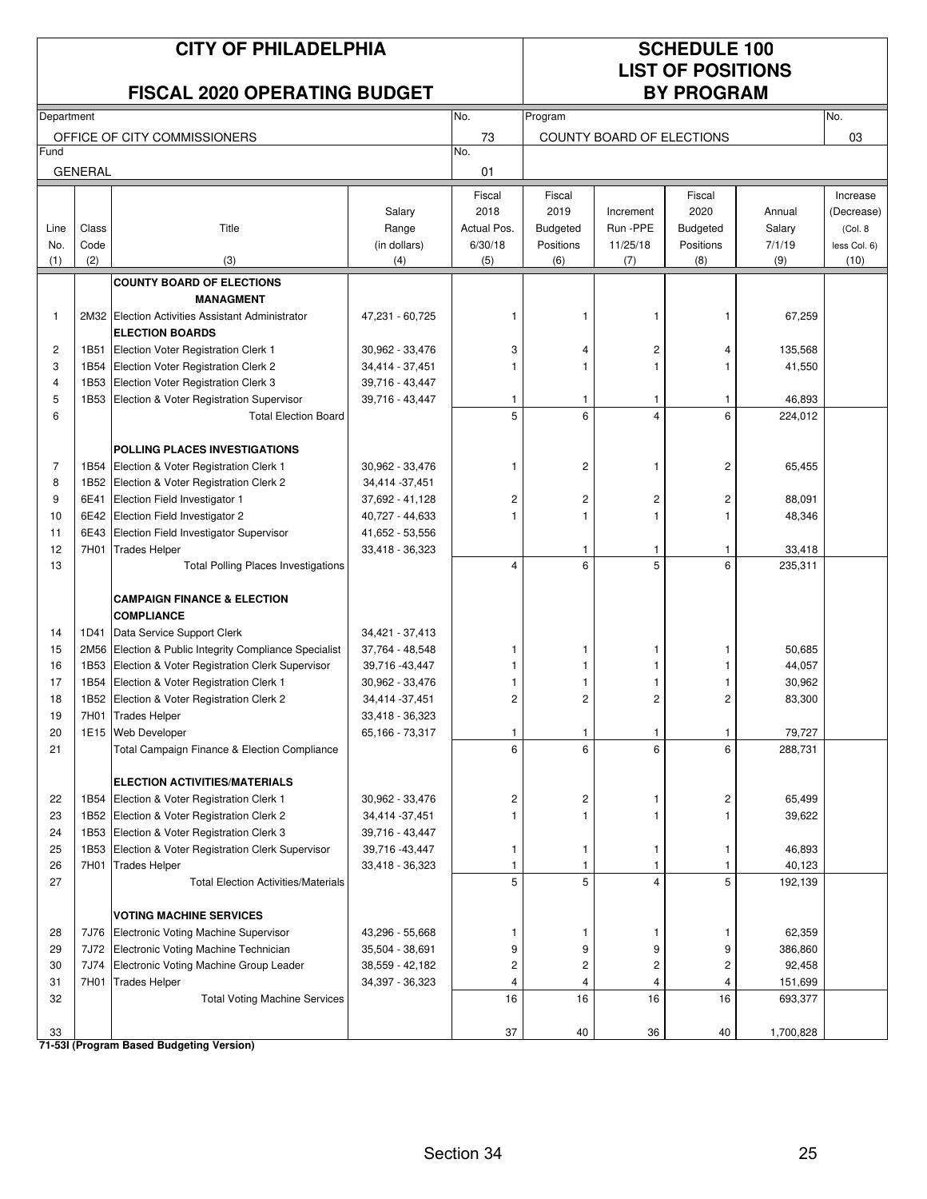| <b>CITY OF PHILADELPHIA</b> |                |                                                                                     |                                    |                     | <b>SCHEDULE 100</b><br><b>LIST OF POSITIONS</b> |                           |                         |                    |                        |  |
|-----------------------------|----------------|-------------------------------------------------------------------------------------|------------------------------------|---------------------|-------------------------------------------------|---------------------------|-------------------------|--------------------|------------------------|--|
|                             |                | <b>FISCAL 2020 OPERATING BUDGET</b>                                                 |                                    |                     |                                                 |                           | <b>BY PROGRAM</b>       |                    |                        |  |
| Department                  |                |                                                                                     |                                    | No.                 | Program                                         |                           |                         |                    | No.                    |  |
| Fund                        |                | OFFICE OF CITY COMMISSIONERS                                                        |                                    | 73<br>No.           |                                                 | COUNTY BOARD OF ELECTIONS |                         |                    | 03                     |  |
|                             | <b>GENERAL</b> |                                                                                     |                                    | 01                  |                                                 |                           |                         |                    |                        |  |
|                             |                |                                                                                     |                                    |                     |                                                 |                           |                         |                    |                        |  |
|                             |                |                                                                                     | Salary                             | Fiscal<br>2018      | Fiscal<br>2019                                  | Increment                 | Fiscal<br>2020          | Annual             | Increase<br>(Decrease) |  |
| Line                        | Class          | Title                                                                               | Range                              | Actual Pos.         | <b>Budgeted</b>                                 | Run -PPE                  | <b>Budgeted</b>         | Salary             | (Col. 8                |  |
| No.                         | Code           |                                                                                     | (in dollars)                       | 6/30/18             | Positions                                       | 11/25/18                  | Positions               | 7/1/19             | less Col. 6)           |  |
| (1)                         | (2)            | (3)                                                                                 | (4)                                | (5)                 | (6)                                             | (7)                       | (8)                     | (9)                | (10)                   |  |
|                             |                | <b>COUNTY BOARD OF ELECTIONS</b>                                                    |                                    |                     |                                                 |                           |                         |                    |                        |  |
|                             |                | <b>MANAGMENT</b>                                                                    |                                    |                     |                                                 |                           |                         |                    |                        |  |
| 1                           |                | 2M32 Election Activities Assistant Administrator<br><b>ELECTION BOARDS</b>          | 47,231 - 60,725                    | 1                   | -1                                              | 1                         | 1                       | 67,259             |                        |  |
| $\overline{c}$              | 1B51           | Election Voter Registration Clerk 1                                                 | 30,962 - 33,476                    | 3                   | 4                                               | 2                         | 4                       | 135,568            |                        |  |
| 3                           | 1B54           | Election Voter Registration Clerk 2                                                 | 34,414 - 37,451                    |                     | $\mathbf{1}$                                    | $\mathbf{1}$              |                         | 41,550             |                        |  |
| 4<br>5                      | 1B53<br>1B53   | Election Voter Registration Clerk 3<br>Election & Voter Registration Supervisor     | 39,716 - 43,447<br>39,716 - 43,447 | 1                   | -1                                              | 1                         | 1                       | 46,893             |                        |  |
| 6                           |                | <b>Total Election Board</b>                                                         |                                    | 5                   | 6                                               | $\overline{4}$            | 6                       | 224,012            |                        |  |
|                             |                |                                                                                     |                                    |                     |                                                 |                           |                         |                    |                        |  |
|                             |                | POLLING PLACES INVESTIGATIONS                                                       |                                    |                     |                                                 |                           |                         |                    |                        |  |
| 7                           | 1B54           | Election & Voter Registration Clerk 1                                               | 30,962 - 33,476                    | 1                   | $\sqrt{2}$                                      | 1                         | $\overline{\mathbf{c}}$ | 65,455             |                        |  |
| 8<br>9                      | 6E41           | 1B52 Election & Voter Registration Clerk 2<br>Election Field Investigator 1         | 34,414 - 37,451<br>37,692 - 41,128 | 2                   | $\overline{\mathbf{c}}$                         | 2                         | $\overline{c}$          | 88,091             |                        |  |
| 10                          | 6E42           | Election Field Investigator 2                                                       | 40,727 - 44,633                    | 1                   | $\mathbf{1}$                                    | $\mathbf{1}$              |                         | 48,346             |                        |  |
| 11                          | 6E43           | Election Field Investigator Supervisor                                              | 41,652 - 53,556                    |                     |                                                 |                           |                         |                    |                        |  |
| 12                          | 7H01           | <b>Trades Helper</b>                                                                | 33,418 - 36,323                    |                     | 1                                               | 1                         | 1                       | 33,418             |                        |  |
| 13                          |                | <b>Total Polling Places Investigations</b>                                          |                                    | 4                   | 6                                               | 5                         | 6                       | 235,311            |                        |  |
|                             |                | <b>CAMPAIGN FINANCE &amp; ELECTION</b>                                              |                                    |                     |                                                 |                           |                         |                    |                        |  |
|                             |                | <b>COMPLIANCE</b>                                                                   |                                    |                     |                                                 |                           |                         |                    |                        |  |
| 14                          | 1D41           | Data Service Support Clerk                                                          | 34,421 - 37,413                    |                     |                                                 |                           |                         |                    |                        |  |
| 15                          | 2M56           | Election & Public Integrity Compliance Specialist                                   | 37,764 - 48,548                    |                     | 1                                               | 1                         |                         | 50,685             |                        |  |
| 16                          | 1B53           | Election & Voter Registration Clerk Supervisor                                      | 39,716 - 43,447                    |                     | 1                                               | 1                         |                         | 44,057             |                        |  |
| 17<br>18                    | 1B54           | Election & Voter Registration Clerk 1<br>1B52 Election & Voter Registration Clerk 2 | 30,962 - 33,476<br>34,414 - 37,451 | 1<br>$\overline{c}$ | 1<br>$\mathbf{2}$                               | 1<br>$\overline{c}$       | $\overline{c}$          | 30,962<br>83,300   |                        |  |
| 19                          |                | 7H01 Trades Helper                                                                  | 33,418 - 36,323                    |                     |                                                 |                           |                         |                    |                        |  |
| 20                          | 1E15           | <b>Web Developer</b>                                                                | 65,166 - 73,317                    | 1                   | $\mathbf{1}$                                    | 1                         | 1                       | 79,727             |                        |  |
| 21                          |                | Total Campaign Finance & Election Compliance                                        |                                    | 6                   | 6                                               | 6                         | 6                       | 288,731            |                        |  |
|                             |                | <b>ELECTION ACTIVITIES/MATERIALS</b>                                                |                                    |                     |                                                 |                           |                         |                    |                        |  |
| 22                          | 1B54           | Election & Voter Registration Clerk 1                                               | 30,962 - 33,476                    | 2                   | 2                                               | 1                         | 2                       | 65,499             |                        |  |
| 23                          |                | 1B52 Election & Voter Registration Clerk 2                                          | 34,414 - 37,451                    |                     | $\mathbf{1}$                                    | 1                         |                         | 39,622             |                        |  |
| 24                          | 1B53           | Election & Voter Registration Clerk 3                                               | 39,716 - 43,447                    |                     |                                                 |                           |                         |                    |                        |  |
| 25                          | 1B53           | Election & Voter Registration Clerk Supervisor                                      | 39,716 - 43,447                    | 1                   | $\mathbf{1}$                                    | 1                         | 1                       | 46,893             |                        |  |
| 26                          | 7H01           | <b>Trades Helper</b>                                                                | 33,418 - 36,323                    | 1                   | 1                                               | 1                         | 1                       | 40,123             |                        |  |
| 27                          |                | <b>Total Election Activities/Materials</b>                                          |                                    | 5                   | 5                                               | $\overline{4}$            | 5                       | 192,139            |                        |  |
|                             |                | <b>VOTING MACHINE SERVICES</b>                                                      |                                    |                     |                                                 |                           |                         |                    |                        |  |
| 28                          | 7J76           | Electronic Voting Machine Supervisor                                                | 43,296 - 55,668                    | 1                   | 1                                               | 1                         | 1                       | 62,359             |                        |  |
| 29                          | 7J72           | Electronic Voting Machine Technician                                                | 35,504 - 38,691                    | 9                   | 9                                               | 9                         | 9                       | 386,860            |                        |  |
| 30                          | 7J74           | Electronic Voting Machine Group Leader                                              | 38,559 - 42,182                    | 2                   | $\overline{c}$                                  | $\overline{\mathbf{c}}$   | 2                       | 92,458             |                        |  |
| 31<br>32                    | 7H01           | <b>Trades Helper</b><br><b>Total Voting Machine Services</b>                        | 34,397 - 36,323                    | 4<br>16             | 4<br>16                                         | 4<br>16                   | 4<br>16                 | 151,699<br>693,377 |                        |  |
|                             |                |                                                                                     |                                    |                     |                                                 |                           |                         |                    |                        |  |
| 33                          |                |                                                                                     |                                    | 37                  | 40                                              | 36                        | 40                      | 1,700,828          |                        |  |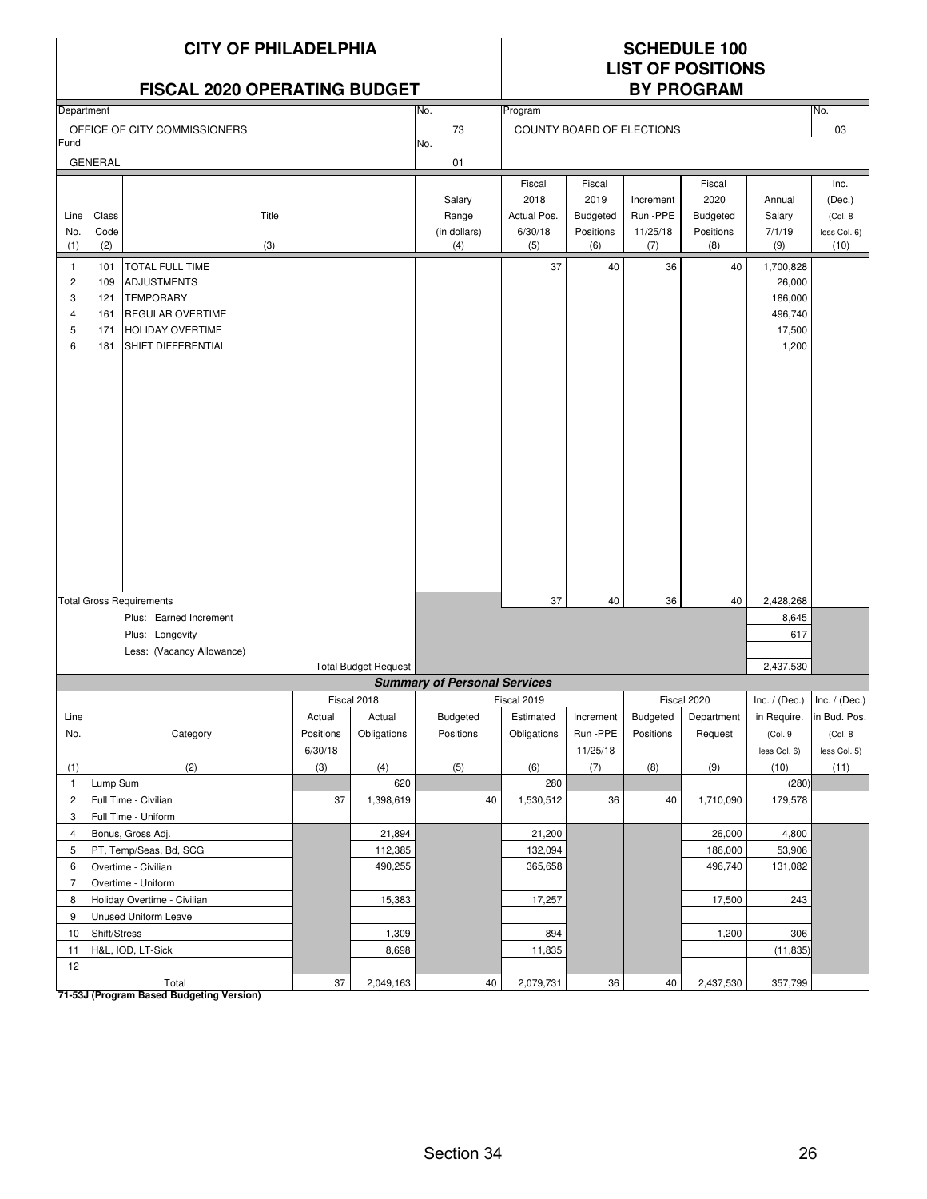### **FISCAL 2020 OPERATING BUDGET**

# **LIST OF POSITIONS**

| 03<br>OFFICE OF CITY COMMISSIONERS<br>73<br>COUNTY BOARD OF ELECTIONS<br>Fund<br>No.<br><b>GENERAL</b><br>01<br>Fiscal<br>Fiscal<br>Fiscal<br>Inc.<br>2018<br>2019<br>2020<br>Salary<br>Increment<br>Annual<br>(Dec.)<br>Class<br>Title<br>Actual Pos.<br>Run -PPE<br>Budgeted<br>Line<br>Range<br><b>Budgeted</b><br>Salary<br>(Col. 8)<br>Code<br>(in dollars)<br>6/30/18<br>Positions<br>11/25/18<br>7/1/19<br>No.<br>Positions<br>less Col. 6)<br>(3)<br>(10)<br>(1)<br>(2)<br>(4)<br>(5)<br>(6)<br>(7)<br>(8)<br>(9)<br>37<br><b>TOTAL FULL TIME</b><br>40<br>36<br>40<br>1,700,828<br>101<br>$\mathbf{1}$<br>$\overline{c}$<br><b>ADJUSTMENTS</b><br>26,000<br>109<br>3<br><b>TEMPORARY</b><br>186,000<br>121<br>496,740<br>161<br><b>REGULAR OVERTIME</b><br>$\overline{4}$<br>5<br><b>HOLIDAY OVERTIME</b><br>17,500<br>171<br>6<br>SHIFT DIFFERENTIAL<br>1,200<br>181<br>37<br>40<br>36<br>40<br>2,428,268<br><b>Total Gross Requirements</b><br>Plus: Earned Increment<br>8,645<br>617<br>Plus: Longevity<br>Less: (Vacancy Allowance)<br>2,437,530<br><b>Total Budget Request</b><br><b>Summary of Personal Services</b><br>Fiscal 2018<br>Fiscal 2019<br>Fiscal 2020<br>Inc. $/$ (Dec.)<br>Inc. $/$ (Dec.)<br>Actual<br>Estimated<br>Budgeted<br>in Bud. Pos.<br>Line<br>Actual<br>Budgeted<br>Increment<br>Department<br>in Require.<br>Obligations<br>No.<br>Category<br>Positions<br>Positions<br>Obligations<br>Run-PPE<br>Positions<br>Request<br>(Col.9<br>(Col. 8)<br>6/30/18<br>11/25/18<br>less Col. 6)<br>less Col. 5)<br>(2)<br>(3)<br>(4)<br>(5)<br>(6)<br>(7)<br>(8)<br>(9)<br>(10)<br>(1)<br>(11)<br>Lump Sum<br>620<br>280<br>(280)<br>$\mathbf{1}$<br>$\overline{c}$<br>Full Time - Civilian<br>37<br>1,398,619<br>40<br>1,530,512<br>36<br>40<br>1,710,090<br>179,578<br>3<br>Full Time - Uniform<br>$\overline{4}$<br>Bonus, Gross Adj.<br>21,894<br>21,200<br>26,000<br>4,800<br>PT, Temp/Seas, Bd, SCG<br>5<br>112,385<br>132,094<br>186,000<br>53,906<br>490,255<br>496,740<br>131,082<br>Overtime - Civilian<br>365,658<br>6<br>$\overline{7}$<br>Overtime - Uniform<br>Holiday Overtime - Civilian<br>15,383<br>17,257<br>17,500<br>243<br>8<br>Unused Uniform Leave<br>9<br>894<br>306<br>10<br>Shift/Stress<br>1,309<br>1,200<br>8,698<br>H&L, IOD, LT-Sick<br>11,835<br>(11, 835)<br>11 | Department |  | No.<br>Program |  |  |  |  | No. |  |  |
|-------------------------------------------------------------------------------------------------------------------------------------------------------------------------------------------------------------------------------------------------------------------------------------------------------------------------------------------------------------------------------------------------------------------------------------------------------------------------------------------------------------------------------------------------------------------------------------------------------------------------------------------------------------------------------------------------------------------------------------------------------------------------------------------------------------------------------------------------------------------------------------------------------------------------------------------------------------------------------------------------------------------------------------------------------------------------------------------------------------------------------------------------------------------------------------------------------------------------------------------------------------------------------------------------------------------------------------------------------------------------------------------------------------------------------------------------------------------------------------------------------------------------------------------------------------------------------------------------------------------------------------------------------------------------------------------------------------------------------------------------------------------------------------------------------------------------------------------------------------------------------------------------------------------------------------------------------------------------------------------------------------------------------------------------------------------------------------------------------------------------------------------------------------------------------------------------------------------------------------------------------------------------------------------------------------------------------|------------|--|----------------|--|--|--|--|-----|--|--|
|                                                                                                                                                                                                                                                                                                                                                                                                                                                                                                                                                                                                                                                                                                                                                                                                                                                                                                                                                                                                                                                                                                                                                                                                                                                                                                                                                                                                                                                                                                                                                                                                                                                                                                                                                                                                                                                                                                                                                                                                                                                                                                                                                                                                                                                                                                                               |            |  |                |  |  |  |  |     |  |  |
|                                                                                                                                                                                                                                                                                                                                                                                                                                                                                                                                                                                                                                                                                                                                                                                                                                                                                                                                                                                                                                                                                                                                                                                                                                                                                                                                                                                                                                                                                                                                                                                                                                                                                                                                                                                                                                                                                                                                                                                                                                                                                                                                                                                                                                                                                                                               |            |  |                |  |  |  |  |     |  |  |
|                                                                                                                                                                                                                                                                                                                                                                                                                                                                                                                                                                                                                                                                                                                                                                                                                                                                                                                                                                                                                                                                                                                                                                                                                                                                                                                                                                                                                                                                                                                                                                                                                                                                                                                                                                                                                                                                                                                                                                                                                                                                                                                                                                                                                                                                                                                               |            |  |                |  |  |  |  |     |  |  |
|                                                                                                                                                                                                                                                                                                                                                                                                                                                                                                                                                                                                                                                                                                                                                                                                                                                                                                                                                                                                                                                                                                                                                                                                                                                                                                                                                                                                                                                                                                                                                                                                                                                                                                                                                                                                                                                                                                                                                                                                                                                                                                                                                                                                                                                                                                                               |            |  |                |  |  |  |  |     |  |  |
|                                                                                                                                                                                                                                                                                                                                                                                                                                                                                                                                                                                                                                                                                                                                                                                                                                                                                                                                                                                                                                                                                                                                                                                                                                                                                                                                                                                                                                                                                                                                                                                                                                                                                                                                                                                                                                                                                                                                                                                                                                                                                                                                                                                                                                                                                                                               |            |  |                |  |  |  |  |     |  |  |
|                                                                                                                                                                                                                                                                                                                                                                                                                                                                                                                                                                                                                                                                                                                                                                                                                                                                                                                                                                                                                                                                                                                                                                                                                                                                                                                                                                                                                                                                                                                                                                                                                                                                                                                                                                                                                                                                                                                                                                                                                                                                                                                                                                                                                                                                                                                               |            |  |                |  |  |  |  |     |  |  |
|                                                                                                                                                                                                                                                                                                                                                                                                                                                                                                                                                                                                                                                                                                                                                                                                                                                                                                                                                                                                                                                                                                                                                                                                                                                                                                                                                                                                                                                                                                                                                                                                                                                                                                                                                                                                                                                                                                                                                                                                                                                                                                                                                                                                                                                                                                                               |            |  |                |  |  |  |  |     |  |  |
|                                                                                                                                                                                                                                                                                                                                                                                                                                                                                                                                                                                                                                                                                                                                                                                                                                                                                                                                                                                                                                                                                                                                                                                                                                                                                                                                                                                                                                                                                                                                                                                                                                                                                                                                                                                                                                                                                                                                                                                                                                                                                                                                                                                                                                                                                                                               |            |  |                |  |  |  |  |     |  |  |
|                                                                                                                                                                                                                                                                                                                                                                                                                                                                                                                                                                                                                                                                                                                                                                                                                                                                                                                                                                                                                                                                                                                                                                                                                                                                                                                                                                                                                                                                                                                                                                                                                                                                                                                                                                                                                                                                                                                                                                                                                                                                                                                                                                                                                                                                                                                               |            |  |                |  |  |  |  |     |  |  |
|                                                                                                                                                                                                                                                                                                                                                                                                                                                                                                                                                                                                                                                                                                                                                                                                                                                                                                                                                                                                                                                                                                                                                                                                                                                                                                                                                                                                                                                                                                                                                                                                                                                                                                                                                                                                                                                                                                                                                                                                                                                                                                                                                                                                                                                                                                                               |            |  |                |  |  |  |  |     |  |  |
|                                                                                                                                                                                                                                                                                                                                                                                                                                                                                                                                                                                                                                                                                                                                                                                                                                                                                                                                                                                                                                                                                                                                                                                                                                                                                                                                                                                                                                                                                                                                                                                                                                                                                                                                                                                                                                                                                                                                                                                                                                                                                                                                                                                                                                                                                                                               |            |  |                |  |  |  |  |     |  |  |
|                                                                                                                                                                                                                                                                                                                                                                                                                                                                                                                                                                                                                                                                                                                                                                                                                                                                                                                                                                                                                                                                                                                                                                                                                                                                                                                                                                                                                                                                                                                                                                                                                                                                                                                                                                                                                                                                                                                                                                                                                                                                                                                                                                                                                                                                                                                               |            |  |                |  |  |  |  |     |  |  |
|                                                                                                                                                                                                                                                                                                                                                                                                                                                                                                                                                                                                                                                                                                                                                                                                                                                                                                                                                                                                                                                                                                                                                                                                                                                                                                                                                                                                                                                                                                                                                                                                                                                                                                                                                                                                                                                                                                                                                                                                                                                                                                                                                                                                                                                                                                                               |            |  |                |  |  |  |  |     |  |  |
|                                                                                                                                                                                                                                                                                                                                                                                                                                                                                                                                                                                                                                                                                                                                                                                                                                                                                                                                                                                                                                                                                                                                                                                                                                                                                                                                                                                                                                                                                                                                                                                                                                                                                                                                                                                                                                                                                                                                                                                                                                                                                                                                                                                                                                                                                                                               |            |  |                |  |  |  |  |     |  |  |
|                                                                                                                                                                                                                                                                                                                                                                                                                                                                                                                                                                                                                                                                                                                                                                                                                                                                                                                                                                                                                                                                                                                                                                                                                                                                                                                                                                                                                                                                                                                                                                                                                                                                                                                                                                                                                                                                                                                                                                                                                                                                                                                                                                                                                                                                                                                               |            |  |                |  |  |  |  |     |  |  |
|                                                                                                                                                                                                                                                                                                                                                                                                                                                                                                                                                                                                                                                                                                                                                                                                                                                                                                                                                                                                                                                                                                                                                                                                                                                                                                                                                                                                                                                                                                                                                                                                                                                                                                                                                                                                                                                                                                                                                                                                                                                                                                                                                                                                                                                                                                                               |            |  |                |  |  |  |  |     |  |  |
|                                                                                                                                                                                                                                                                                                                                                                                                                                                                                                                                                                                                                                                                                                                                                                                                                                                                                                                                                                                                                                                                                                                                                                                                                                                                                                                                                                                                                                                                                                                                                                                                                                                                                                                                                                                                                                                                                                                                                                                                                                                                                                                                                                                                                                                                                                                               |            |  |                |  |  |  |  |     |  |  |
|                                                                                                                                                                                                                                                                                                                                                                                                                                                                                                                                                                                                                                                                                                                                                                                                                                                                                                                                                                                                                                                                                                                                                                                                                                                                                                                                                                                                                                                                                                                                                                                                                                                                                                                                                                                                                                                                                                                                                                                                                                                                                                                                                                                                                                                                                                                               |            |  |                |  |  |  |  |     |  |  |
|                                                                                                                                                                                                                                                                                                                                                                                                                                                                                                                                                                                                                                                                                                                                                                                                                                                                                                                                                                                                                                                                                                                                                                                                                                                                                                                                                                                                                                                                                                                                                                                                                                                                                                                                                                                                                                                                                                                                                                                                                                                                                                                                                                                                                                                                                                                               |            |  |                |  |  |  |  |     |  |  |
|                                                                                                                                                                                                                                                                                                                                                                                                                                                                                                                                                                                                                                                                                                                                                                                                                                                                                                                                                                                                                                                                                                                                                                                                                                                                                                                                                                                                                                                                                                                                                                                                                                                                                                                                                                                                                                                                                                                                                                                                                                                                                                                                                                                                                                                                                                                               |            |  |                |  |  |  |  |     |  |  |
|                                                                                                                                                                                                                                                                                                                                                                                                                                                                                                                                                                                                                                                                                                                                                                                                                                                                                                                                                                                                                                                                                                                                                                                                                                                                                                                                                                                                                                                                                                                                                                                                                                                                                                                                                                                                                                                                                                                                                                                                                                                                                                                                                                                                                                                                                                                               |            |  |                |  |  |  |  |     |  |  |
|                                                                                                                                                                                                                                                                                                                                                                                                                                                                                                                                                                                                                                                                                                                                                                                                                                                                                                                                                                                                                                                                                                                                                                                                                                                                                                                                                                                                                                                                                                                                                                                                                                                                                                                                                                                                                                                                                                                                                                                                                                                                                                                                                                                                                                                                                                                               |            |  |                |  |  |  |  |     |  |  |
|                                                                                                                                                                                                                                                                                                                                                                                                                                                                                                                                                                                                                                                                                                                                                                                                                                                                                                                                                                                                                                                                                                                                                                                                                                                                                                                                                                                                                                                                                                                                                                                                                                                                                                                                                                                                                                                                                                                                                                                                                                                                                                                                                                                                                                                                                                                               |            |  |                |  |  |  |  |     |  |  |
|                                                                                                                                                                                                                                                                                                                                                                                                                                                                                                                                                                                                                                                                                                                                                                                                                                                                                                                                                                                                                                                                                                                                                                                                                                                                                                                                                                                                                                                                                                                                                                                                                                                                                                                                                                                                                                                                                                                                                                                                                                                                                                                                                                                                                                                                                                                               |            |  |                |  |  |  |  |     |  |  |
|                                                                                                                                                                                                                                                                                                                                                                                                                                                                                                                                                                                                                                                                                                                                                                                                                                                                                                                                                                                                                                                                                                                                                                                                                                                                                                                                                                                                                                                                                                                                                                                                                                                                                                                                                                                                                                                                                                                                                                                                                                                                                                                                                                                                                                                                                                                               |            |  |                |  |  |  |  |     |  |  |
|                                                                                                                                                                                                                                                                                                                                                                                                                                                                                                                                                                                                                                                                                                                                                                                                                                                                                                                                                                                                                                                                                                                                                                                                                                                                                                                                                                                                                                                                                                                                                                                                                                                                                                                                                                                                                                                                                                                                                                                                                                                                                                                                                                                                                                                                                                                               |            |  |                |  |  |  |  |     |  |  |
|                                                                                                                                                                                                                                                                                                                                                                                                                                                                                                                                                                                                                                                                                                                                                                                                                                                                                                                                                                                                                                                                                                                                                                                                                                                                                                                                                                                                                                                                                                                                                                                                                                                                                                                                                                                                                                                                                                                                                                                                                                                                                                                                                                                                                                                                                                                               |            |  |                |  |  |  |  |     |  |  |
|                                                                                                                                                                                                                                                                                                                                                                                                                                                                                                                                                                                                                                                                                                                                                                                                                                                                                                                                                                                                                                                                                                                                                                                                                                                                                                                                                                                                                                                                                                                                                                                                                                                                                                                                                                                                                                                                                                                                                                                                                                                                                                                                                                                                                                                                                                                               |            |  |                |  |  |  |  |     |  |  |
|                                                                                                                                                                                                                                                                                                                                                                                                                                                                                                                                                                                                                                                                                                                                                                                                                                                                                                                                                                                                                                                                                                                                                                                                                                                                                                                                                                                                                                                                                                                                                                                                                                                                                                                                                                                                                                                                                                                                                                                                                                                                                                                                                                                                                                                                                                                               |            |  |                |  |  |  |  |     |  |  |
|                                                                                                                                                                                                                                                                                                                                                                                                                                                                                                                                                                                                                                                                                                                                                                                                                                                                                                                                                                                                                                                                                                                                                                                                                                                                                                                                                                                                                                                                                                                                                                                                                                                                                                                                                                                                                                                                                                                                                                                                                                                                                                                                                                                                                                                                                                                               |            |  |                |  |  |  |  |     |  |  |
|                                                                                                                                                                                                                                                                                                                                                                                                                                                                                                                                                                                                                                                                                                                                                                                                                                                                                                                                                                                                                                                                                                                                                                                                                                                                                                                                                                                                                                                                                                                                                                                                                                                                                                                                                                                                                                                                                                                                                                                                                                                                                                                                                                                                                                                                                                                               |            |  |                |  |  |  |  |     |  |  |
|                                                                                                                                                                                                                                                                                                                                                                                                                                                                                                                                                                                                                                                                                                                                                                                                                                                                                                                                                                                                                                                                                                                                                                                                                                                                                                                                                                                                                                                                                                                                                                                                                                                                                                                                                                                                                                                                                                                                                                                                                                                                                                                                                                                                                                                                                                                               |            |  |                |  |  |  |  |     |  |  |
|                                                                                                                                                                                                                                                                                                                                                                                                                                                                                                                                                                                                                                                                                                                                                                                                                                                                                                                                                                                                                                                                                                                                                                                                                                                                                                                                                                                                                                                                                                                                                                                                                                                                                                                                                                                                                                                                                                                                                                                                                                                                                                                                                                                                                                                                                                                               |            |  |                |  |  |  |  |     |  |  |
|                                                                                                                                                                                                                                                                                                                                                                                                                                                                                                                                                                                                                                                                                                                                                                                                                                                                                                                                                                                                                                                                                                                                                                                                                                                                                                                                                                                                                                                                                                                                                                                                                                                                                                                                                                                                                                                                                                                                                                                                                                                                                                                                                                                                                                                                                                                               |            |  |                |  |  |  |  |     |  |  |
|                                                                                                                                                                                                                                                                                                                                                                                                                                                                                                                                                                                                                                                                                                                                                                                                                                                                                                                                                                                                                                                                                                                                                                                                                                                                                                                                                                                                                                                                                                                                                                                                                                                                                                                                                                                                                                                                                                                                                                                                                                                                                                                                                                                                                                                                                                                               |            |  |                |  |  |  |  |     |  |  |
|                                                                                                                                                                                                                                                                                                                                                                                                                                                                                                                                                                                                                                                                                                                                                                                                                                                                                                                                                                                                                                                                                                                                                                                                                                                                                                                                                                                                                                                                                                                                                                                                                                                                                                                                                                                                                                                                                                                                                                                                                                                                                                                                                                                                                                                                                                                               |            |  |                |  |  |  |  |     |  |  |
|                                                                                                                                                                                                                                                                                                                                                                                                                                                                                                                                                                                                                                                                                                                                                                                                                                                                                                                                                                                                                                                                                                                                                                                                                                                                                                                                                                                                                                                                                                                                                                                                                                                                                                                                                                                                                                                                                                                                                                                                                                                                                                                                                                                                                                                                                                                               |            |  |                |  |  |  |  |     |  |  |
|                                                                                                                                                                                                                                                                                                                                                                                                                                                                                                                                                                                                                                                                                                                                                                                                                                                                                                                                                                                                                                                                                                                                                                                                                                                                                                                                                                                                                                                                                                                                                                                                                                                                                                                                                                                                                                                                                                                                                                                                                                                                                                                                                                                                                                                                                                                               |            |  |                |  |  |  |  |     |  |  |
|                                                                                                                                                                                                                                                                                                                                                                                                                                                                                                                                                                                                                                                                                                                                                                                                                                                                                                                                                                                                                                                                                                                                                                                                                                                                                                                                                                                                                                                                                                                                                                                                                                                                                                                                                                                                                                                                                                                                                                                                                                                                                                                                                                                                                                                                                                                               |            |  |                |  |  |  |  |     |  |  |
|                                                                                                                                                                                                                                                                                                                                                                                                                                                                                                                                                                                                                                                                                                                                                                                                                                                                                                                                                                                                                                                                                                                                                                                                                                                                                                                                                                                                                                                                                                                                                                                                                                                                                                                                                                                                                                                                                                                                                                                                                                                                                                                                                                                                                                                                                                                               |            |  |                |  |  |  |  |     |  |  |
|                                                                                                                                                                                                                                                                                                                                                                                                                                                                                                                                                                                                                                                                                                                                                                                                                                                                                                                                                                                                                                                                                                                                                                                                                                                                                                                                                                                                                                                                                                                                                                                                                                                                                                                                                                                                                                                                                                                                                                                                                                                                                                                                                                                                                                                                                                                               |            |  |                |  |  |  |  |     |  |  |
|                                                                                                                                                                                                                                                                                                                                                                                                                                                                                                                                                                                                                                                                                                                                                                                                                                                                                                                                                                                                                                                                                                                                                                                                                                                                                                                                                                                                                                                                                                                                                                                                                                                                                                                                                                                                                                                                                                                                                                                                                                                                                                                                                                                                                                                                                                                               |            |  |                |  |  |  |  |     |  |  |
|                                                                                                                                                                                                                                                                                                                                                                                                                                                                                                                                                                                                                                                                                                                                                                                                                                                                                                                                                                                                                                                                                                                                                                                                                                                                                                                                                                                                                                                                                                                                                                                                                                                                                                                                                                                                                                                                                                                                                                                                                                                                                                                                                                                                                                                                                                                               |            |  |                |  |  |  |  |     |  |  |
|                                                                                                                                                                                                                                                                                                                                                                                                                                                                                                                                                                                                                                                                                                                                                                                                                                                                                                                                                                                                                                                                                                                                                                                                                                                                                                                                                                                                                                                                                                                                                                                                                                                                                                                                                                                                                                                                                                                                                                                                                                                                                                                                                                                                                                                                                                                               |            |  |                |  |  |  |  |     |  |  |
|                                                                                                                                                                                                                                                                                                                                                                                                                                                                                                                                                                                                                                                                                                                                                                                                                                                                                                                                                                                                                                                                                                                                                                                                                                                                                                                                                                                                                                                                                                                                                                                                                                                                                                                                                                                                                                                                                                                                                                                                                                                                                                                                                                                                                                                                                                                               |            |  |                |  |  |  |  |     |  |  |
|                                                                                                                                                                                                                                                                                                                                                                                                                                                                                                                                                                                                                                                                                                                                                                                                                                                                                                                                                                                                                                                                                                                                                                                                                                                                                                                                                                                                                                                                                                                                                                                                                                                                                                                                                                                                                                                                                                                                                                                                                                                                                                                                                                                                                                                                                                                               |            |  |                |  |  |  |  |     |  |  |
|                                                                                                                                                                                                                                                                                                                                                                                                                                                                                                                                                                                                                                                                                                                                                                                                                                                                                                                                                                                                                                                                                                                                                                                                                                                                                                                                                                                                                                                                                                                                                                                                                                                                                                                                                                                                                                                                                                                                                                                                                                                                                                                                                                                                                                                                                                                               |            |  |                |  |  |  |  |     |  |  |
|                                                                                                                                                                                                                                                                                                                                                                                                                                                                                                                                                                                                                                                                                                                                                                                                                                                                                                                                                                                                                                                                                                                                                                                                                                                                                                                                                                                                                                                                                                                                                                                                                                                                                                                                                                                                                                                                                                                                                                                                                                                                                                                                                                                                                                                                                                                               |            |  |                |  |  |  |  |     |  |  |
|                                                                                                                                                                                                                                                                                                                                                                                                                                                                                                                                                                                                                                                                                                                                                                                                                                                                                                                                                                                                                                                                                                                                                                                                                                                                                                                                                                                                                                                                                                                                                                                                                                                                                                                                                                                                                                                                                                                                                                                                                                                                                                                                                                                                                                                                                                                               |            |  |                |  |  |  |  |     |  |  |
| 12                                                                                                                                                                                                                                                                                                                                                                                                                                                                                                                                                                                                                                                                                                                                                                                                                                                                                                                                                                                                                                                                                                                                                                                                                                                                                                                                                                                                                                                                                                                                                                                                                                                                                                                                                                                                                                                                                                                                                                                                                                                                                                                                                                                                                                                                                                                            |            |  |                |  |  |  |  |     |  |  |
| Total<br>37<br>2,049,163<br>40<br>2,079,731<br>36<br>40<br>2,437,530<br>357,799                                                                                                                                                                                                                                                                                                                                                                                                                                                                                                                                                                                                                                                                                                                                                                                                                                                                                                                                                                                                                                                                                                                                                                                                                                                                                                                                                                                                                                                                                                                                                                                                                                                                                                                                                                                                                                                                                                                                                                                                                                                                                                                                                                                                                                               |            |  |                |  |  |  |  |     |  |  |

Total<br><mark>71-53J (Program Based Budgeting Version)</mark>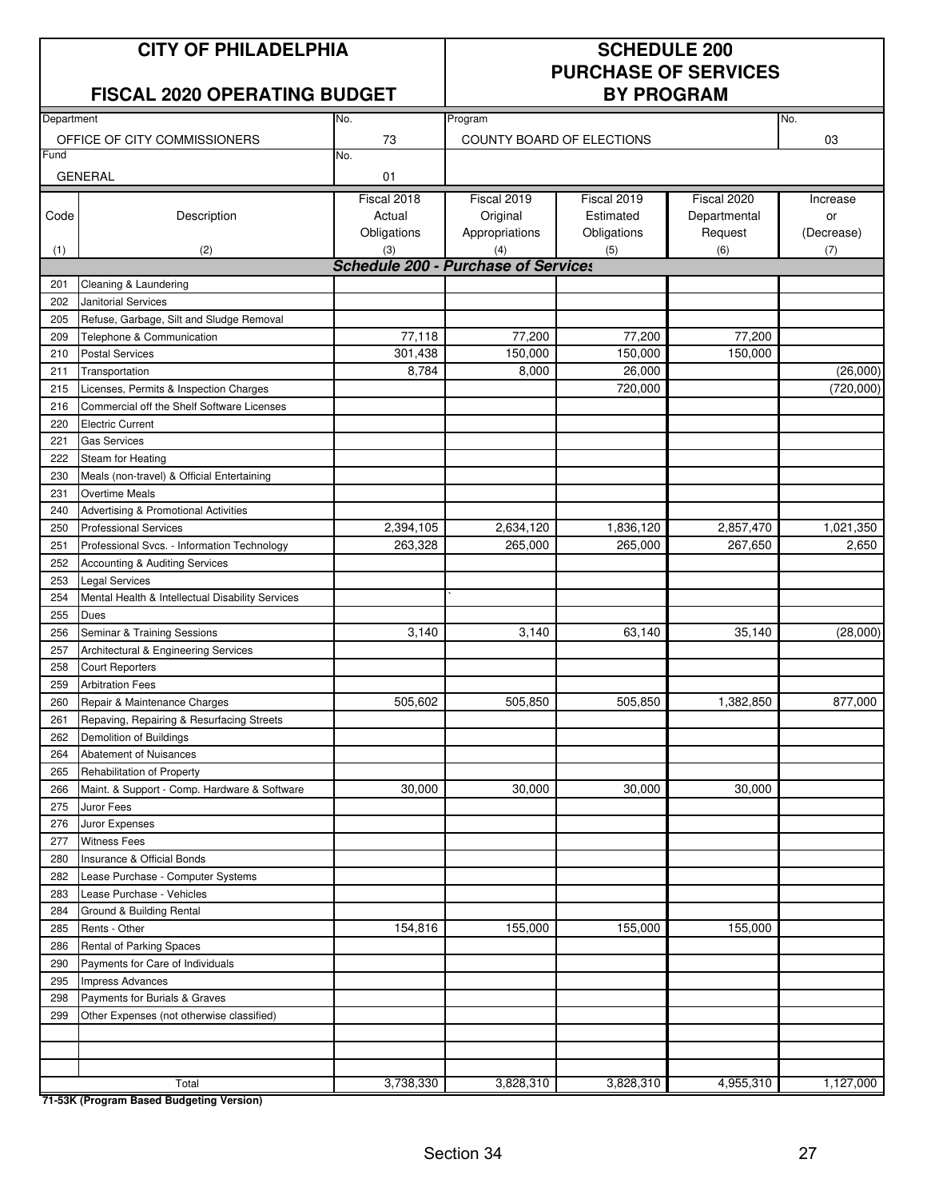### **FISCAL 2020 OPERATING BUDGET**

# **PURCHASE OF SERVICES**

| Department<br>Program |                                                  |             |                                                   |             |              |            |
|-----------------------|--------------------------------------------------|-------------|---------------------------------------------------|-------------|--------------|------------|
|                       |                                                  | No.         |                                                   |             |              | No.        |
| Fund                  | OFFICE OF CITY COMMISSIONERS                     | 73          | COUNTY BOARD OF ELECTIONS                         | 03          |              |            |
|                       |                                                  | No.         |                                                   |             |              |            |
|                       | <b>GENERAL</b>                                   | 01          |                                                   |             |              |            |
|                       |                                                  | Fiscal 2018 | Fiscal 2019                                       | Fiscal 2019 | Fiscal 2020  | Increase   |
| Code                  | Description                                      | Actual      | Original                                          | Estimated   | Departmental | or         |
|                       |                                                  | Obligations | Appropriations                                    | Obligations | Request      | (Decrease) |
| (1)                   | (2)                                              | (3)         | (4)<br><b>Schedule 200 - Purchase of Services</b> | (5)         | (6)          | (7)        |
|                       |                                                  |             |                                                   |             |              |            |
| 201<br>202            | Cleaning & Laundering<br>Janitorial Services     |             |                                                   |             |              |            |
| 205                   | Refuse, Garbage, Silt and Sludge Removal         |             |                                                   |             |              |            |
| 209                   | Telephone & Communication                        | 77,118      | 77,200                                            | 77,200      | 77,200       |            |
| 210                   | <b>Postal Services</b>                           | 301,438     | 150,000                                           | 150,000     | 150,000      |            |
| 211                   | Transportation                                   | 8,784       | 8,000                                             | 26,000      |              | (26,000)   |
| 215                   | Licenses, Permits & Inspection Charges           |             |                                                   | 720,000     |              | (720,000)  |
| 216                   | Commercial off the Shelf Software Licenses       |             |                                                   |             |              |            |
| 220                   | <b>Electric Current</b>                          |             |                                                   |             |              |            |
| 221                   | <b>Gas Services</b>                              |             |                                                   |             |              |            |
| 222                   | Steam for Heating                                |             |                                                   |             |              |            |
| 230                   | Meals (non-travel) & Official Entertaining       |             |                                                   |             |              |            |
| 231                   | <b>Overtime Meals</b>                            |             |                                                   |             |              |            |
| 240                   | Advertising & Promotional Activities             |             |                                                   |             |              |            |
| 250                   | <b>Professional Services</b>                     | 2,394,105   | 2,634,120                                         | 1,836,120   | 2,857,470    | 1,021,350  |
| 251                   | Professional Svcs. - Information Technology      | 263,328     | 265,000                                           | 265,000     | 267,650      | 2,650      |
| 252                   | Accounting & Auditing Services                   |             |                                                   |             |              |            |
| 253                   | <b>Legal Services</b>                            |             |                                                   |             |              |            |
| 254                   | Mental Health & Intellectual Disability Services |             |                                                   |             |              |            |
| 255                   | Dues                                             |             |                                                   |             |              |            |
| 256                   | Seminar & Training Sessions                      | 3,140       | 3,140                                             | 63,140      | 35,140       | (28,000)   |
| 257                   | Architectural & Engineering Services             |             |                                                   |             |              |            |
| 258                   | <b>Court Reporters</b>                           |             |                                                   |             |              |            |
| 259                   | <b>Arbitration Fees</b>                          |             |                                                   |             |              |            |
| 260                   | Repair & Maintenance Charges                     | 505,602     | 505,850                                           | 505,850     | 1,382,850    | 877,000    |
| 261                   | Repaving, Repairing & Resurfacing Streets        |             |                                                   |             |              |            |
| 262                   | Demolition of Buildings                          |             |                                                   |             |              |            |
| 264                   | <b>Abatement of Nuisances</b>                    |             |                                                   |             |              |            |
| 265                   | Rehabilitation of Property                       |             |                                                   |             |              |            |
| 266                   | Maint. & Support - Comp. Hardware & Software     | 30,000      | 30,000                                            | 30,000      | 30,000       |            |
| 275                   | Juror Fees                                       |             |                                                   |             |              |            |
| 276                   | Juror Expenses                                   |             |                                                   |             |              |            |
| 277                   | <b>Witness Fees</b>                              |             |                                                   |             |              |            |
| 280                   | Insurance & Official Bonds                       |             |                                                   |             |              |            |
| 282                   | Lease Purchase - Computer Systems                |             |                                                   |             |              |            |
| 283                   | Lease Purchase - Vehicles                        |             |                                                   |             |              |            |
| 284                   | Ground & Building Rental                         |             |                                                   |             |              |            |
| 285<br>286            | Rents - Other<br>Rental of Parking Spaces        | 154,816     | 155,000                                           | 155,000     | 155,000      |            |
| 290                   | Payments for Care of Individuals                 |             |                                                   |             |              |            |
| 295                   | Impress Advances                                 |             |                                                   |             |              |            |
| 298                   | Payments for Burials & Graves                    |             |                                                   |             |              |            |
| 299                   | Other Expenses (not otherwise classified)        |             |                                                   |             |              |            |
|                       |                                                  |             |                                                   |             |              |            |
|                       |                                                  |             |                                                   |             |              |            |
|                       |                                                  |             |                                                   |             |              |            |
| Total                 |                                                  | 3,738,330   | 3,828,310                                         | 3,828,310   | 4,955,310    | 1,127,000  |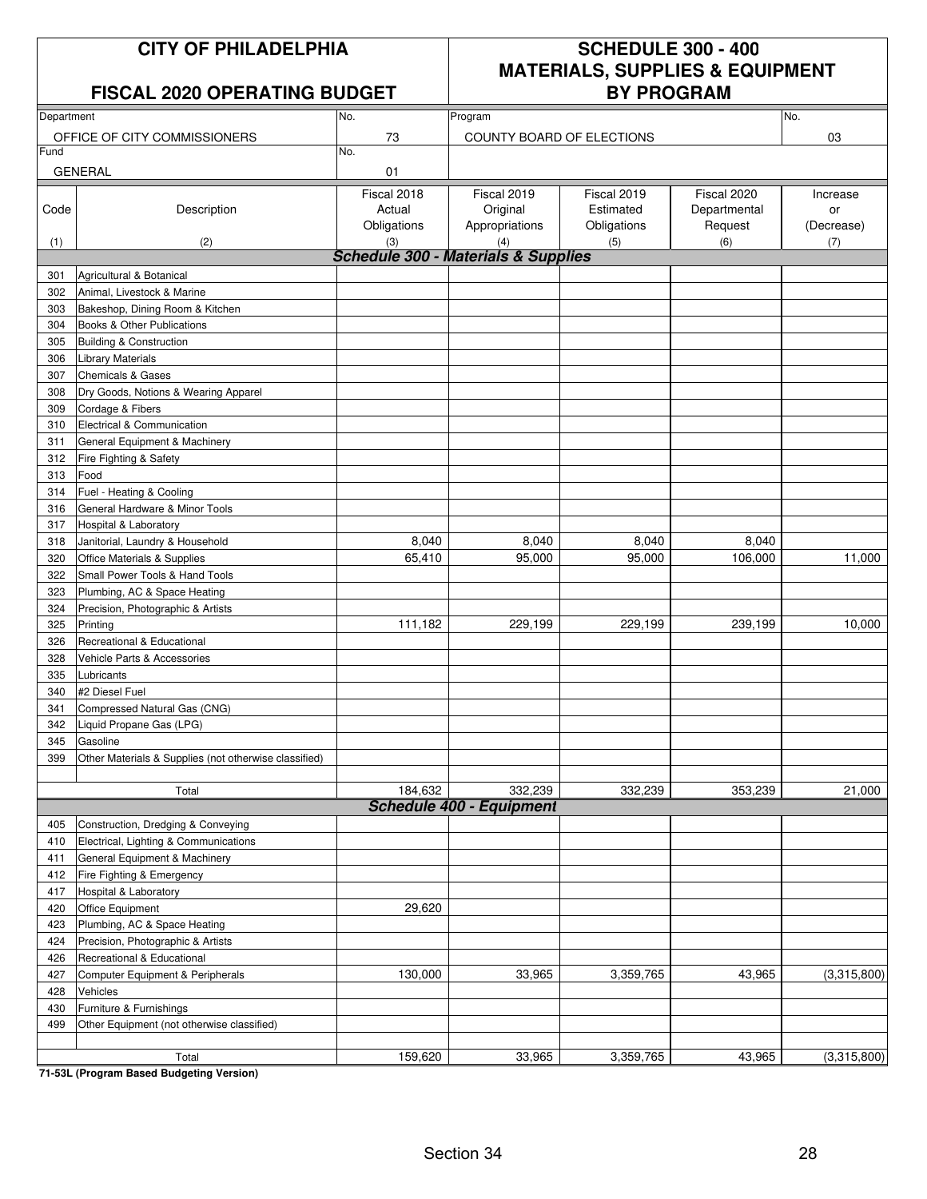### **FISCAL 2020 OPERATING BUDGET**

## **CITY OF PHILADELPHIA SCHEDULE 300 - 400 MATERIALS, SUPPLIES & EQUIPMENT**

| Department |                                                       | No.                                            | Program                         | No.         |              |             |
|------------|-------------------------------------------------------|------------------------------------------------|---------------------------------|-------------|--------------|-------------|
|            | OFFICE OF CITY COMMISSIONERS                          | 73                                             | COUNTY BOARD OF ELECTIONS       |             | 03           |             |
| Fund       |                                                       | No.                                            |                                 |             |              |             |
|            | <b>GENERAL</b>                                        | 01                                             |                                 |             |              |             |
|            |                                                       | Fiscal 2018                                    | Fiscal 2019                     | Fiscal 2019 | Fiscal 2020  | Increase    |
| Code       | Description                                           | Actual                                         | Original                        | Estimated   | Departmental | or          |
|            |                                                       | Obligations                                    | Appropriations                  | Obligations | Request      | (Decrease)  |
| (1)        | (2)                                                   | (3)                                            | (4)                             | (5)         | (6)          | (7)         |
|            |                                                       | <b>Schedule 300 - Materials &amp; Supplies</b> |                                 |             |              |             |
| 301        | Agricultural & Botanical                              |                                                |                                 |             |              |             |
| 302        | Animal, Livestock & Marine                            |                                                |                                 |             |              |             |
| 303        | Bakeshop, Dining Room & Kitchen                       |                                                |                                 |             |              |             |
| 304        | Books & Other Publications                            |                                                |                                 |             |              |             |
| 305        | <b>Building &amp; Construction</b>                    |                                                |                                 |             |              |             |
| 306        | <b>Library Materials</b>                              |                                                |                                 |             |              |             |
| 307        | <b>Chemicals &amp; Gases</b>                          |                                                |                                 |             |              |             |
| 308        | Dry Goods, Notions & Wearing Apparel                  |                                                |                                 |             |              |             |
| 309        | Cordage & Fibers                                      |                                                |                                 |             |              |             |
| 310        | Electrical & Communication                            |                                                |                                 |             |              |             |
| 311        | General Equipment & Machinery                         |                                                |                                 |             |              |             |
| 312        | Fire Fighting & Safety                                |                                                |                                 |             |              |             |
| 313        | Food                                                  |                                                |                                 |             |              |             |
| 314        | Fuel - Heating & Cooling                              |                                                |                                 |             |              |             |
| 316        | General Hardware & Minor Tools                        |                                                |                                 |             |              |             |
| 317        | Hospital & Laboratory                                 |                                                |                                 |             |              |             |
| 318        | Janitorial, Laundry & Household                       | 8,040                                          | 8,040                           | 8,040       | 8,040        |             |
| 320        | Office Materials & Supplies                           | 65,410                                         | 95,000                          | 95,000      | 106,000      | 11,000      |
| 322        | Small Power Tools & Hand Tools                        |                                                |                                 |             |              |             |
| 323        | Plumbing, AC & Space Heating                          |                                                |                                 |             |              |             |
| 324        | Precision, Photographic & Artists                     |                                                |                                 |             |              |             |
| 325        | Printing                                              | 111,182                                        | 229,199                         | 229,199     | 239,199      | 10,000      |
| 326        | Recreational & Educational                            |                                                |                                 |             |              |             |
| 328        | Vehicle Parts & Accessories                           |                                                |                                 |             |              |             |
| 335        | Lubricants                                            |                                                |                                 |             |              |             |
| 340        | #2 Diesel Fuel                                        |                                                |                                 |             |              |             |
| 341        | Compressed Natural Gas (CNG)                          |                                                |                                 |             |              |             |
| 342        | Liquid Propane Gas (LPG)                              |                                                |                                 |             |              |             |
| 345        | Gasoline                                              |                                                |                                 |             |              |             |
| 399        | Other Materials & Supplies (not otherwise classified) |                                                |                                 |             |              |             |
|            |                                                       |                                                |                                 |             |              |             |
|            | Total                                                 | 184,632                                        | 332,239                         | 332,239     | 353,239      | 21,000      |
|            |                                                       |                                                | <b>Schedule 400 - Equipment</b> |             |              |             |
| 405        | Construction, Dredging & Conveying                    |                                                |                                 |             |              |             |
| 410        | Electrical, Lighting & Communications                 |                                                |                                 |             |              |             |
| 411        | General Equipment & Machinery                         |                                                |                                 |             |              |             |
| 412        | Fire Fighting & Emergency                             |                                                |                                 |             |              |             |
| 417        | Hospital & Laboratory                                 |                                                |                                 |             |              |             |
| 420        | Office Equipment                                      | 29,620                                         |                                 |             |              |             |
| 423        | Plumbing, AC & Space Heating                          |                                                |                                 |             |              |             |
| 424        | Precision, Photographic & Artists                     |                                                |                                 |             |              |             |
| 426        | Recreational & Educational                            |                                                |                                 |             |              |             |
| 427        | Computer Equipment & Peripherals                      | 130,000                                        | 33,965                          | 3,359,765   | 43,965       | (3,315,800) |
| 428        | Vehicles                                              |                                                |                                 |             |              |             |
| 430        | Furniture & Furnishings                               |                                                |                                 |             |              |             |
| 499        | Other Equipment (not otherwise classified)            |                                                |                                 |             |              |             |
|            |                                                       |                                                |                                 |             |              |             |
|            | Total                                                 | 159,620                                        | 33,965                          | 3,359,765   | 43,965       | (3,315,800) |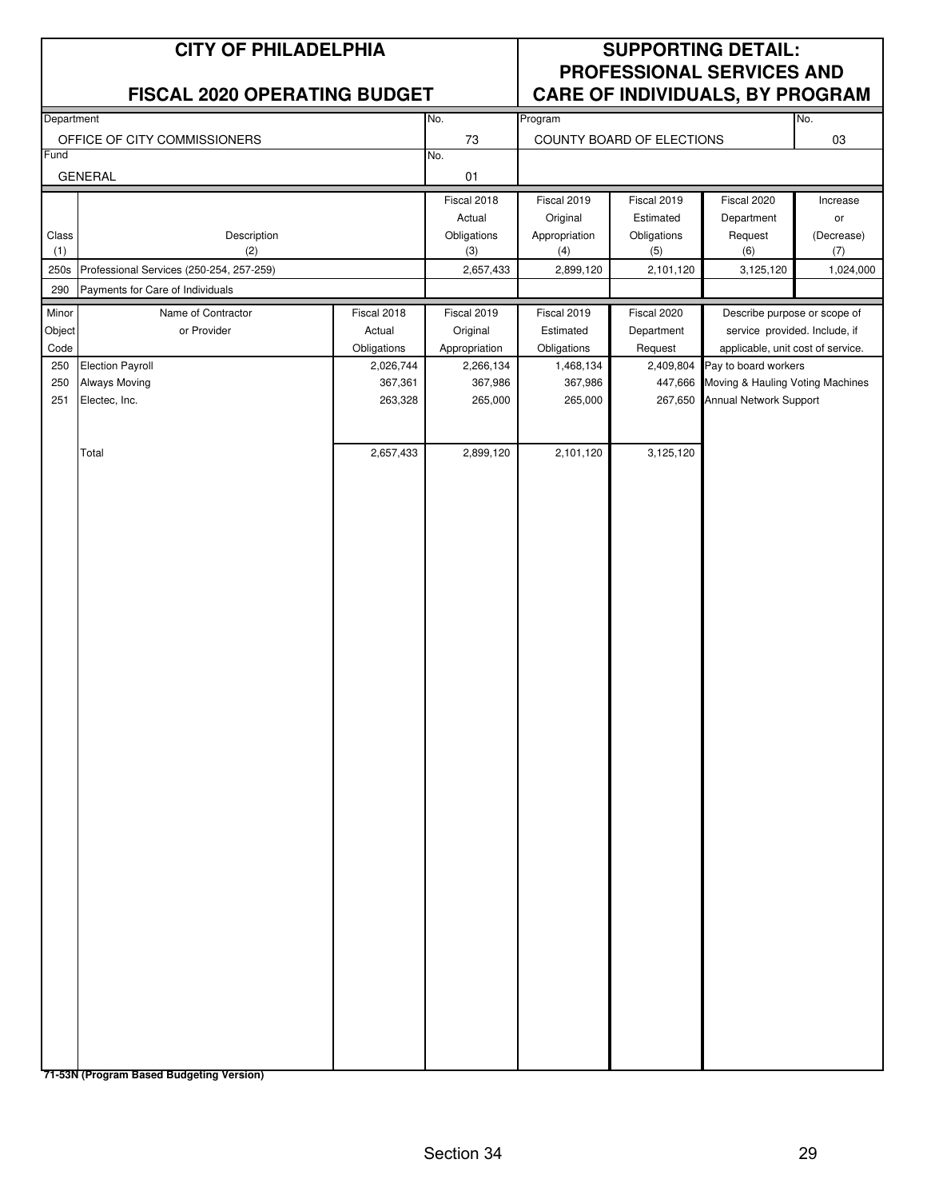|              | <b>CITY OF PHILADELPHIA</b>              |                      | <b>SUPPORTING DETAIL:</b><br><b>PROFESSIONAL SERVICES AND</b><br>CARE OF INDIVIDUALS, BY PROGRAM |                      |                           |                                                          |                   |
|--------------|------------------------------------------|----------------------|--------------------------------------------------------------------------------------------------|----------------------|---------------------------|----------------------------------------------------------|-------------------|
|              | <b>FISCAL 2020 OPERATING BUDGET</b>      |                      |                                                                                                  |                      |                           |                                                          | No.               |
| Department   | OFFICE OF CITY COMMISSIONERS             | No.<br>73            | Program                                                                                          |                      | COUNTY BOARD OF ELECTIONS |                                                          |                   |
| Fund         |                                          |                      | No.                                                                                              |                      |                           |                                                          | 03                |
|              | <b>GENERAL</b>                           |                      | 01                                                                                               |                      |                           |                                                          |                   |
|              |                                          |                      | Fiscal 2018                                                                                      | Fiscal 2019          | Fiscal 2019               | Fiscal 2020                                              | Increase          |
|              |                                          |                      | Actual<br>Obligations                                                                            | Original             | Estimated                 | Department<br>Request                                    | or                |
| Class<br>(1) | Description<br>(2)                       |                      | (3)                                                                                              | Appropriation<br>(4) | Obligations<br>(5)        | (6)                                                      | (Decrease)<br>(7) |
| 250s         | Professional Services (250-254, 257-259) |                      | 2,657,433                                                                                        | 2,899,120            | 2,101,120                 | 3,125,120                                                | 1,024,000         |
| 290          | Payments for Care of Individuals         |                      |                                                                                                  |                      |                           |                                                          |                   |
| Minor        | Name of Contractor                       | Fiscal 2018          | Fiscal 2019                                                                                      | Fiscal 2019          | Fiscal 2020               | Describe purpose or scope of                             |                   |
| Object       | or Provider                              | Actual               | Original                                                                                         | Estimated            | Department                | service provided. Include, if                            |                   |
| Code<br>250  |                                          | Obligations          | Appropriation                                                                                    | Obligations          | Request                   | applicable, unit cost of service.                        |                   |
| 250          | <b>Election Payroll</b><br>Always Moving | 2,026,744<br>367,361 | 2,266,134<br>367,986                                                                             | 1,468,134<br>367,986 | 2,409,804<br>447,666      | Pay to board workers<br>Moving & Hauling Voting Machines |                   |
| 251          | Electec, Inc.                            | 263,328              | 265,000                                                                                          | 265,000              | 267,650                   | Annual Network Support                                   |                   |
|              |                                          |                      |                                                                                                  |                      |                           |                                                          |                   |
|              |                                          |                      |                                                                                                  |                      |                           |                                                          |                   |
|              | Total                                    | 2,657,433            | 2,899,120                                                                                        | 2,101,120            | 3,125,120                 |                                                          |                   |
|              |                                          |                      |                                                                                                  |                      |                           |                                                          |                   |
|              |                                          |                      |                                                                                                  |                      |                           |                                                          |                   |
|              |                                          |                      |                                                                                                  |                      |                           |                                                          |                   |
|              |                                          |                      |                                                                                                  |                      |                           |                                                          |                   |
|              |                                          |                      |                                                                                                  |                      |                           |                                                          |                   |
|              |                                          |                      |                                                                                                  |                      |                           |                                                          |                   |
|              |                                          |                      |                                                                                                  |                      |                           |                                                          |                   |
|              |                                          |                      |                                                                                                  |                      |                           |                                                          |                   |
|              |                                          |                      |                                                                                                  |                      |                           |                                                          |                   |
|              |                                          |                      |                                                                                                  |                      |                           |                                                          |                   |
|              |                                          |                      |                                                                                                  |                      |                           |                                                          |                   |
|              |                                          |                      |                                                                                                  |                      |                           |                                                          |                   |
|              |                                          |                      |                                                                                                  |                      |                           |                                                          |                   |
|              |                                          |                      |                                                                                                  |                      |                           |                                                          |                   |
|              |                                          |                      |                                                                                                  |                      |                           |                                                          |                   |
|              |                                          |                      |                                                                                                  |                      |                           |                                                          |                   |
|              |                                          |                      |                                                                                                  |                      |                           |                                                          |                   |
|              |                                          |                      |                                                                                                  |                      |                           |                                                          |                   |
|              |                                          |                      |                                                                                                  |                      |                           |                                                          |                   |
|              |                                          |                      |                                                                                                  |                      |                           |                                                          |                   |
|              |                                          |                      |                                                                                                  |                      |                           |                                                          |                   |
|              |                                          |                      |                                                                                                  |                      |                           |                                                          |                   |
|              |                                          |                      |                                                                                                  |                      |                           |                                                          |                   |
|              |                                          |                      |                                                                                                  |                      |                           |                                                          |                   |
|              |                                          |                      |                                                                                                  |                      |                           |                                                          |                   |
|              |                                          |                      |                                                                                                  |                      |                           |                                                          |                   |
|              |                                          |                      |                                                                                                  |                      |                           |                                                          |                   |
|              |                                          |                      |                                                                                                  |                      |                           |                                                          |                   |
|              |                                          |                      |                                                                                                  |                      |                           |                                                          |                   |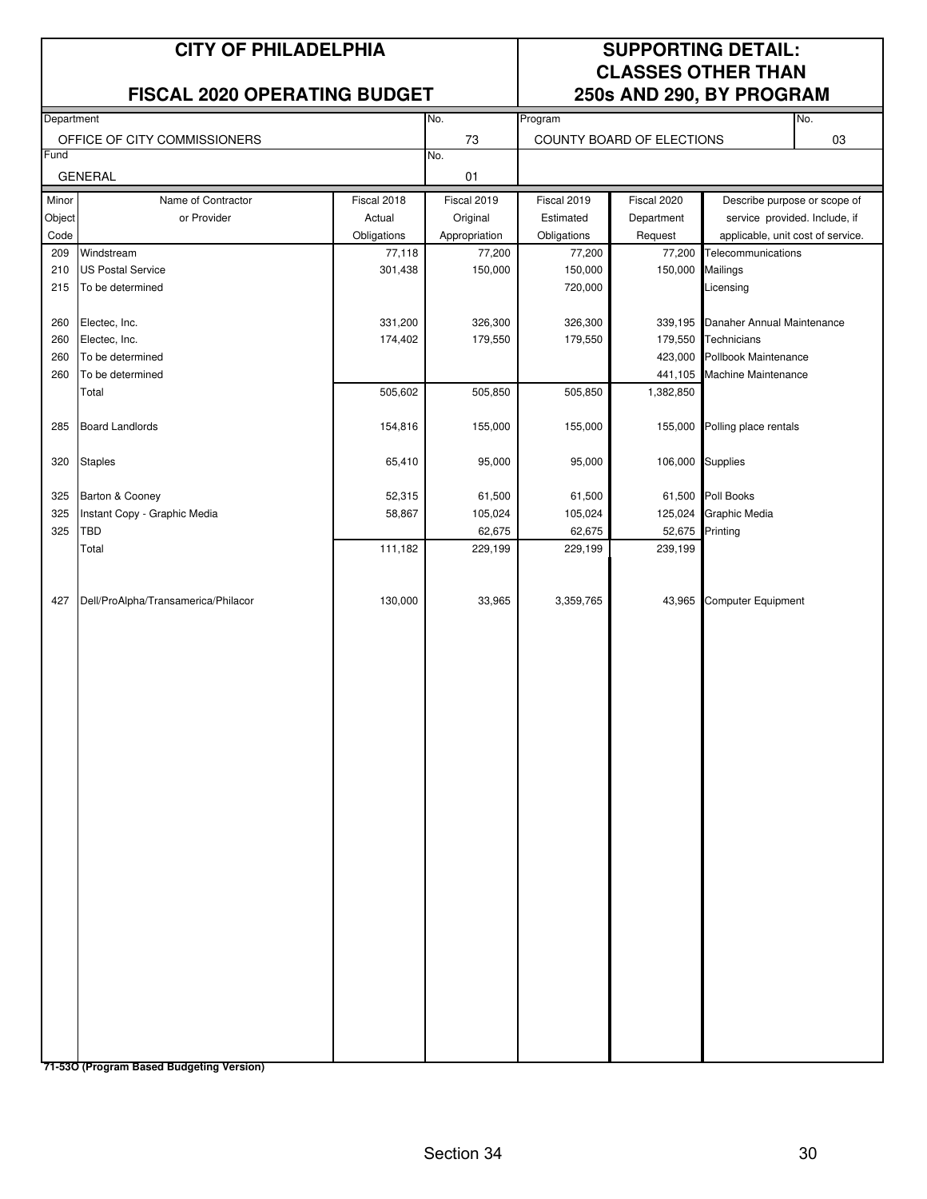### **FISCAL 2020 OPERATING BUDGET 250s AND 290, BY PROGRAM**

## **CITY OF PHILADELPHIA SUPPORTING DETAIL: CLASSES OTHER THAN**

|                                     |                                                                            | No.           |                                      |                                                    |                   | No.                                                                                                                                                                                                                                                                                                                          |
|-------------------------------------|----------------------------------------------------------------------------|---------------|--------------------------------------|----------------------------------------------------|-------------------|------------------------------------------------------------------------------------------------------------------------------------------------------------------------------------------------------------------------------------------------------------------------------------------------------------------------------|
| Department                          |                                                                            |               | Program                              |                                                    |                   | 03                                                                                                                                                                                                                                                                                                                           |
| Fund                                |                                                                            |               |                                      |                                                    |                   |                                                                                                                                                                                                                                                                                                                              |
| <b>GENERAL</b>                      |                                                                            |               |                                      |                                                    |                   |                                                                                                                                                                                                                                                                                                                              |
| Name of Contractor                  | Fiscal 2018                                                                | Fiscal 2019   | Fiscal 2019                          | Fiscal 2020                                        |                   |                                                                                                                                                                                                                                                                                                                              |
| or Provider                         | Actual                                                                     | Original      | Estimated                            | Department                                         |                   |                                                                                                                                                                                                                                                                                                                              |
|                                     | Obligations                                                                | Appropriation | Obligations                          | Request                                            |                   |                                                                                                                                                                                                                                                                                                                              |
| Windstream                          | 77,118                                                                     | 77,200        | 77,200                               | 77,200                                             |                   |                                                                                                                                                                                                                                                                                                                              |
| <b>US Postal Service</b>            | 301,438                                                                    | 150,000       |                                      | 150,000                                            | Mailings          |                                                                                                                                                                                                                                                                                                                              |
| To be determined                    |                                                                            |               |                                      |                                                    | Licensing         |                                                                                                                                                                                                                                                                                                                              |
|                                     | 331,200                                                                    |               |                                      | 339,195                                            |                   |                                                                                                                                                                                                                                                                                                                              |
| Electec, Inc.                       | 174,402                                                                    | 179,550       |                                      | 179,550                                            | Technicians       |                                                                                                                                                                                                                                                                                                                              |
| To be determined                    |                                                                            |               |                                      | 423,000                                            |                   |                                                                                                                                                                                                                                                                                                                              |
| To be determined                    |                                                                            |               |                                      |                                                    |                   |                                                                                                                                                                                                                                                                                                                              |
| Total                               | 505,602                                                                    | 505,850       | 505,850                              | 1,382,850                                          |                   |                                                                                                                                                                                                                                                                                                                              |
| <b>Board Landlords</b>              | 154,816                                                                    | 155,000       | 155,000                              | 155,000                                            |                   |                                                                                                                                                                                                                                                                                                                              |
| <b>Staples</b>                      | 65,410                                                                     | 95,000        | 95,000                               | 106,000                                            |                   |                                                                                                                                                                                                                                                                                                                              |
|                                     |                                                                            |               |                                      |                                                    |                   |                                                                                                                                                                                                                                                                                                                              |
| Instant Copy - Graphic Media        | 58,867                                                                     | 105,024       | 105,024                              | 125,024                                            |                   |                                                                                                                                                                                                                                                                                                                              |
| TBD                                 |                                                                            | 62,675        | 62,675                               | 52,675                                             | Printing          |                                                                                                                                                                                                                                                                                                                              |
| Total                               | 111,182                                                                    | 229,199       | 229,199                              | 239,199                                            |                   |                                                                                                                                                                                                                                                                                                                              |
| Dell/ProAlpha/Transamerica/Philacor | 130,000                                                                    | 33,965        | 3,359,765                            | 43,965                                             |                   |                                                                                                                                                                                                                                                                                                                              |
|                                     | OFFICE OF CITY COMMISSIONERS<br>Object<br>Electec, Inc.<br>Barton & Cooney | 52,315        | 73<br>No.<br>01<br>326,300<br>61,500 | 150,000<br>720,000<br>326,300<br>179,550<br>61,500 | 441,105<br>61,500 | COUNTY BOARD OF ELECTIONS<br>Describe purpose or scope of<br>service provided. Include, if<br>applicable, unit cost of service.<br>Telecommunications<br>Danaher Annual Maintenance<br>Pollbook Maintenance<br>Machine Maintenance<br>Polling place rentals<br>Supplies<br>Poll Books<br>Graphic Media<br>Computer Equipment |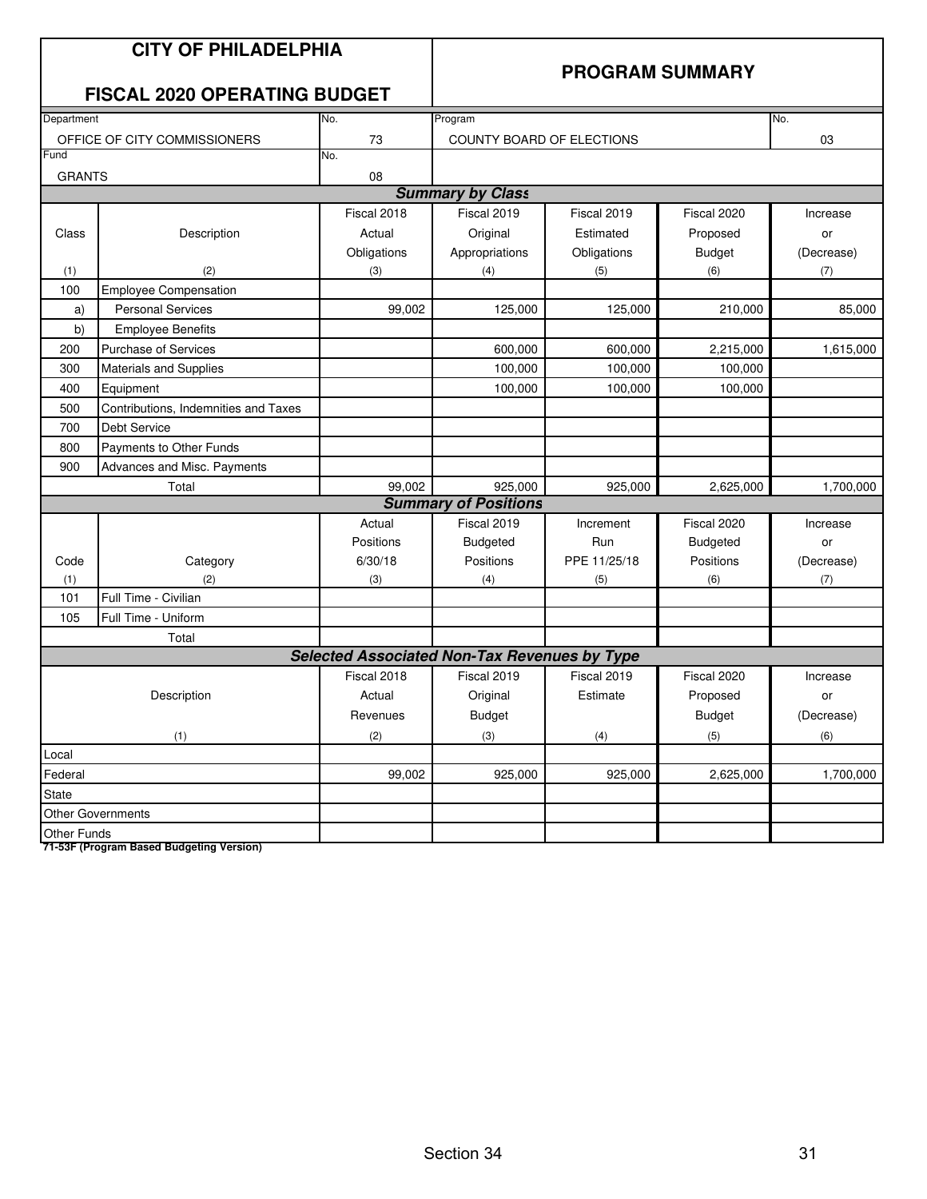| <b>CITY OF PHILADELPHIA</b><br><b>FISCAL 2020 OPERATING BUDGET</b> |                                      |                                                     | <b>PROGRAM SUMMARY</b>          |              |                 |            |  |
|--------------------------------------------------------------------|--------------------------------------|-----------------------------------------------------|---------------------------------|--------------|-----------------|------------|--|
| Department                                                         |                                      | No.<br>Program                                      |                                 |              |                 |            |  |
| 73<br>OFFICE OF CITY COMMISSIONERS                                 |                                      |                                                     | 03<br>COUNTY BOARD OF ELECTIONS |              |                 |            |  |
| Fund                                                               |                                      | No.                                                 |                                 |              |                 |            |  |
| <b>GRANTS</b>                                                      |                                      | 08                                                  |                                 |              |                 |            |  |
|                                                                    |                                      |                                                     | <b>Summary by Class</b>         |              |                 |            |  |
|                                                                    |                                      | Fiscal 2018                                         | Fiscal 2019                     | Fiscal 2019  | Fiscal 2020     | Increase   |  |
| Class                                                              | Description                          | Actual                                              | Original                        | Estimated    | Proposed        | or         |  |
|                                                                    |                                      | Obligations                                         | Appropriations                  | Obligations  | <b>Budget</b>   | (Decrease) |  |
| (1)                                                                | (2)                                  | (3)                                                 | (4)                             | (5)          | (6)             | (7)        |  |
| 100                                                                | <b>Employee Compensation</b>         |                                                     |                                 |              |                 |            |  |
| a)                                                                 | <b>Personal Services</b>             | 99,002                                              | 125,000                         | 125,000      | 210,000         | 85,000     |  |
| b)                                                                 | <b>Employee Benefits</b>             |                                                     |                                 |              |                 |            |  |
| 200                                                                | <b>Purchase of Services</b>          |                                                     | 600,000                         | 600,000      | 2,215,000       | 1,615,000  |  |
| 300                                                                | Materials and Supplies               |                                                     | 100,000                         | 100,000      | 100,000         |            |  |
| 400                                                                | Equipment                            |                                                     | 100,000                         | 100,000      | 100,000         |            |  |
| 500                                                                | Contributions, Indemnities and Taxes |                                                     |                                 |              |                 |            |  |
| 700                                                                | Debt Service                         |                                                     |                                 |              |                 |            |  |
| 800                                                                | Payments to Other Funds              |                                                     |                                 |              |                 |            |  |
| 900                                                                | Advances and Misc. Payments          |                                                     |                                 |              |                 |            |  |
| Total                                                              |                                      | 99,002                                              | 925,000                         | 925,000      | 2,625,000       | 1,700,000  |  |
|                                                                    |                                      |                                                     | <b>Summary of Positions</b>     |              |                 |            |  |
|                                                                    |                                      | Actual                                              | Fiscal 2019                     | Increment    | Fiscal 2020     | Increase   |  |
|                                                                    |                                      | Positions                                           | <b>Budgeted</b>                 | Run          | <b>Budgeted</b> | or         |  |
| Code                                                               | Category                             | 6/30/18                                             | Positions                       | PPE 11/25/18 | Positions       | (Decrease) |  |
| (1)                                                                | (2)                                  | (3)                                                 | (4)                             | (5)          | (6)             | (7)        |  |
| 101                                                                | Full Time - Civilian                 |                                                     |                                 |              |                 |            |  |
| 105                                                                | Full Time - Uniform                  |                                                     |                                 |              |                 |            |  |
|                                                                    | Total                                |                                                     |                                 |              |                 |            |  |
|                                                                    |                                      | <b>Selected Associated Non-Tax Revenues by Type</b> |                                 |              |                 |            |  |
|                                                                    |                                      | Fiscal 2018                                         | Fiscal 2019                     | Fiscal 2019  | Fiscal 2020     | Increase   |  |
| Description                                                        |                                      | Actual                                              | Original                        | Estimate     | Proposed        | or         |  |
|                                                                    |                                      | Revenues                                            | <b>Budget</b>                   |              | <b>Budget</b>   | (Decrease) |  |
| (2)<br>(1)                                                         |                                      |                                                     | (3)                             | (4)          | (5)             | (6)        |  |
| Local                                                              |                                      |                                                     |                                 |              |                 |            |  |
| 99,002<br>Federal                                                  |                                      |                                                     | 925,000                         | 925,000      | 2,625,000       | 1,700,000  |  |
| State                                                              |                                      |                                                     |                                 |              |                 |            |  |
|                                                                    | Other Governments                    |                                                     |                                 |              |                 |            |  |
| Other Funds                                                        |                                      |                                                     |                                 |              |                 |            |  |